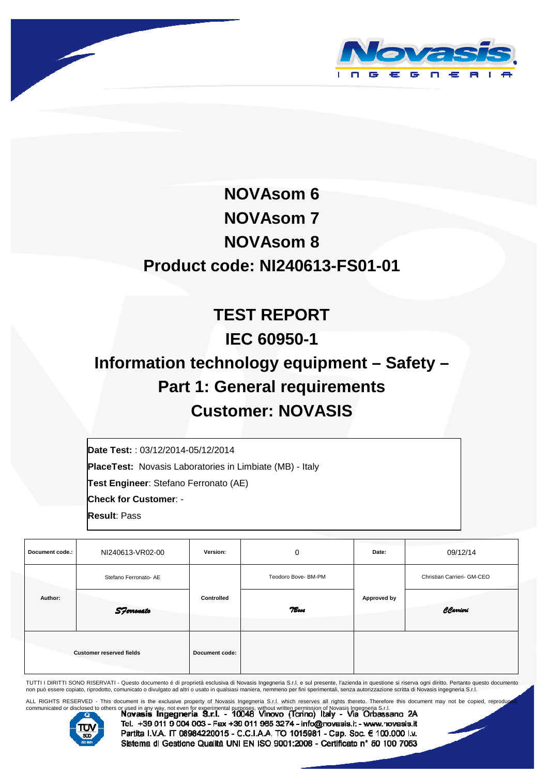



# **NOVAsom 6 NOVAsom 7 NOVAsom 8 Product code: NI240613-FS01-01**

# **TEST REPORT IEC 60950-1 Information technology equipment – Safety – Part 1: General requirements Customer: NOVASIS**

**Date Test:** : 03/12/2014-05/12/2014

**PlaceTest:** Novasis Laboratories in Limbiate (MB) - Italy

**Test Engineer**: Stefano Ferronato (AE)

**Check for Customer**: -

**Result**: Pass

| Document code.: | NI240613-VR02-00                | Version:       | 0                   | Date:       | 09/12/14                   |
|-----------------|---------------------------------|----------------|---------------------|-------------|----------------------------|
|                 | Stefano Ferronato- AE           |                | Teodoro Bove- BM-PM |             | Christian Carrieri- GM-CEO |
| Author:         | <b>S</b> Ferronato              | Controlled     | 7Bove               | Approved by | CCarrieri                  |
|                 | <b>Customer reserved fields</b> | Document code: |                     |             |                            |

TUTTI I DIRITTI SONO RISERVATI - Questo documento é di proprietá esclusiva di Novasis Ingegneria S.r.l. e sul presente, l'azienda in questione si riserva ogni diritto. Pertanto questo documento<br>non può essere copiato, ripr

ALL RIGHTS RESERVED - This document is the exclusive property of Novasis Ingegneria S.r.l. which reserves all rights thereto. Therefore this document may not be copied, reproduced,<br>communicated or disclosed to others or us



Tcl. +39 011 9 004 003 - Fax +39 011 965 3274 - info@novasis.i: - www.novasis.it Partita I.V.A. IT 08984220015 - C.C.I.A.A. TO 1015981 - Cap. Soc. € 100.000 i.v. Sistema di Gesticne Qualità UNI EN ISO 9001:2008 - Certificato nº 50 100 7053

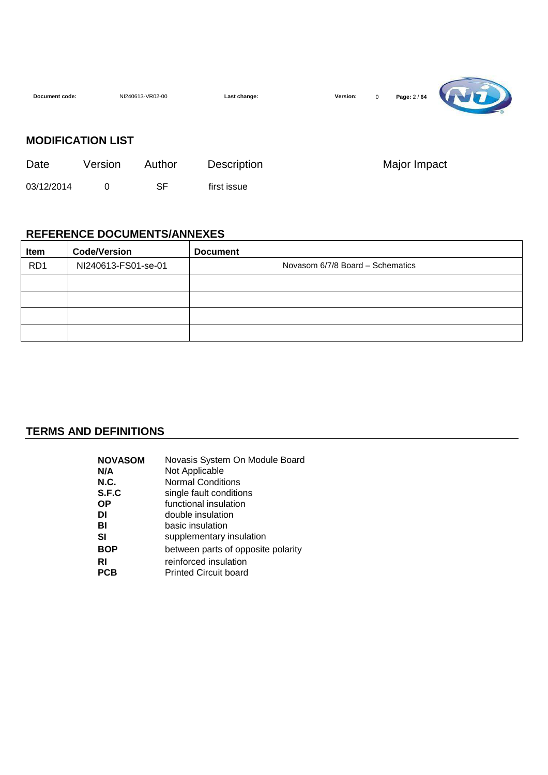| Document code: |                          | NI240613-VR02-00 | Last change: | Page: 2 / 64<br>Version:<br>$\mathbf 0$ |  |
|----------------|--------------------------|------------------|--------------|-----------------------------------------|--|
|                | <b>MODIFICATION LIST</b> |                  |              |                                         |  |
| Date           | Version                  | Author           | Description  | Major Impact                            |  |
| 03/12/2014     | 0                        | SF               | first issue  |                                         |  |

 $\overline{\phantom{0}}$ 

#### **REFERENCE DOCUMENTS/ANNEXES**

| Item            | <b>Code/Version</b> | <b>Document</b>                  |
|-----------------|---------------------|----------------------------------|
| RD <sub>1</sub> | NI240613-FS01-se-01 | Novasom 6/7/8 Board - Schematics |
|                 |                     |                                  |
|                 |                     |                                  |
|                 |                     |                                  |
|                 |                     |                                  |

#### **TERMS AND DEFINITIONS**

| <b>NOVASOM</b> | Novasis System On Module Board     |
|----------------|------------------------------------|
| N/A            | Not Applicable                     |
| N.C.           | <b>Normal Conditions</b>           |
| S.F.C          | single fault conditions            |
| ΟP             | functional insulation              |
| DI             | double insulation                  |
| BI             | basic insulation                   |
| SI             | supplementary insulation           |
| BOP            | between parts of opposite polarity |
| RI             | reinforced insulation              |
| PCB            | <b>Printed Circuit board</b>       |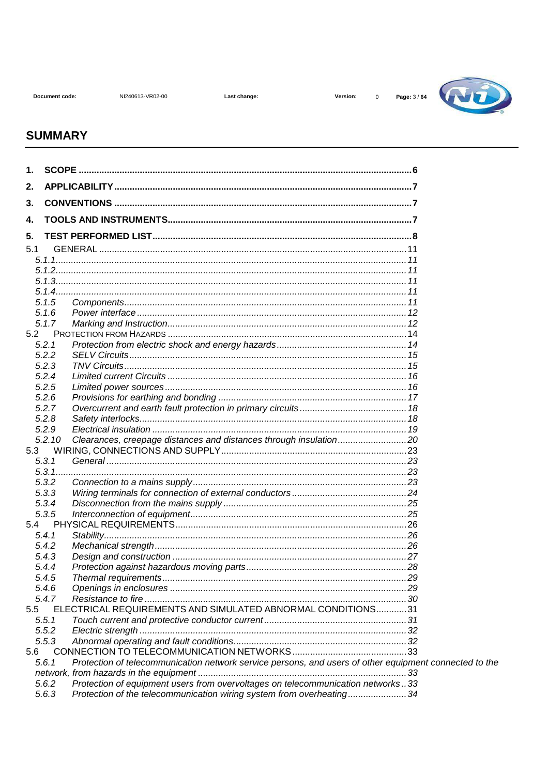NI240613-VR02-00

Last change:

Version:



#### **SUMMARY**

| 1.  |                                                                                                                 |  |
|-----|-----------------------------------------------------------------------------------------------------------------|--|
| 2.  |                                                                                                                 |  |
| 3.  |                                                                                                                 |  |
| 4.  |                                                                                                                 |  |
| 5.  |                                                                                                                 |  |
| 5.1 |                                                                                                                 |  |
|     |                                                                                                                 |  |
|     |                                                                                                                 |  |
|     |                                                                                                                 |  |
|     |                                                                                                                 |  |
|     | 5.1.5                                                                                                           |  |
|     | 5.1.6                                                                                                           |  |
|     | 5.1.7                                                                                                           |  |
| 5.2 |                                                                                                                 |  |
|     | 5.2.1                                                                                                           |  |
|     | 5.2.2                                                                                                           |  |
|     | 5.2.3                                                                                                           |  |
|     | 5.2.4                                                                                                           |  |
|     | 5.2.5                                                                                                           |  |
|     | 5.2.6<br>5.2.7                                                                                                  |  |
|     | 5.2.8                                                                                                           |  |
|     | 5.2.9                                                                                                           |  |
|     | Clearances, creepage distances and distances through insulation20<br>5.2.10                                     |  |
| 5.3 |                                                                                                                 |  |
|     | 5.3.1                                                                                                           |  |
|     |                                                                                                                 |  |
|     | 5.3.2                                                                                                           |  |
|     | 5.3.3                                                                                                           |  |
|     | 5.3.4                                                                                                           |  |
|     | 5.3.5                                                                                                           |  |
| 5.4 |                                                                                                                 |  |
|     | 5.4.1                                                                                                           |  |
|     | 5.4.2                                                                                                           |  |
|     | 5.4.3                                                                                                           |  |
|     | 5.4.4                                                                                                           |  |
|     | 5.4.5                                                                                                           |  |
|     | 5.4.6                                                                                                           |  |
|     | 5.4.7                                                                                                           |  |
| 5.5 | ELECTRICAL REQUIREMENTS AND SIMULATED ABNORMAL CONDITIONS31                                                     |  |
|     | 5.5.1                                                                                                           |  |
|     | 5.5.2<br>5.5.3                                                                                                  |  |
| 5.6 |                                                                                                                 |  |
|     | Protection of telecommunication network service persons, and users of other equipment connected to the<br>5.6.1 |  |
|     |                                                                                                                 |  |
|     | Protection of equipment users from overvoltages on telecommunication networks33<br>5.6.2                        |  |
|     | 5.6.3<br>Protection of the telecommunication wiring system from overheating34                                   |  |
|     |                                                                                                                 |  |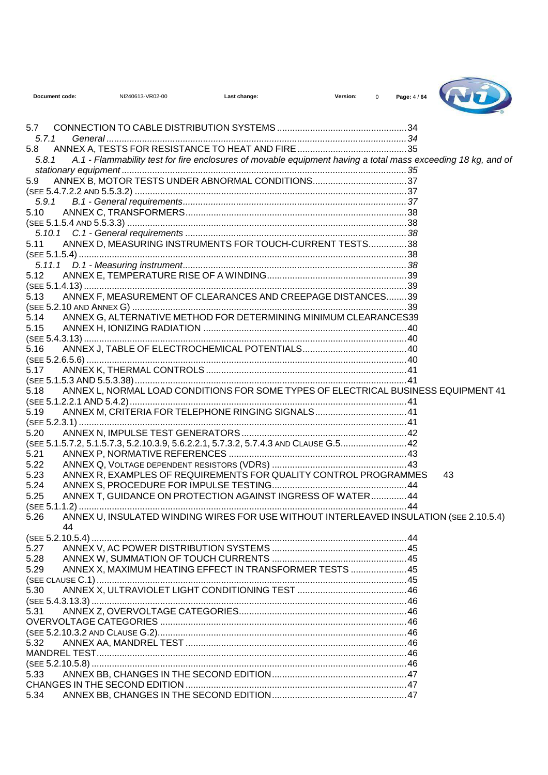| Document code: |    | NI240613-VR02-00 | Last change:                                                                                                 | Version:<br>$\Omega$ | Page: 4 / 64 |    |
|----------------|----|------------------|--------------------------------------------------------------------------------------------------------------|----------------------|--------------|----|
| 5.7            |    |                  |                                                                                                              |                      |              |    |
| 5.7.1          |    |                  |                                                                                                              |                      |              |    |
| 5.8            |    |                  |                                                                                                              |                      |              |    |
| 5.8.1          |    |                  | A.1 - Flammability test for fire enclosures of movable equipment having a total mass exceeding 18 kg, and of |                      |              |    |
|                |    |                  |                                                                                                              |                      |              |    |
| 5.9            |    |                  |                                                                                                              |                      |              |    |
|                |    |                  |                                                                                                              |                      |              |    |
|                |    |                  |                                                                                                              |                      |              |    |
| 5.10           |    |                  |                                                                                                              |                      |              |    |
|                |    |                  |                                                                                                              |                      |              |    |
|                |    |                  |                                                                                                              |                      |              |    |
| 5.11           |    |                  | ANNEX D, MEASURING INSTRUMENTS FOR TOUCH-CURRENT TESTS38                                                     |                      |              |    |
|                |    |                  |                                                                                                              |                      |              |    |
| 5.12           |    |                  |                                                                                                              |                      |              |    |
|                |    |                  |                                                                                                              |                      |              |    |
| 5.13           |    |                  | ANNEX F, MEASUREMENT OF CLEARANCES AND CREEPAGE DISTANCES39                                                  |                      |              |    |
|                |    |                  |                                                                                                              |                      |              |    |
| 5.14           |    |                  | ANNEX G, ALTERNATIVE METHOD FOR DETERMINING MINIMUM CLEARANCES39                                             |                      |              |    |
| 5.15           |    |                  |                                                                                                              |                      |              |    |
|                |    |                  |                                                                                                              |                      |              |    |
| 5.16           |    |                  |                                                                                                              |                      |              |    |
|                |    |                  |                                                                                                              |                      |              |    |
| 5.17           |    |                  |                                                                                                              |                      |              |    |
|                |    |                  |                                                                                                              |                      |              |    |
| 5.18           |    |                  | ANNEX L, NORMAL LOAD CONDITIONS FOR SOME TYPES OF ELECTRICAL BUSINESS EQUIPMENT 41                           |                      |              |    |
|                |    |                  |                                                                                                              |                      |              |    |
| 5.19           |    |                  | ANNEX M, CRITERIA FOR TELEPHONE RINGING SIGNALS 41                                                           |                      |              |    |
|                |    |                  |                                                                                                              |                      |              |    |
| 5.20           |    |                  |                                                                                                              |                      |              |    |
|                |    |                  | (SEE 5.1.5.7.2, 5.1.5.7.3, 5.2.10.3.9, 5.6.2.2.1, 5.7.3.2, 5.7.4.3 AND CLAUSE G.5 42                         |                      |              |    |
| 5.21           |    |                  |                                                                                                              |                      |              |    |
| 5.22           |    |                  |                                                                                                              |                      |              |    |
| 5.23           |    |                  | ANNEX R. EXAMPLES OF REQUIREMENTS FOR QUALITY CONTROL PROGRAMMES                                             |                      |              | 43 |
| 5.24           |    |                  |                                                                                                              |                      |              |    |
| 5.25           |    |                  | ANNEX T, GUIDANCE ON PROTECTION AGAINST INGRESS OF WATER44                                                   |                      |              |    |
|                |    |                  |                                                                                                              |                      |              |    |
|                | 44 |                  |                                                                                                              |                      |              |    |
|                |    |                  |                                                                                                              |                      |              |    |
| 5.27           |    |                  |                                                                                                              |                      |              |    |
| 5.28           |    |                  |                                                                                                              |                      |              |    |
| 5.29           |    |                  | ANNEX X, MAXIMUM HEATING EFFECT IN TRANSFORMER TESTS  45                                                     |                      |              |    |
|                |    |                  |                                                                                                              |                      |              |    |
|                |    |                  |                                                                                                              |                      |              |    |
|                |    |                  |                                                                                                              |                      |              |    |
|                |    |                  |                                                                                                              |                      |              |    |
|                |    |                  |                                                                                                              |                      |              |    |
| 5.32           |    |                  |                                                                                                              |                      |              |    |
|                |    |                  |                                                                                                              |                      |              |    |
|                |    |                  |                                                                                                              |                      |              |    |
| 5.33           |    |                  |                                                                                                              |                      |              |    |
|                |    |                  |                                                                                                              |                      |              |    |
| 5.34           |    |                  |                                                                                                              |                      |              |    |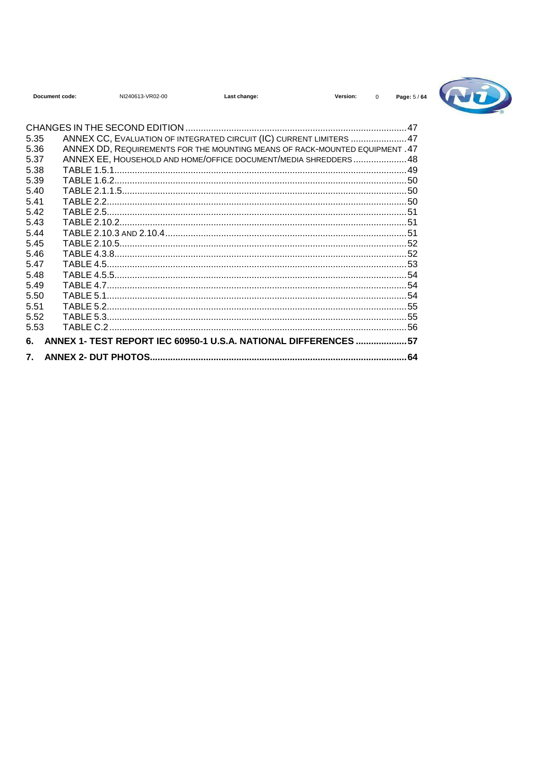| Document code: |            | NI240613-VR02-00                                                            | Last change: | Version: | $\Omega$ | Page: 5/ |
|----------------|------------|-----------------------------------------------------------------------------|--------------|----------|----------|----------|
| 5.35           |            | ANNEX CC, EVALUATION OF INTEGRATED CIRCUIT (IC) CURRENT LIMITERS  47        |              |          |          |          |
| 5.36           |            | ANNEX DD, REQUIREMENTS FOR THE MOUNTING MEANS OF RACK-MOUNTED EQUIPMENT .47 |              |          |          |          |
| 5.37           |            | ANNEX EE, HOUSEHOLD AND HOME/OFFICE DOCUMENT/MEDIA SHREDDERS48              |              |          |          |          |
| 5.38           |            |                                                                             |              |          |          |          |
| 5.39           |            |                                                                             |              |          |          |          |
| 5.40           |            |                                                                             |              |          |          |          |
| 5.41           | TARI F 2 2 |                                                                             |              |          |          |          |
| 542            |            |                                                                             |              |          |          |          |
| 5.43           |            |                                                                             |              |          |          |          |
| 5.44           |            |                                                                             |              |          |          |          |
| 5.45           |            |                                                                             |              |          |          |          |
| 5.46           |            |                                                                             |              |          |          |          |
| 5.47           |            |                                                                             |              |          |          |          |
| 5.48           |            |                                                                             |              |          |          |          |
| 5.49           |            |                                                                             |              |          |          |          |
| 5.50           |            |                                                                             |              |          |          |          |
| 5.51           |            |                                                                             |              |          |          |          |
| 5.52           |            |                                                                             |              |          |          |          |
| 5.53           |            |                                                                             |              |          |          |          |
| 6.             |            | ANNEX 1- TEST REPORT IEC 60950-1 U.S.A. NATIONAL DIFFERENCES  57            |              |          |          |          |
| 7.             |            |                                                                             |              |          |          | 64       |

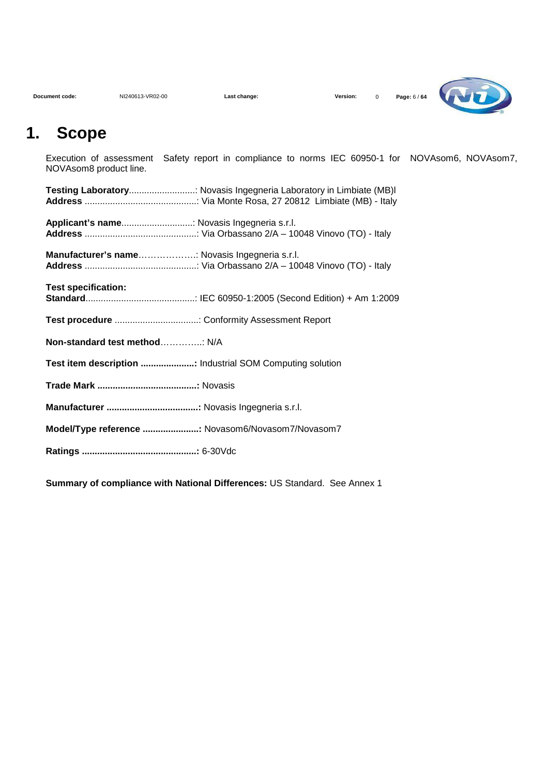| Document code: |  |
|----------------|--|



## **1. Scope**

Execution of assessment Safety report in compliance to norms IEC 60950-1 for NOVAsom6, NOVAsom7, NOVAsom8 product line.

|                                                          | Testing Laboratory: Novasis Ingegneria Laboratory in Limbiate (MB)I |
|----------------------------------------------------------|---------------------------------------------------------------------|
| Applicant's name Novasis Ingegneria s.r.l.               |                                                                     |
| Manufacturer's name: Novasis Ingegneria s.r.l.           |                                                                     |
| <b>Test specification:</b>                               |                                                                     |
|                                                          |                                                                     |
| Non-standard test method N/A                             |                                                                     |
| Test item description  Industrial SOM Computing solution |                                                                     |
|                                                          |                                                                     |
|                                                          |                                                                     |
| Model/Type reference  Novasom6/Novasom7/Novasom7         |                                                                     |
|                                                          |                                                                     |

**Summary of compliance with National Differences:** US Standard. See Annex 1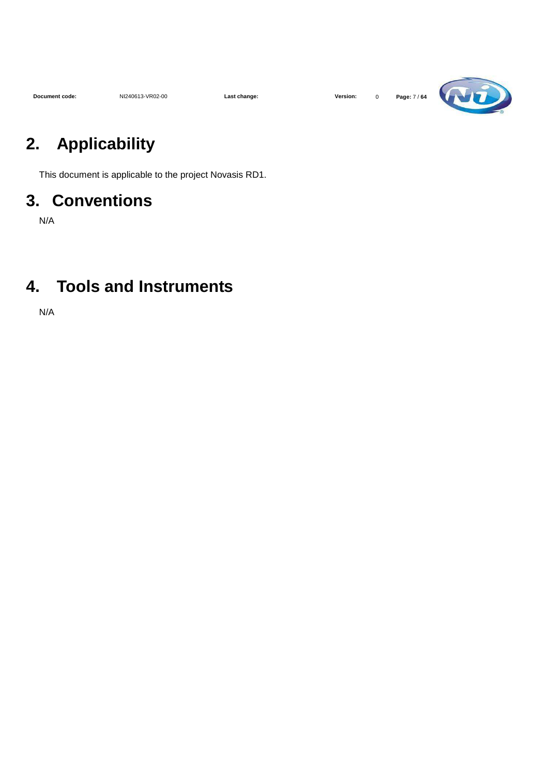| Document code: |  |
|----------------|--|



# **2. Applicability**

This document is applicable to the project Novasis RD1.

## **3. Conventions**

N/A

## **4. Tools and Instruments**

N/A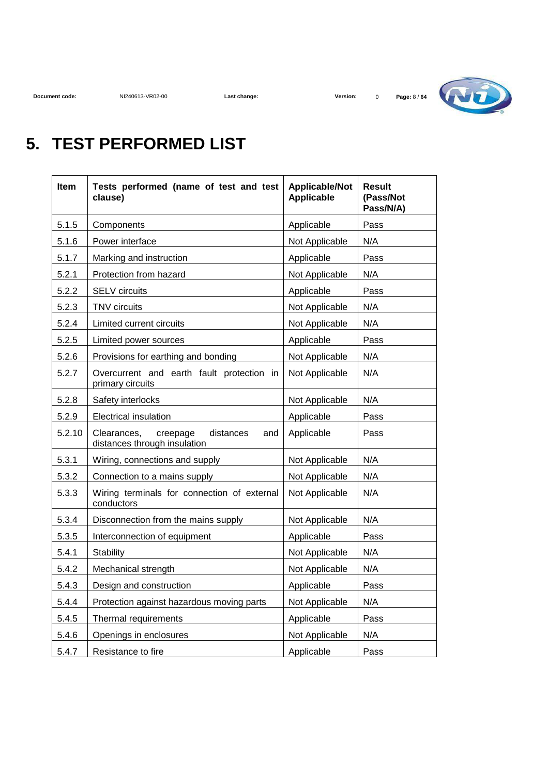

# **5. TEST PERFORMED LIST**

| Item   | Tests performed (name of test and test<br>clause)                           | <b>Applicable/Not</b><br><b>Applicable</b> | <b>Result</b><br>(Pass/Not<br>Pass/N/A) |
|--------|-----------------------------------------------------------------------------|--------------------------------------------|-----------------------------------------|
| 5.1.5  | Components                                                                  | Applicable                                 | Pass                                    |
| 5.1.6  | Power interface                                                             | Not Applicable                             | N/A                                     |
| 5.1.7  | Marking and instruction                                                     | Applicable                                 | Pass                                    |
| 5.2.1  | Protection from hazard                                                      | Not Applicable                             | N/A                                     |
| 5.2.2  | <b>SELV</b> circuits                                                        | Applicable                                 | Pass                                    |
| 5.2.3  | TNV circuits                                                                | Not Applicable                             | N/A                                     |
| 5.2.4  | Limited current circuits                                                    | Not Applicable                             | N/A                                     |
| 5.2.5  | Limited power sources                                                       | Applicable                                 | Pass                                    |
| 5.2.6  | Provisions for earthing and bonding                                         | Not Applicable                             | N/A                                     |
| 5.2.7  | Overcurrent and earth fault protection in<br>primary circuits               | Not Applicable                             | N/A                                     |
| 5.2.8  | Safety interlocks                                                           | Not Applicable                             | N/A                                     |
| 5.2.9  | <b>Electrical insulation</b>                                                | Applicable                                 | Pass                                    |
| 5.2.10 | Clearances,<br>distances<br>creepage<br>and<br>distances through insulation | Applicable                                 | Pass                                    |
| 5.3.1  | Wiring, connections and supply                                              | Not Applicable                             | N/A                                     |
| 5.3.2  | Connection to a mains supply                                                | Not Applicable                             | N/A                                     |
| 5.3.3  | Wiring terminals for connection of external<br>conductors                   | Not Applicable                             | N/A                                     |
| 5.3.4  | Disconnection from the mains supply                                         | Not Applicable                             | N/A                                     |
| 5.3.5  | Interconnection of equipment                                                | Applicable                                 | Pass                                    |
| 5.4.1  | <b>Stability</b>                                                            | Not Applicable                             | N/A                                     |
| 5.4.2  | Mechanical strength                                                         | Not Applicable                             | N/A                                     |
| 5.4.3  | Design and construction                                                     | Applicable                                 | Pass                                    |
| 5.4.4  | Protection against hazardous moving parts                                   | Not Applicable                             | N/A                                     |
| 5.4.5  | Thermal requirements                                                        | Applicable                                 | Pass                                    |
| 5.4.6  | Openings in enclosures                                                      | Not Applicable                             | N/A                                     |
| 5.4.7  | Resistance to fire                                                          | Applicable                                 | Pass                                    |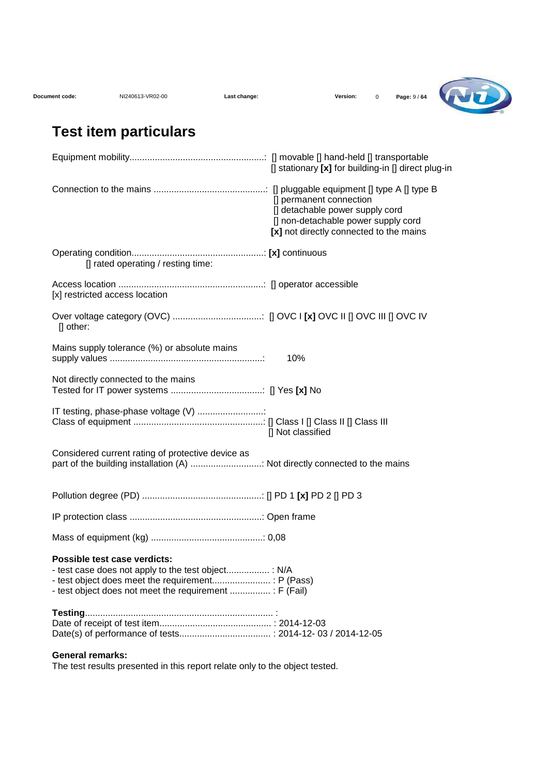| Document code: | NI240613-VR02-00 | Last change: |
|----------------|------------------|--------------|
|                |                  |              |



## **Test item particulars**

|                                                                                                                                                | [] stationary [x] for building-in [] direct plug-in                                                                                          |
|------------------------------------------------------------------------------------------------------------------------------------------------|----------------------------------------------------------------------------------------------------------------------------------------------|
|                                                                                                                                                | [] permanent connection<br>[] detachable power supply cord<br>[] non-detachable power supply cord<br>[x] not directly connected to the mains |
| [] rated operating / resting time:                                                                                                             |                                                                                                                                              |
| [x] restricted access location                                                                                                                 |                                                                                                                                              |
| [] other:                                                                                                                                      |                                                                                                                                              |
| Mains supply tolerance (%) or absolute mains                                                                                                   | 10%                                                                                                                                          |
| Not directly connected to the mains                                                                                                            |                                                                                                                                              |
| IT testing, phase-phase voltage (V)                                                                                                            | [] Not classified                                                                                                                            |
| Considered current rating of protective device as<br>part of the building installation (A)  Not directly connected to the mains                |                                                                                                                                              |
|                                                                                                                                                |                                                                                                                                              |
|                                                                                                                                                |                                                                                                                                              |
|                                                                                                                                                |                                                                                                                                              |
| Possible test case verdicts:<br>- test case does not apply to the test object : N/A<br>- test object does not meet the requirement  : F (Fail) |                                                                                                                                              |
|                                                                                                                                                |                                                                                                                                              |
| <b>General remarks:</b>                                                                                                                        |                                                                                                                                              |

The test results presented in this report relate only to the object tested.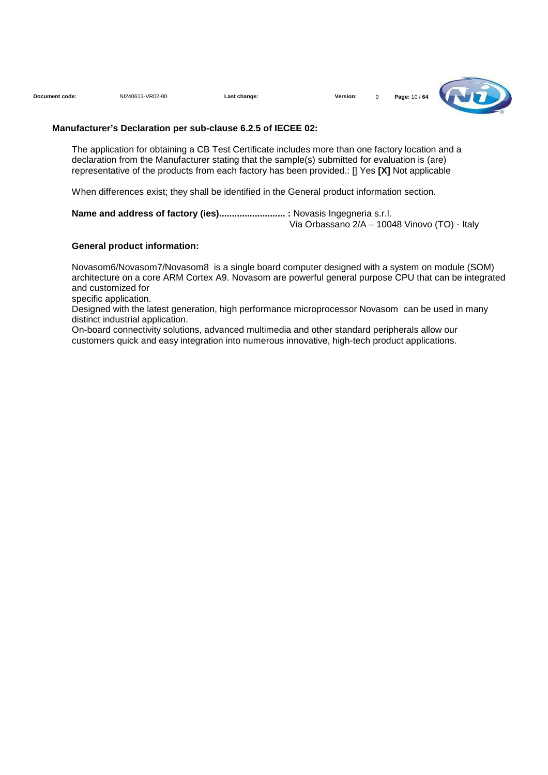**Document code:** NI240613-VR02-00 **Last change: Version:** 0 **Page:** 10 / **64**



#### **Manufacturer's Declaration per sub-clause 6.2.5 of IECEE 02:**

The application for obtaining a CB Test Certificate includes more than one factory location and a declaration from the Manufacturer stating that the sample(s) submitted for evaluation is (are) representative of the products from each factory has been provided.: [] Yes **[X]** Not applicable

When differences exist; they shall be identified in the General product information section.

Name and address of factory (ies).............................. : Novasis Ingegneria s.r.l. Via Orbassano 2/A – 10048 Vinovo (TO) - Italy

#### **General product information:**

Novasom6/Novasom7/Novasom8 is a single board computer designed with a system on module (SOM) architecture on a core ARM Cortex A9. Novasom are powerful general purpose CPU that can be integrated and customized for

specific application.

Designed with the latest generation, high performance microprocessor Novasom can be used in many distinct industrial application.

On-board connectivity solutions, advanced multimedia and other standard peripherals allow our customers quick and easy integration into numerous innovative, high-tech product applications.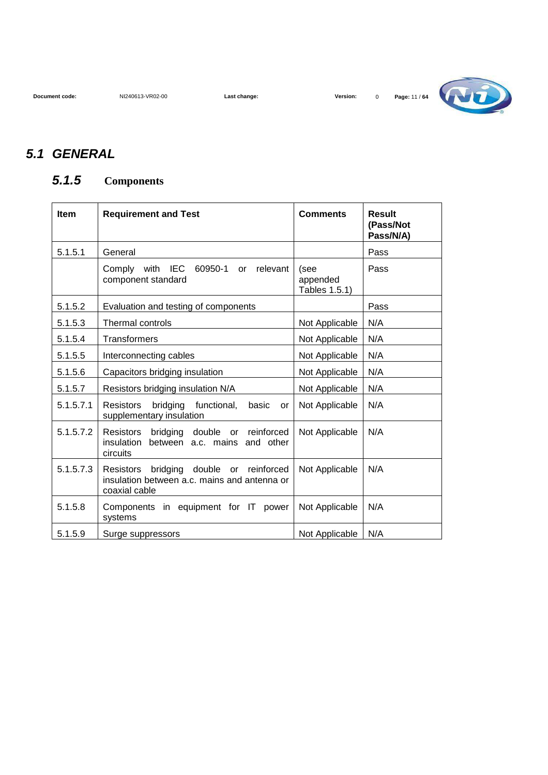

#### **5.1 GENERAL**

#### **5.1.5 Components**

| <b>Item</b> | <b>Requirement and Test</b>                                                                                           | <b>Comments</b>                   | Result<br>(Pass/Not<br>Pass/N/A) |
|-------------|-----------------------------------------------------------------------------------------------------------------------|-----------------------------------|----------------------------------|
| 5.1.5.1     | General                                                                                                               |                                   | Pass                             |
|             | <b>IEC</b><br>60950-1<br>Comply<br>with<br>relevant<br>or<br>component standard                                       | (see<br>appended<br>Tables 1.5.1) | Pass                             |
| 5.1.5.2     | Evaluation and testing of components                                                                                  |                                   | Pass                             |
| 5.1.5.3     | <b>Thermal controls</b>                                                                                               | Not Applicable                    | N/A                              |
| 5.1.5.4     | <b>Transformers</b>                                                                                                   | Not Applicable                    | N/A                              |
| 5.1.5.5     | Interconnecting cables                                                                                                | Not Applicable                    | N/A                              |
| 5.1.5.6     | Capacitors bridging insulation                                                                                        | Not Applicable                    | N/A                              |
| 5.1.5.7     | Resistors bridging insulation N/A                                                                                     | Not Applicable                    | N/A                              |
| 5.1.5.7.1   | <b>Resistors</b><br>bridging<br>functional,<br>basic<br><b>or</b><br>supplementary insulation                         | Not Applicable                    | N/A                              |
| 5.1.5.7.2   | <b>Resistors</b><br>double<br>reinforced<br>bridging<br>or<br>insulation<br>between a.c. mains and other<br>circuits  | Not Applicable                    | N/A                              |
| 5.1.5.7.3   | <b>Resistors</b><br>bridging<br>double or reinforced<br>insulation between a.c. mains and antenna or<br>coaxial cable | Not Applicable                    | N/A                              |
| 5.1.5.8     | Components in equipment for IT power<br>systems                                                                       | Not Applicable                    | N/A                              |
| 5.1.5.9     | Surge suppressors                                                                                                     | Not Applicable                    | N/A                              |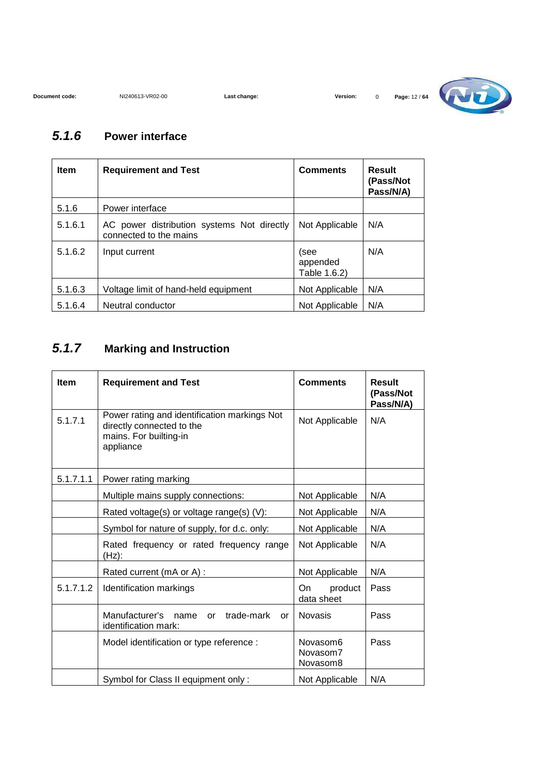

#### **5.1.6 Power interface**

| <b>Item</b> | <b>Requirement and Test</b>                                          | <b>Comments</b>                  | Result<br>(Pass/Not<br>Pass/N/A) |
|-------------|----------------------------------------------------------------------|----------------------------------|----------------------------------|
| 5.1.6       | Power interface                                                      |                                  |                                  |
| 5.1.6.1     | AC power distribution systems Not directly<br>connected to the mains | Not Applicable                   | N/A                              |
| 5.1.6.2     | Input current                                                        | (see<br>appended<br>Table 1.6.2) | N/A                              |
| 5.1.6.3     | Voltage limit of hand-held equipment                                 | Not Applicable                   | N/A                              |
| 5.1.6.4     | Neutral conductor                                                    | Not Applicable                   | N/A                              |

#### **5.1.7 Marking and Instruction**

| <b>Item</b> | <b>Requirement and Test</b>                                                                                      | <b>Comments</b>                              | <b>Result</b><br>(Pass/Not<br>Pass/N/A) |
|-------------|------------------------------------------------------------------------------------------------------------------|----------------------------------------------|-----------------------------------------|
| 5.1.7.1     | Power rating and identification markings Not<br>directly connected to the<br>mains. For builting-in<br>appliance | Not Applicable                               | N/A                                     |
| 5.1.7.1.1   | Power rating marking                                                                                             |                                              |                                         |
|             | Multiple mains supply connections:                                                                               | Not Applicable                               | N/A                                     |
|             | Rated voltage(s) or voltage range(s) (V):                                                                        | Not Applicable                               | N/A                                     |
|             | Symbol for nature of supply, for d.c. only:                                                                      | Not Applicable                               | N/A                                     |
|             | Rated frequency or rated frequency range<br>(Hz):                                                                | Not Applicable                               | N/A                                     |
|             | Rated current (mA or A) :                                                                                        | Not Applicable                               | N/A                                     |
| 5.1.7.1.2   | Identification markings                                                                                          | product<br>On.<br>data sheet                 | Pass                                    |
|             | Manufacturer's<br>trade-mark<br>name<br><b>or</b><br>or<br>identification mark:                                  | <b>Novasis</b>                               | Pass                                    |
|             | Model identification or type reference :                                                                         | Novasom <sub>6</sub><br>Novasom7<br>Novasom8 | Pass                                    |
|             | Symbol for Class II equipment only :                                                                             | Not Applicable                               | N/A                                     |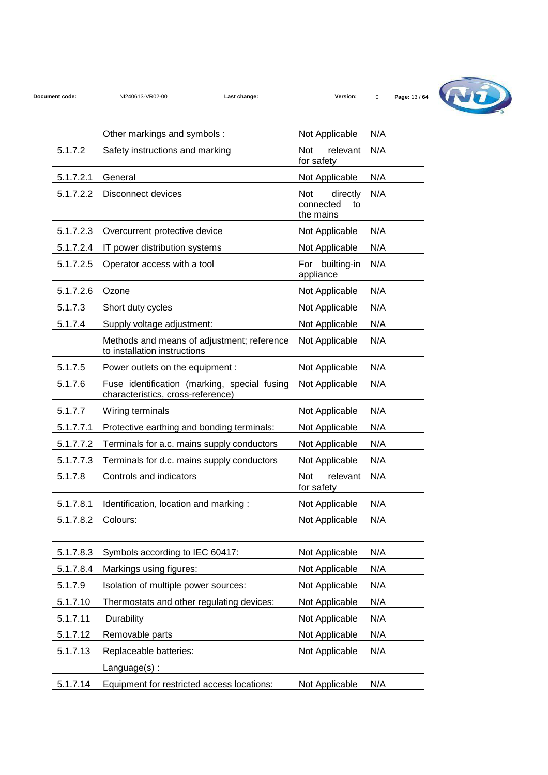

|           | Other markings and symbols :                                                      | Not Applicable                                  | N/A |
|-----------|-----------------------------------------------------------------------------------|-------------------------------------------------|-----|
| 5.1.7.2   | Safety instructions and marking                                                   | <b>Not</b><br>relevant<br>for safety            | N/A |
| 5.1.7.2.1 | General                                                                           | Not Applicable                                  | N/A |
| 5.1.7.2.2 | <b>Disconnect devices</b>                                                         | directly<br>Not<br>connected<br>to<br>the mains | N/A |
| 5.1.7.2.3 | Overcurrent protective device                                                     | Not Applicable                                  | N/A |
| 5.1.7.2.4 | IT power distribution systems                                                     | Not Applicable                                  | N/A |
| 5.1.7.2.5 | Operator access with a tool                                                       | builting-in<br>For<br>appliance                 | N/A |
| 5.1.7.2.6 | Ozone                                                                             | Not Applicable                                  | N/A |
| 5.1.7.3   | Short duty cycles                                                                 | Not Applicable                                  | N/A |
| 5.1.7.4   | Supply voltage adjustment:                                                        | Not Applicable                                  | N/A |
|           | Methods and means of adjustment; reference<br>to installation instructions        | Not Applicable                                  | N/A |
| 5.1.7.5   | Power outlets on the equipment :                                                  | Not Applicable                                  | N/A |
| 5.1.7.6   | Fuse identification (marking, special fusing<br>characteristics, cross-reference) | Not Applicable                                  | N/A |
| 5.1.7.7   | Wiring terminals                                                                  | Not Applicable                                  | N/A |
| 5.1.7.7.1 | Protective earthing and bonding terminals:                                        | Not Applicable                                  | N/A |
| 5.1.7.7.2 | Terminals for a.c. mains supply conductors                                        | Not Applicable                                  | N/A |
| 5.1.7.7.3 | Terminals for d.c. mains supply conductors                                        | Not Applicable                                  | N/A |
| 5.1.7.8   | Controls and indicators                                                           | Not<br>relevant<br>for safety                   | N/A |
| 5.1.7.8.1 | Identification, location and marking:                                             | Not Applicable                                  | N/A |
| 5.1.7.8.2 | Colours:                                                                          | Not Applicable                                  | N/A |
| 5.1.7.8.3 | Symbols according to IEC 60417:                                                   | Not Applicable                                  | N/A |
| 5.1.7.8.4 | Markings using figures:                                                           | Not Applicable                                  | N/A |
| 5.1.7.9   | Isolation of multiple power sources:                                              | Not Applicable                                  | N/A |
| 5.1.7.10  | Thermostats and other regulating devices:                                         | Not Applicable                                  | N/A |
| 5.1.7.11  | Durability                                                                        | Not Applicable                                  | N/A |
| 5.1.7.12  | Removable parts                                                                   | Not Applicable                                  | N/A |
| 5.1.7.13  | Replaceable batteries:                                                            | Not Applicable                                  | N/A |
|           | Language(s):                                                                      |                                                 |     |
| 5.1.7.14  | Equipment for restricted access locations:                                        | Not Applicable                                  | N/A |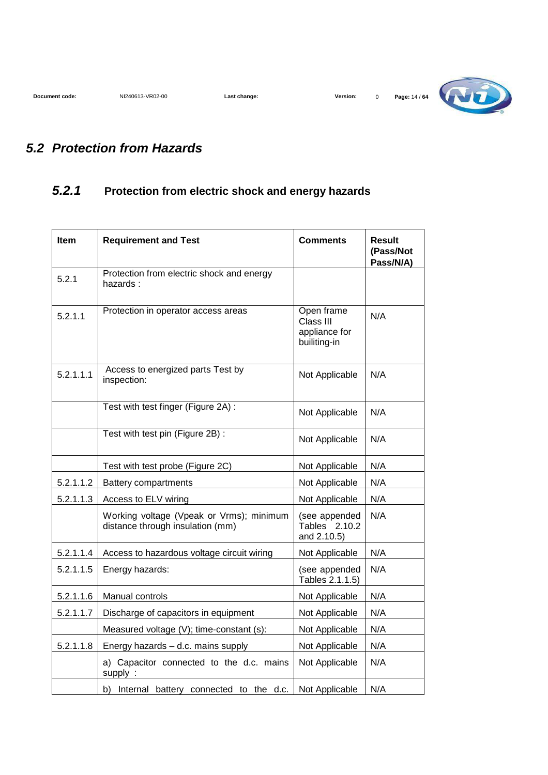

#### **5.2 Protection from Hazards**

#### **5.2.1 Protection from electric shock and energy hazards**

| <b>Item</b> | <b>Requirement and Test</b>                                                  | <b>Comments</b>                                          | <b>Result</b><br>(Pass/Not<br>Pass/N/A) |
|-------------|------------------------------------------------------------------------------|----------------------------------------------------------|-----------------------------------------|
| 5.2.1       | Protection from electric shock and energy<br>hazards:                        |                                                          |                                         |
| 5.2.1.1     | Protection in operator access areas                                          | Open frame<br>Class III<br>appliance for<br>builiting-in | N/A                                     |
| 5.2.1.1.1   | Access to energized parts Test by<br>inspection:                             | Not Applicable                                           | N/A                                     |
|             | Test with test finger (Figure 2A) :                                          | Not Applicable                                           | N/A                                     |
|             | Test with test pin (Figure 2B) :                                             | Not Applicable                                           | N/A                                     |
|             | Test with test probe (Figure 2C)                                             | Not Applicable                                           | N/A                                     |
| 5.2.1.1.2   | <b>Battery compartments</b>                                                  | Not Applicable                                           | N/A                                     |
| 5.2.1.1.3   | Access to ELV wiring                                                         | Not Applicable                                           | N/A                                     |
|             | Working voltage (Vpeak or Vrms); minimum<br>distance through insulation (mm) | (see appended<br>Tables 2.10.2<br>and 2.10.5)            | N/A                                     |
| 5.2.1.1.4   | Access to hazardous voltage circuit wiring                                   | Not Applicable                                           | N/A                                     |
| 5.2.1.1.5   | Energy hazards:                                                              | (see appended<br>Tables 2.1.1.5)                         | N/A                                     |
| 5.2.1.1.6   | Manual controls                                                              | Not Applicable                                           | N/A                                     |
| 5.2.1.1.7   | Discharge of capacitors in equipment                                         | Not Applicable                                           | N/A                                     |
|             | Measured voltage (V); time-constant (s):                                     | Not Applicable                                           | N/A                                     |
| 5.2.1.1.8   | Energy hazards - d.c. mains supply                                           | Not Applicable                                           | N/A                                     |
|             | a) Capacitor connected to the d.c. mains<br>supply:                          | Not Applicable                                           | N/A                                     |
|             | b) Internal battery connected to the d.c.                                    | Not Applicable                                           | N/A                                     |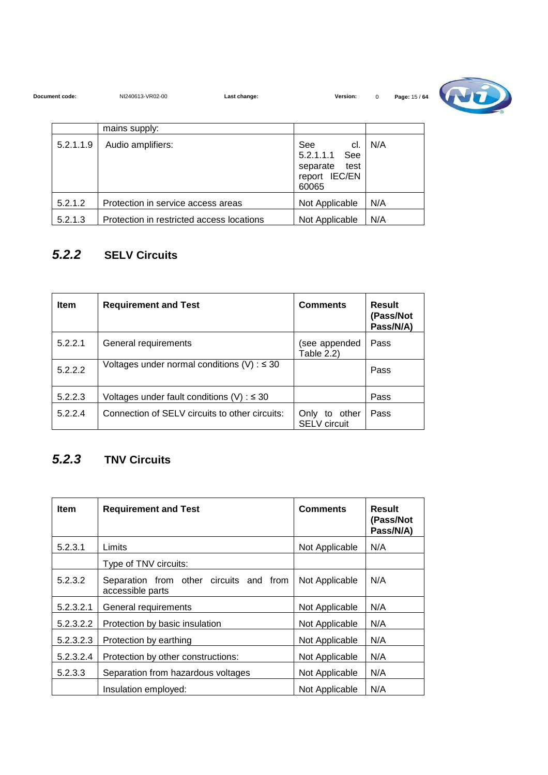| Document code: | NI240613-VR02-00                          | Last change:                                 | Version:                            | $\mathbf 0$ | Page: 15 / 64 |  |
|----------------|-------------------------------------------|----------------------------------------------|-------------------------------------|-------------|---------------|--|
|                | mains supply:                             |                                              |                                     |             |               |  |
| 5.2.1.1.9      | Audio amplifiers:                         | <b>See</b><br>5.2.1.1.1<br>separate<br>60065 | cl.<br>See<br>test<br>report IEC/EN | N/A         |               |  |
| 5.2.1.2        | Protection in service access areas        |                                              | Not Applicable                      | N/A         |               |  |
| 5.2.1.3        | Protection in restricted access locations |                                              | Not Applicable                      | N/A         |               |  |

### **5.2.2 SELV Circuits**

| <b>Item</b> | <b>Requirement and Test</b>                        | <b>Comments</b>                      | <b>Result</b><br>(Pass/Not<br>Pass/N/A) |
|-------------|----------------------------------------------------|--------------------------------------|-----------------------------------------|
| 5.2.2.1     | General requirements                               | (see appended<br>Table 2.2)          | Pass                                    |
| 5.2.2.2     | Voltages under normal conditions $(V)$ : $\leq$ 30 |                                      | Pass                                    |
| 5.2.2.3     | Voltages under fault conditions (V) : $\leq$ 30    |                                      | Pass                                    |
| 5.2.2.4     | Connection of SELV circuits to other circuits:     | Only to other<br><b>SELV</b> circuit | Pass                                    |

## **5.2.3 TNV Circuits**

| <b>Item</b> | <b>Requirement and Test</b>                                 | <b>Comments</b> | Result<br>(Pass/Not<br>Pass/N/A) |
|-------------|-------------------------------------------------------------|-----------------|----------------------------------|
| 5.2.3.1     | Limits                                                      | Not Applicable  | N/A                              |
|             | Type of TNV circuits:                                       |                 |                                  |
| 5.2.3.2     | Separation from other circuits and from<br>accessible parts | Not Applicable  | N/A                              |
| 5.2.3.2.1   | General requirements                                        | Not Applicable  | N/A                              |
| 5.2.3.2.2   | Protection by basic insulation                              | Not Applicable  | N/A                              |
| 5.2.3.2.3   | Protection by earthing                                      | Not Applicable  | N/A                              |
| 5.2.3.2.4   | Protection by other constructions:                          | Not Applicable  | N/A                              |
| 5.2.3.3     | Separation from hazardous voltages                          | Not Applicable  | N/A                              |
|             | Insulation employed:                                        | Not Applicable  | N/A                              |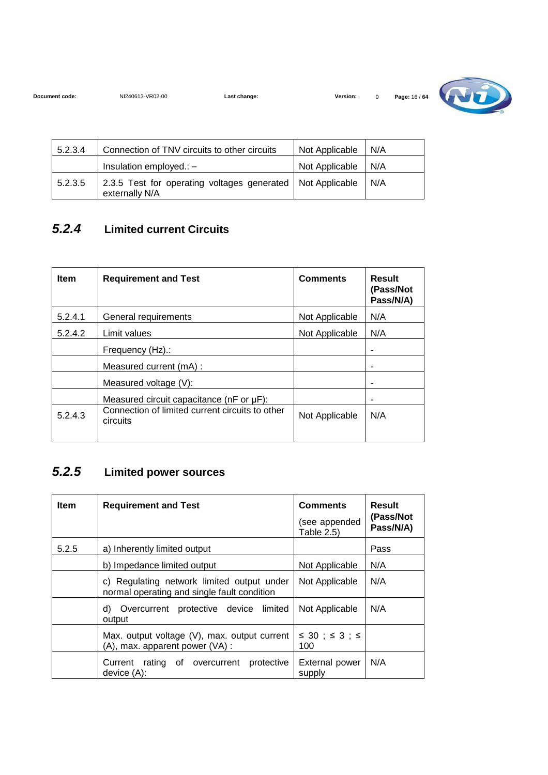| Document code: | NI240613-VR02-00 | Last change: | <b>Version:</b> | Page: 16 / 64 |
|----------------|------------------|--------------|-----------------|---------------|



| 5.2.3.4 | Connection of TNV circuits to other circuits                                   | Not Applicable | N/A |
|---------|--------------------------------------------------------------------------------|----------------|-----|
|         | Insulation employed.: -                                                        | Not Applicable | N/A |
| 5.2.3.5 | 2.3.5 Test for operating voltages generated   Not Applicable<br>externally N/A |                | N/A |

#### **5.2.4 Limited current Circuits**

| <b>Item</b> | <b>Requirement and Test</b>                                 | <b>Comments</b> | <b>Result</b><br>(Pass/Not<br>Pass/N/A) |
|-------------|-------------------------------------------------------------|-----------------|-----------------------------------------|
| 5.2.4.1     | General requirements                                        | Not Applicable  | N/A                                     |
| 5.2.4.2     | Limit values                                                | Not Applicable  | N/A                                     |
|             | Frequency (Hz).:                                            |                 |                                         |
|             | Measured current (mA) :                                     |                 | ۰                                       |
|             | Measured voltage (V):                                       |                 |                                         |
|             | Measured circuit capacitance ( $nF$ or $\mu F$ ):           |                 | ۰                                       |
| 5.2.4.3     | Connection of limited current circuits to other<br>circuits | Not Applicable  | N/A                                     |

#### **5.2.5 Limited power sources**

| <b>Item</b> | <b>Requirement and Test</b>                                                               | <b>Comments</b><br>(see appended<br>Table 2.5) | Result<br>(Pass/Not<br>Pass/N/A) |
|-------------|-------------------------------------------------------------------------------------------|------------------------------------------------|----------------------------------|
| 5.2.5       | a) Inherently limited output                                                              |                                                | Pass                             |
|             | b) Impedance limited output                                                               | Not Applicable                                 | N/A                              |
|             | c) Regulating network limited output under<br>normal operating and single fault condition | Not Applicable                                 | N/A                              |
|             | d) Overcurrent protective device limited<br>output                                        | Not Applicable                                 | N/A                              |
|             | Max. output voltage (V), max. output current<br>(A), max. apparent power (VA) :           | $\leq$ 30 ; $\leq$ 3 ; $\leq$<br>100           |                                  |
|             | protective<br>Current rating of overcurrent<br>$device(A)$ :                              | <b>External power</b><br>supply                | N/A                              |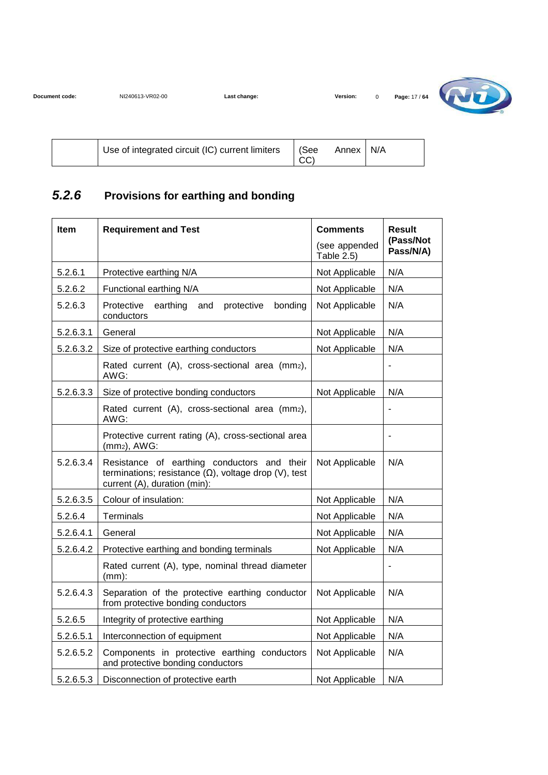| Document code: | NI240613-VR02-00 | ∟ast chanɑe: | Version: | Page: 17 / 64 |
|----------------|------------------|--------------|----------|---------------|
|                |                  |              |          |               |



|  | <sup>1</sup> Use of integrated circuit (IC) current limiters | See<br>CC) | Annex | N/A |
|--|--------------------------------------------------------------|------------|-------|-----|
|--|--------------------------------------------------------------|------------|-------|-----|

#### **5.2.6 Provisions for earthing and bonding**

| Item      | <b>Requirement and Test</b>                                                                                                                 | <b>Comments</b>             | <b>Result</b>          |
|-----------|---------------------------------------------------------------------------------------------------------------------------------------------|-----------------------------|------------------------|
|           |                                                                                                                                             | (see appended<br>Table 2.5) | (Pass/Not<br>Pass/N/A) |
| 5.2.6.1   | Protective earthing N/A                                                                                                                     | Not Applicable              | N/A                    |
| 5.2.6.2   | Functional earthing N/A                                                                                                                     | Not Applicable              | N/A                    |
| 5.2.6.3   | Protective<br>earthing<br>bonding<br>and<br>protective<br>conductors                                                                        | Not Applicable              | N/A                    |
| 5.2.6.3.1 | General                                                                                                                                     | Not Applicable              | N/A                    |
| 5.2.6.3.2 | Size of protective earthing conductors                                                                                                      | Not Applicable              | N/A                    |
|           | Rated current (A), cross-sectional area (mm2),<br>AWG:                                                                                      |                             | $\blacksquare$         |
| 5.2.6.3.3 | Size of protective bonding conductors                                                                                                       | Not Applicable              | N/A                    |
|           | Rated current (A), cross-sectional area (mm2),<br>AWG:                                                                                      |                             |                        |
|           | Protective current rating (A), cross-sectional area<br>$(mm2)$ , AWG:                                                                       |                             |                        |
| 5.2.6.3.4 | Resistance of earthing conductors and their<br>terminations; resistance $(\Omega)$ , voltage drop (V), test<br>current (A), duration (min): | Not Applicable              | N/A                    |
| 5.2.6.3.5 | Colour of insulation:                                                                                                                       | Not Applicable              | N/A                    |
| 5.2.6.4   | Terminals                                                                                                                                   | Not Applicable              | N/A                    |
| 5.2.6.4.1 | General                                                                                                                                     | Not Applicable              | N/A                    |
| 5.2.6.4.2 | Protective earthing and bonding terminals                                                                                                   | Not Applicable              | N/A                    |
|           | Rated current (A), type, nominal thread diameter<br>$(mm)$ :                                                                                |                             | $\blacksquare$         |
| 5.2.6.4.3 | Separation of the protective earthing conductor<br>Not Applicable<br>from protective bonding conductors                                     |                             | N/A                    |
| 5.2.6.5   | Integrity of protective earthing                                                                                                            | Not Applicable              | N/A                    |
| 5.2.6.5.1 | Interconnection of equipment                                                                                                                | Not Applicable              | N/A                    |
| 5.2.6.5.2 | Components in protective earthing conductors<br>Not Applicable<br>and protective bonding conductors                                         |                             | N/A                    |
| 5.2.6.5.3 | Disconnection of protective earth                                                                                                           | Not Applicable              | N/A                    |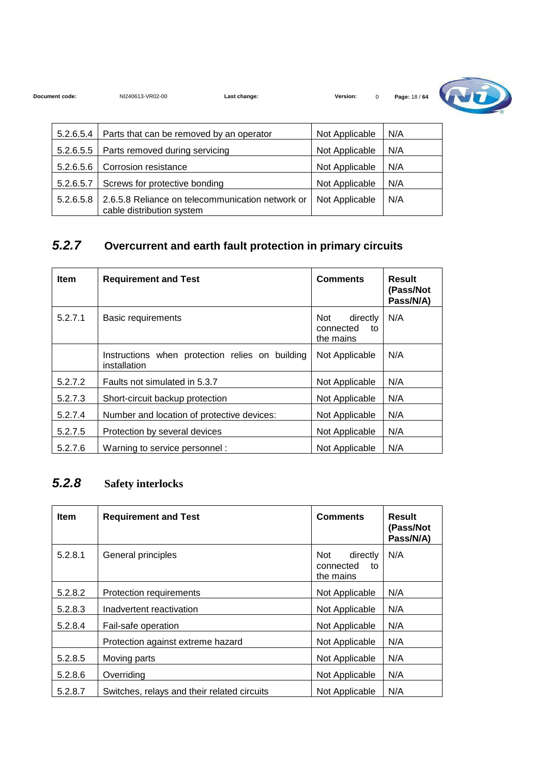**Document code:** NI240613-VR02-00 **Last change: Version:** 0 **Page:** 18 / **64**



| 5.2.6.5.4 | Parts that can be removed by an operator                                      | Not Applicable | N/A |
|-----------|-------------------------------------------------------------------------------|----------------|-----|
| 5.2.6.5.5 | Parts removed during servicing                                                | Not Applicable | N/A |
| 5.2.6.5.6 | Corrosion resistance                                                          | Not Applicable | N/A |
| 5.2.6.5.7 | Screws for protective bonding                                                 | Not Applicable | N/A |
| 5.2.6.5.8 | 2.6.5.8 Reliance on telecommunication network or<br>cable distribution system | Not Applicable | N/A |

### **5.2.7 Overcurrent and earth fault protection in primary circuits**

| <b>Item</b> | <b>Requirement and Test</b>                                     | <b>Comments</b>                                  | Result<br>(Pass/Not<br>Pass/N/A) |
|-------------|-----------------------------------------------------------------|--------------------------------------------------|----------------------------------|
| 5.2.7.1     | Basic requirements                                              | Not.<br>directly<br>connected<br>to<br>the mains | N/A                              |
|             | Instructions when protection relies on building<br>installation | Not Applicable                                   | N/A                              |
| 5.2.7.2     | Faults not simulated in 5.3.7                                   | Not Applicable                                   | N/A                              |
| 5.2.7.3     | Short-circuit backup protection                                 | Not Applicable                                   | N/A                              |
| 5.2.7.4     | Number and location of protective devices:                      | Not Applicable                                   | N/A                              |
| 5.2.7.5     | Protection by several devices                                   | Not Applicable                                   | N/A                              |
| 5.2.7.6     | Warning to service personnel:                                   | Not Applicable                                   | N/A                              |

#### **5.2.8 Safety interlocks**

| <b>Item</b> | <b>Requirement and Test</b>                 | <b>Comments</b>                                 | <b>Result</b><br>(Pass/Not<br>Pass/N/A) |
|-------------|---------------------------------------------|-------------------------------------------------|-----------------------------------------|
| 5.2.8.1     | General principles                          | Not<br>directly<br>connected<br>to<br>the mains | N/A                                     |
| 5.2.8.2     | Protection requirements                     | Not Applicable                                  | N/A                                     |
| 5.2.8.3     | Inadvertent reactivation                    | Not Applicable                                  | N/A                                     |
| 5.2.8.4     | Fail-safe operation                         | Not Applicable                                  | N/A                                     |
|             | Protection against extreme hazard           | Not Applicable                                  | N/A                                     |
| 5.2.8.5     | Moving parts                                | Not Applicable                                  | N/A                                     |
| 5.2.8.6     | Overriding                                  | Not Applicable                                  | N/A                                     |
| 5.2.8.7     | Switches, relays and their related circuits | Not Applicable                                  | N/A                                     |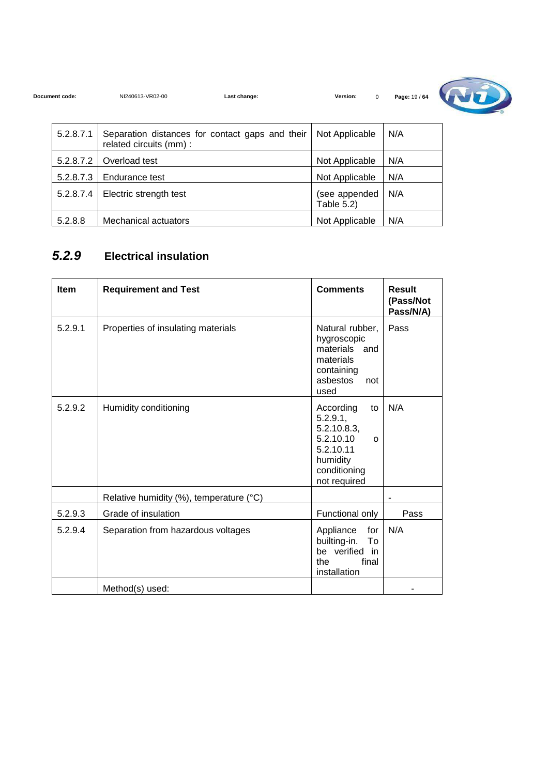| Document code: | NI240613-VR02-00                                                           | Last change: | Version:<br>$\mathbf 0$     | Page: 19 / 64 |  |
|----------------|----------------------------------------------------------------------------|--------------|-----------------------------|---------------|--|
| 5.2.8.7.1      | Separation distances for contact gaps and their<br>related circuits (mm) : |              | Not Applicable              | N/A           |  |
| 5.2.8.7.2      | Overload test                                                              |              | Not Applicable              | N/A           |  |
| 5.2.8.7.3      | Endurance test                                                             |              | Not Applicable              | N/A           |  |
| 5.2.8.7.4      | Electric strength test                                                     |              | (see appended<br>Table 5.2) | N/A           |  |
| 5.2.8.8        | Mechanical actuators                                                       |              | Not Applicable              | N/A           |  |

#### **5.2.9 Electrical insulation**

| <b>Item</b> | <b>Requirement and Test</b>             | <b>Comments</b>                                                                                                              | Result<br>(Pass/Not<br>Pass/N/A) |
|-------------|-----------------------------------------|------------------------------------------------------------------------------------------------------------------------------|----------------------------------|
| 5.2.9.1     | Properties of insulating materials      | Natural rubber,<br>hygroscopic<br>materials<br>and<br>materials<br>containing<br>asbestos<br>not<br>used                     | Pass                             |
| 5.2.9.2     | Humidity conditioning                   | According<br>to<br>5.2.9.1,<br>5.2.10.8.3,<br>5.2.10.10<br>$\Omega$<br>5.2.10.11<br>humidity<br>conditioning<br>not required | N/A                              |
|             | Relative humidity (%), temperature (°C) |                                                                                                                              |                                  |
| 5.2.9.3     | Grade of insulation                     | Functional only                                                                                                              | Pass                             |
| 5.2.9.4     | Separation from hazardous voltages      | Appliance<br>for<br>builting-in.<br>To<br>be verified in<br>final<br>the<br>installation                                     | N/A                              |
|             | Method(s) used:                         |                                                                                                                              |                                  |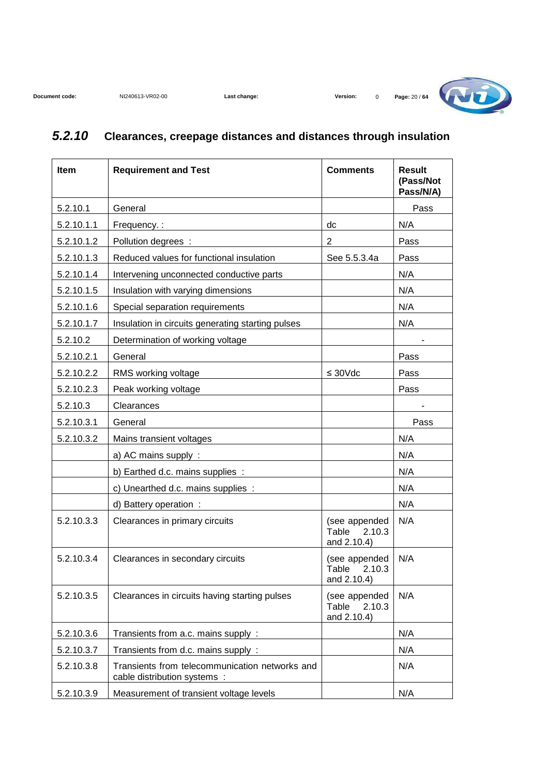

### **5.2.10 Clearances, creepage distances and distances through insulation**

| Item       | <b>Requirement and Test</b>                                                    | <b>Comments</b>                                 | <b>Result</b><br>(Pass/Not<br>Pass/N/A) |
|------------|--------------------------------------------------------------------------------|-------------------------------------------------|-----------------------------------------|
| 5.2.10.1   | General                                                                        |                                                 | Pass                                    |
| 5.2.10.1.1 | Frequency.:                                                                    | dc                                              | N/A                                     |
| 5.2.10.1.2 | Pollution degrees :                                                            | $\overline{2}$                                  | Pass                                    |
| 5.2.10.1.3 | Reduced values for functional insulation                                       | See 5.5.3.4a                                    | Pass                                    |
| 5.2.10.1.4 | Intervening unconnected conductive parts                                       |                                                 | N/A                                     |
| 5.2.10.1.5 | Insulation with varying dimensions                                             |                                                 | N/A                                     |
| 5.2.10.1.6 | Special separation requirements                                                |                                                 | N/A                                     |
| 5.2.10.1.7 | Insulation in circuits generating starting pulses                              |                                                 | N/A                                     |
| 5.2.10.2   | Determination of working voltage                                               |                                                 |                                         |
| 5.2.10.2.1 | General                                                                        |                                                 | Pass                                    |
| 5.2.10.2.2 | RMS working voltage                                                            | $\leq 30 \text{Vdc}$                            | Pass                                    |
| 5.2.10.2.3 | Peak working voltage                                                           |                                                 | Pass                                    |
| 5.2.10.3   | Clearances                                                                     |                                                 |                                         |
| 5.2.10.3.1 | General                                                                        |                                                 | Pass                                    |
| 5.2.10.3.2 | Mains transient voltages                                                       |                                                 | N/A                                     |
|            | a) AC mains supply :                                                           |                                                 | N/A                                     |
|            | b) Earthed d.c. mains supplies :                                               |                                                 | N/A                                     |
|            | c) Unearthed d.c. mains supplies :                                             |                                                 | N/A                                     |
|            | d) Battery operation :                                                         |                                                 | N/A                                     |
| 5.2.10.3.3 | Clearances in primary circuits                                                 | (see appended<br>Table<br>2.10.3<br>and 2.10.4) | N/A                                     |
| 5.2.10.3.4 | Clearances in secondary circuits                                               | (see appended<br>Table 2.10.3<br>and 2.10.4)    | N/A                                     |
| 5.2.10.3.5 | Clearances in circuits having starting pulses                                  | (see appended<br>Table<br>2.10.3<br>and 2.10.4) | N/A                                     |
| 5.2.10.3.6 | Transients from a.c. mains supply:                                             |                                                 | N/A                                     |
| 5.2.10.3.7 | Transients from d.c. mains supply :                                            |                                                 | N/A                                     |
| 5.2.10.3.8 | Transients from telecommunication networks and<br>cable distribution systems : |                                                 | N/A                                     |
| 5.2.10.3.9 | Measurement of transient voltage levels                                        |                                                 | N/A                                     |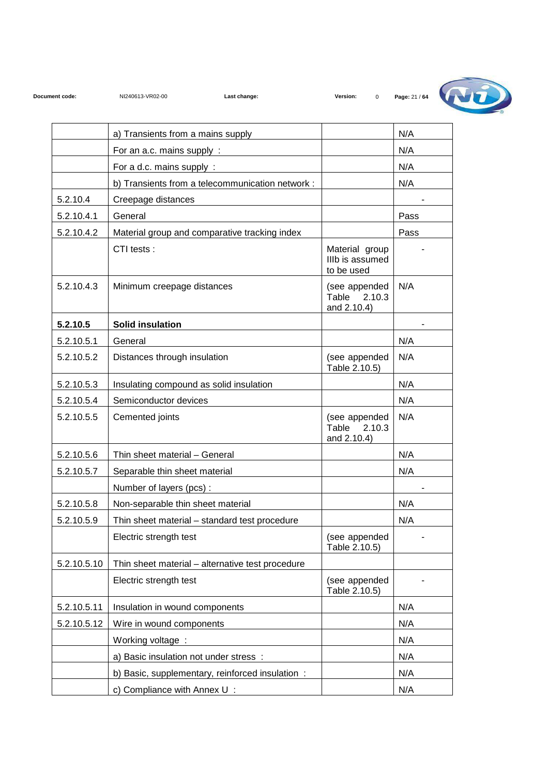

|             | a) Transients from a mains supply                |                                                 | N/A  |
|-------------|--------------------------------------------------|-------------------------------------------------|------|
|             | For an a.c. mains supply:                        |                                                 | N/A  |
|             | For a d.c. mains supply:                         |                                                 | N/A  |
|             | b) Transients from a telecommunication network : |                                                 | N/A  |
| 5.2.10.4    | Creepage distances                               |                                                 |      |
| 5.2.10.4.1  | General                                          |                                                 | Pass |
| 5.2.10.4.2  | Material group and comparative tracking index    |                                                 | Pass |
|             | CTI tests:                                       | Material group<br>IIIb is assumed<br>to be used |      |
| 5.2.10.4.3  | Minimum creepage distances                       | (see appended<br>2.10.3<br>Table<br>and 2.10.4) | N/A  |
| 5.2.10.5    | <b>Solid insulation</b>                          |                                                 |      |
| 5.2.10.5.1  | General                                          |                                                 | N/A  |
| 5.2.10.5.2  | Distances through insulation                     | (see appended<br>Table 2.10.5)                  | N/A  |
| 5.2.10.5.3  | Insulating compound as solid insulation          |                                                 | N/A  |
| 5.2.10.5.4  | Semiconductor devices                            |                                                 | N/A  |
| 5.2.10.5.5  | Cemented joints                                  | (see appended<br>Table<br>2.10.3<br>and 2.10.4) | N/A  |
| 5.2.10.5.6  | Thin sheet material - General                    |                                                 | N/A  |
| 5.2.10.5.7  | Separable thin sheet material                    |                                                 | N/A  |
|             | Number of layers (pcs):                          |                                                 |      |
| 5.2.10.5.8  | Non-separable thin sheet material                |                                                 | N/A  |
| 5.2.10.5.9  | Thin sheet material - standard test procedure    |                                                 | N/A  |
|             | Electric strength test                           | (see appended<br>Table 2.10.5)                  |      |
| 5.2.10.5.10 | Thin sheet material - alternative test procedure |                                                 |      |
|             | Electric strength test                           | (see appended<br>Table 2.10.5)                  |      |
| 5.2.10.5.11 | Insulation in wound components                   |                                                 | N/A  |
| 5.2.10.5.12 | Wire in wound components                         |                                                 | N/A  |
|             | Working voltage:                                 |                                                 | N/A  |
|             | a) Basic insulation not under stress :           |                                                 | N/A  |
|             | b) Basic, supplementary, reinforced insulation : |                                                 | N/A  |
|             | c) Compliance with Annex U:                      |                                                 | N/A  |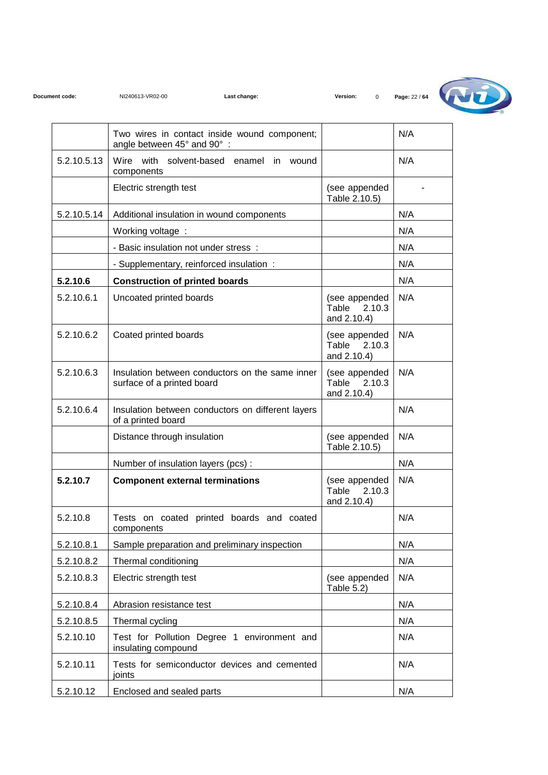

|             | Two wires in contact inside wound component;<br>angle between 45° and 90°:    |                                                 | N/A |
|-------------|-------------------------------------------------------------------------------|-------------------------------------------------|-----|
| 5.2.10.5.13 | Wire with solvent-based enamel in<br>wound<br>components                      |                                                 | N/A |
|             | Electric strength test                                                        | (see appended<br>Table 2.10.5)                  |     |
| 5.2.10.5.14 | Additional insulation in wound components                                     |                                                 | N/A |
|             | Working voltage:                                                              |                                                 | N/A |
|             | - Basic insulation not under stress :                                         |                                                 | N/A |
|             | - Supplementary, reinforced insulation:                                       |                                                 | N/A |
| 5.2.10.6    | <b>Construction of printed boards</b>                                         |                                                 | N/A |
| 5.2.10.6.1  | Uncoated printed boards                                                       | (see appended<br>Table<br>2.10.3<br>and 2.10.4) | N/A |
| 5.2.10.6.2  | Coated printed boards                                                         | (see appended<br>Table 2.10.3<br>and 2.10.4)    | N/A |
| 5.2.10.6.3  | Insulation between conductors on the same inner<br>surface of a printed board | (see appended<br>2.10.3<br>Table<br>and 2.10.4) | N/A |
| 5.2.10.6.4  | Insulation between conductors on different layers<br>of a printed board       |                                                 | N/A |
|             | Distance through insulation                                                   | (see appended<br>Table 2.10.5)                  | N/A |
|             | Number of insulation layers (pcs):                                            |                                                 | N/A |
| 5.2.10.7    | <b>Component external terminations</b>                                        | (see appended<br>Table<br>2.10.3<br>and 2.10.4) | N/A |
| 5.2.10.8    | Tests on coated printed boards and coated<br>components                       |                                                 | N/A |
| 5.2.10.8.1  | Sample preparation and preliminary inspection                                 |                                                 | N/A |
| 5.2.10.8.2  | Thermal conditioning                                                          |                                                 | N/A |
| 5.2.10.8.3  | Electric strength test                                                        | (see appended<br>Table 5.2)                     | N/A |
| 5.2.10.8.4  | Abrasion resistance test                                                      |                                                 | N/A |
| 5.2.10.8.5  | Thermal cycling                                                               |                                                 | N/A |
| 5.2.10.10   | Test for Pollution Degree 1 environment and<br>insulating compound            |                                                 | N/A |
| 5.2.10.11   | Tests for semiconductor devices and cemented<br>joints                        |                                                 | N/A |
| 5.2.10.12   | Enclosed and sealed parts                                                     |                                                 | N/A |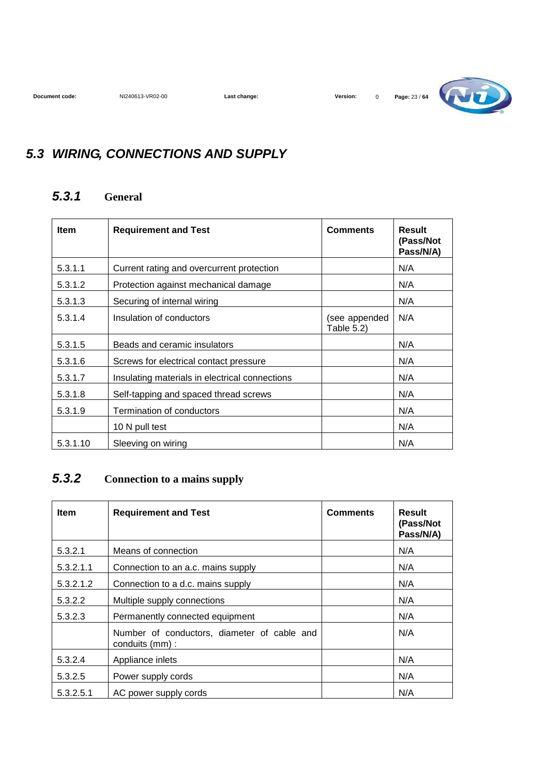

## **5.3 WIRING, CONNECTIONS AND SUPPLY**

#### **5.3.1 General**

| <b>Item</b> | <b>Requirement and Test</b>                    | <b>Comments</b>             | <b>Result</b><br>(Pass/Not<br>Pass/N/A) |
|-------------|------------------------------------------------|-----------------------------|-----------------------------------------|
| 5.3.1.1     | Current rating and overcurrent protection      |                             | N/A                                     |
| 5.3.1.2     | Protection against mechanical damage           |                             | N/A                                     |
| 5.3.1.3     | Securing of internal wiring                    |                             | N/A                                     |
| 5.3.1.4     | Insulation of conductors                       | (see appended<br>Table 5.2) | N/A                                     |
| 5.3.1.5     | Beads and ceramic insulators                   |                             | N/A                                     |
| 5.3.1.6     | Screws for electrical contact pressure         |                             | N/A                                     |
| 5.3.1.7     | Insulating materials in electrical connections |                             | N/A                                     |
| 5.3.1.8     | Self-tapping and spaced thread screws          |                             | N/A                                     |
| 5.3.1.9     | Termination of conductors                      |                             | N/A                                     |
|             | 10 N pull test                                 |                             | N/A                                     |
| 5.3.1.10    | Sleeving on wiring                             |                             | N/A                                     |

#### **5.3.2 Connection to a mains supply**

| <b>Item</b> | <b>Requirement and Test</b>                                    | <b>Comments</b> | Result<br>(Pass/Not<br>Pass/N/A) |
|-------------|----------------------------------------------------------------|-----------------|----------------------------------|
| 5.3.2.1     | Means of connection                                            |                 | N/A                              |
| 5.3.2.1.1   | Connection to an a.c. mains supply                             |                 | N/A                              |
| 5.3.2.1.2   | Connection to a d.c. mains supply                              |                 | N/A                              |
| 5.3.2.2     | Multiple supply connections                                    |                 | N/A                              |
| 5.3.2.3     | Permanently connected equipment                                |                 | N/A                              |
|             | Number of conductors, diameter of cable and<br>conduits (mm) : |                 | N/A                              |
| 5.3.2.4     | Appliance inlets                                               |                 | N/A                              |
| 5.3.2.5     | Power supply cords                                             |                 | N/A                              |
| 5.3.2.5.1   | AC power supply cords                                          |                 | N/A                              |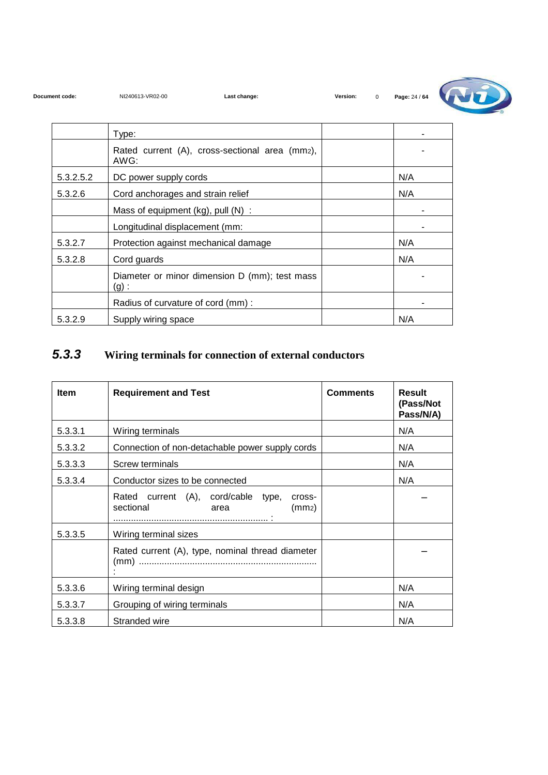| Document code: |  |
|----------------|--|
|----------------|--|



|           | Type:                                                  |     |
|-----------|--------------------------------------------------------|-----|
|           | Rated current (A), cross-sectional area (mm2),<br>AWG: |     |
| 5.3.2.5.2 | DC power supply cords                                  | N/A |
| 5.3.2.6   | Cord anchorages and strain relief                      | N/A |
|           | Mass of equipment (kg), pull (N) :                     |     |
|           | Longitudinal displacement (mm:                         |     |
| 5.3.2.7   | Protection against mechanical damage                   | N/A |
| 5.3.2.8   | Cord guards                                            | N/A |
|           | Diameter or minor dimension D (mm); test mass<br>(g):  |     |
|           | Radius of curvature of cord (mm):                      |     |
| 5.3.2.9   | Supply wiring space                                    | N/A |

### **5.3.3 Wiring terminals for connection of external conductors**

| <b>Item</b> | <b>Requirement and Test</b>                                                              | <b>Comments</b> | <b>Result</b><br>(Pass/Not<br>Pass/N/A) |
|-------------|------------------------------------------------------------------------------------------|-----------------|-----------------------------------------|
| 5.3.3.1     | Wiring terminals                                                                         |                 | N/A                                     |
| 5.3.3.2     | Connection of non-detachable power supply cords                                          |                 | N/A                                     |
| 5.3.3.3     | Screw terminals                                                                          |                 | N/A                                     |
| 5.3.3.4     | Conductor sizes to be connected                                                          |                 | N/A                                     |
|             | Rated current (A), cord/cable type,<br>cross-<br>sectional<br>(mm <sub>2</sub> )<br>area |                 |                                         |
| 5.3.3.5     | Wiring terminal sizes                                                                    |                 |                                         |
|             | Rated current (A), type, nominal thread diameter                                         |                 |                                         |
| 5.3.3.6     | Wiring terminal design                                                                   |                 | N/A                                     |
| 5.3.3.7     | Grouping of wiring terminals                                                             |                 | N/A                                     |
| 5.3.3.8     | Stranded wire                                                                            |                 | N/A                                     |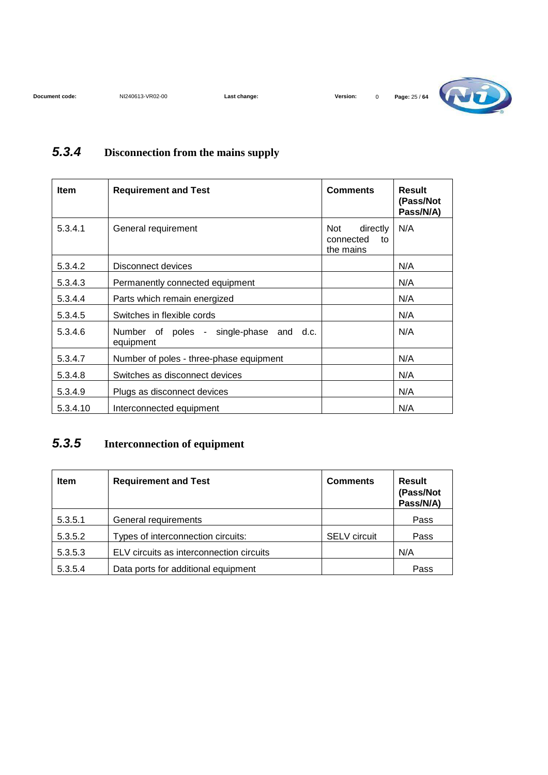

#### **5.3.4 Disconnection from the mains supply**

| <b>Item</b> | <b>Requirement and Test</b>                          | <b>Comments</b>                                 | <b>Result</b><br>(Pass/Not<br>Pass/N/A) |
|-------------|------------------------------------------------------|-------------------------------------------------|-----------------------------------------|
| 5.3.4.1     | General requirement                                  | directly<br>Not<br>connected<br>to<br>the mains | N/A                                     |
| 5.3.4.2     | Disconnect devices                                   |                                                 | N/A                                     |
| 5.3.4.3     | Permanently connected equipment                      |                                                 | N/A                                     |
| 5.3.4.4     | Parts which remain energized                         |                                                 | N/A                                     |
| 5.3.4.5     | Switches in flexible cords                           |                                                 | N/A                                     |
| 5.3.4.6     | Number of poles - single-phase and d.c.<br>equipment |                                                 | N/A                                     |
| 5.3.4.7     | Number of poles - three-phase equipment              |                                                 | N/A                                     |
| 5.3.4.8     | Switches as disconnect devices                       |                                                 | N/A                                     |
| 5.3.4.9     | Plugs as disconnect devices                          |                                                 | N/A                                     |
| 5.3.4.10    | Interconnected equipment                             |                                                 | N/A                                     |

#### **5.3.5 Interconnection of equipment**

| <b>Item</b> | <b>Requirement and Test</b>              | <b>Comments</b>     | <b>Result</b><br>(Pass/Not<br>Pass/N/A) |
|-------------|------------------------------------------|---------------------|-----------------------------------------|
| 5.3.5.1     | General requirements                     |                     | Pass                                    |
| 5.3.5.2     | Types of interconnection circuits:       | <b>SELV</b> circuit | Pass                                    |
| 5.3.5.3     | ELV circuits as interconnection circuits |                     | N/A                                     |
| 5.3.5.4     | Data ports for additional equipment      |                     | Pass                                    |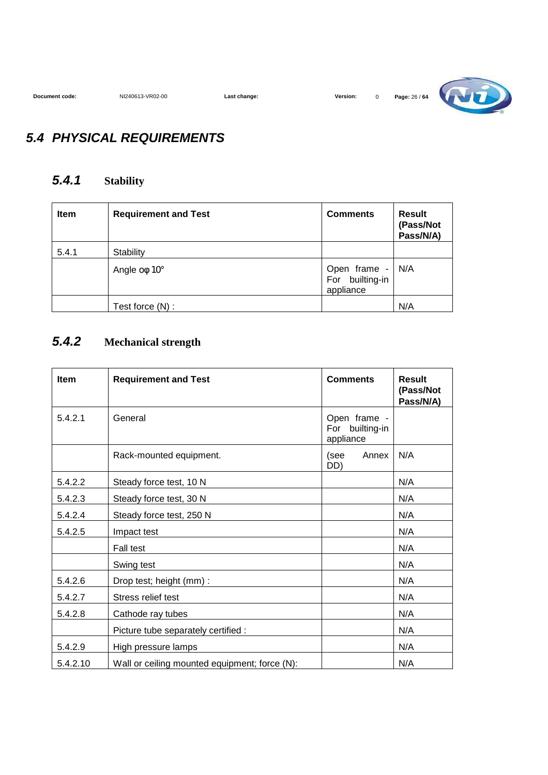

#### **5.4 PHYSICAL REQUIREMENTS**

#### **5.4.1 Stability**

| <b>Item</b> | <b>Requirement and Test</b> | <b>Comments</b>                              | <b>Result</b><br>(Pass/Not<br>Pass/N/A) |
|-------------|-----------------------------|----------------------------------------------|-----------------------------------------|
| 5.4.1       | Stability                   |                                              |                                         |
|             | Angle $o\phi$ 10 $^{\circ}$ | Open frame -<br>For builting-in<br>appliance | N/A                                     |
|             | Test force (N) :            |                                              | N/A                                     |

#### **5.4.2 Mechanical strength**

| <b>Item</b> | <b>Requirement and Test</b>                   | <b>Comments</b>                              | Result<br>(Pass/Not<br>Pass/N/A) |
|-------------|-----------------------------------------------|----------------------------------------------|----------------------------------|
| 5.4.2.1     | General                                       | Open frame -<br>For builting-in<br>appliance |                                  |
|             | Rack-mounted equipment.                       | (see<br>Annex<br>DD)                         | N/A                              |
| 5.4.2.2     | Steady force test, 10 N                       |                                              | N/A                              |
| 5.4.2.3     | Steady force test, 30 N                       |                                              | N/A                              |
| 5.4.2.4     | Steady force test, 250 N                      |                                              | N/A                              |
| 5.4.2.5     | Impact test                                   |                                              | N/A                              |
|             | <b>Fall test</b>                              |                                              | N/A                              |
|             | Swing test                                    |                                              | N/A                              |
| 5.4.2.6     | Drop test; height (mm) :                      |                                              | N/A                              |
| 5.4.2.7     | Stress relief test                            |                                              | N/A                              |
| 5.4.2.8     | Cathode ray tubes                             |                                              | N/A                              |
|             | Picture tube separately certified :           |                                              | N/A                              |
| 5.4.2.9     | High pressure lamps                           |                                              | N/A                              |
| 5.4.2.10    | Wall or ceiling mounted equipment; force (N): |                                              | N/A                              |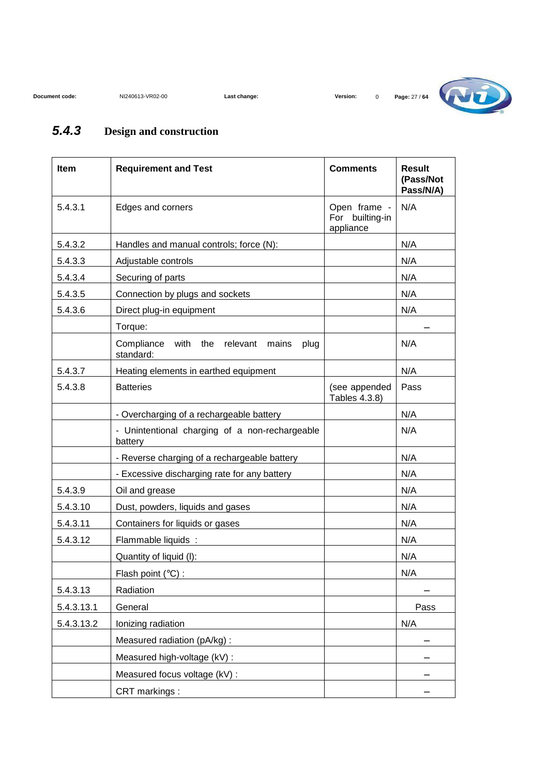

### **5.4.3 Design and construction**

| <b>Item</b> | <b>Requirement and Test</b>                                      | <b>Comments</b>                              | <b>Result</b><br>(Pass/Not<br>Pass/N/A) |
|-------------|------------------------------------------------------------------|----------------------------------------------|-----------------------------------------|
| 5.4.3.1     | Edges and corners                                                | Open frame -<br>For builting-in<br>appliance | N/A                                     |
| 5.4.3.2     | Handles and manual controls; force (N):                          |                                              | N/A                                     |
| 5.4.3.3     | Adjustable controls                                              |                                              | N/A                                     |
| 5.4.3.4     | Securing of parts                                                |                                              | N/A                                     |
| 5.4.3.5     | Connection by plugs and sockets                                  |                                              | N/A                                     |
| 5.4.3.6     | Direct plug-in equipment                                         |                                              | N/A                                     |
|             | Torque:                                                          |                                              |                                         |
|             | Compliance<br>with the<br>relevant<br>mains<br>plug<br>standard: |                                              | N/A                                     |
| 5.4.3.7     | Heating elements in earthed equipment                            |                                              | N/A                                     |
| 5.4.3.8     | <b>Batteries</b>                                                 | (see appended<br>Tables 4.3.8)               | Pass                                    |
|             | - Overcharging of a rechargeable battery                         |                                              | N/A                                     |
|             | - Unintentional charging of a non-rechargeable<br>battery        |                                              | N/A                                     |
|             | - Reverse charging of a rechargeable battery                     |                                              | N/A                                     |
|             | - Excessive discharging rate for any battery                     |                                              | N/A                                     |
| 5.4.3.9     | Oil and grease                                                   |                                              | N/A                                     |
| 5.4.3.10    | Dust, powders, liquids and gases                                 |                                              | N/A                                     |
| 5.4.3.11    | Containers for liquids or gases                                  |                                              | N/A                                     |
| 5.4.3.12    | Flammable liquids:                                               |                                              | N/A                                     |
|             | Quantity of liquid (I):                                          |                                              | N/A                                     |
|             | Flash point (°C) :                                               |                                              | N/A                                     |
| 5.4.3.13    | Radiation                                                        |                                              |                                         |
| 5.4.3.13.1  | General                                                          |                                              | Pass                                    |
| 5.4.3.13.2  | Ionizing radiation                                               |                                              | N/A                                     |
|             | Measured radiation (pA/kg):                                      |                                              |                                         |
|             | Measured high-voltage (kV) :                                     |                                              |                                         |
|             | Measured focus voltage (kV) :                                    |                                              |                                         |
|             | CRT markings:                                                    |                                              |                                         |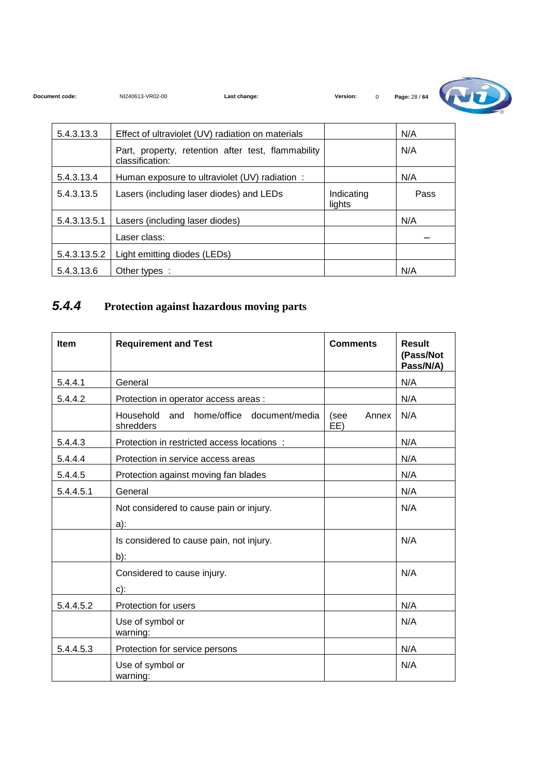

| 5.4.3.13.3   | Effect of ultraviolet (UV) radiation on materials                     |                      | N/A  |
|--------------|-----------------------------------------------------------------------|----------------------|------|
|              | Part, property, retention after test, flammability<br>classification: |                      | N/A  |
| 5.4.3.13.4   | Human exposure to ultraviolet (UV) radiation:                         |                      | N/A  |
| 5.4.3.13.5   | Lasers (including laser diodes) and LEDs                              | Indicating<br>lights | Pass |
| 5.4.3.13.5.1 | Lasers (including laser diodes)                                       |                      | N/A  |
|              | Laser class:                                                          |                      |      |
| 5.4.3.13.5.2 | Light emitting diodes (LEDs)                                          |                      |      |
| 5.4.3.13.6   | Other types :                                                         |                      | N/A  |

#### **5.4.4 Protection against hazardous moving parts**

| Item      | <b>Requirement and Test</b>                           | <b>Comments</b>      | <b>Result</b><br>(Pass/Not<br>Pass/N/A) |
|-----------|-------------------------------------------------------|----------------------|-----------------------------------------|
| 5.4.4.1   | General                                               |                      | N/A                                     |
| 5.4.4.2   | Protection in operator access areas :                 |                      | N/A                                     |
|           | Household and home/office document/media<br>shredders | (see<br>Annex<br>EE) | N/A                                     |
| 5.4.4.3   | Protection in restricted access locations :           |                      | N/A                                     |
| 5.4.4.4   | Protection in service access areas                    |                      | N/A                                     |
| 5.4.4.5   | Protection against moving fan blades                  |                      | N/A                                     |
| 5.4.4.5.1 | General                                               |                      | N/A                                     |
|           | Not considered to cause pain or injury.               |                      | N/A                                     |
|           | $a)$ :                                                |                      |                                         |
|           | Is considered to cause pain, not injury.              |                      | N/A                                     |
|           | $b)$ :                                                |                      |                                         |
|           | Considered to cause injury.                           |                      | N/A                                     |
|           | $c)$ :                                                |                      |                                         |
| 5.4.4.5.2 | Protection for users                                  |                      | N/A                                     |
|           | Use of symbol or<br>warning:                          |                      | N/A                                     |
| 5.4.4.5.3 | Protection for service persons                        |                      | N/A                                     |
|           | Use of symbol or<br>warning:                          |                      | N/A                                     |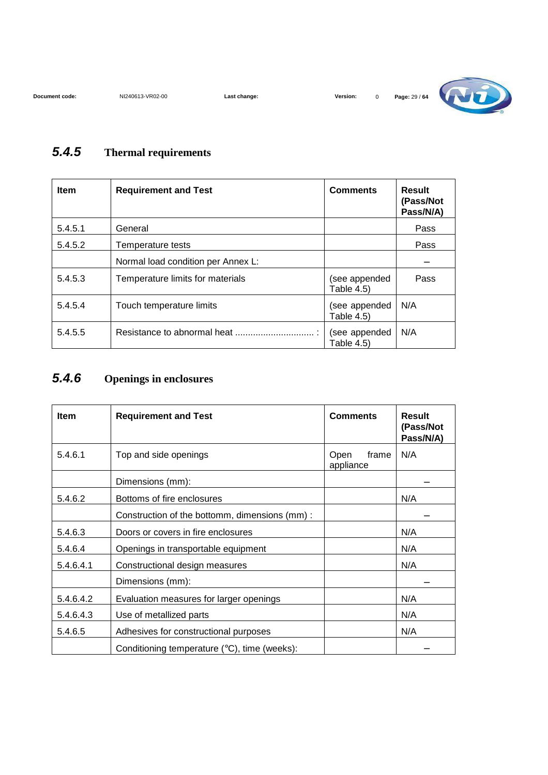

#### **5.4.5 Thermal requirements**

| <b>Item</b> | <b>Requirement and Test</b>        | <b>Comments</b>                    | Result<br>(Pass/Not<br>Pass/N/A) |
|-------------|------------------------------------|------------------------------------|----------------------------------|
| 5.4.5.1     | General                            |                                    | Pass                             |
| 5.4.5.2     | Temperature tests                  |                                    | Pass                             |
|             | Normal load condition per Annex L: |                                    |                                  |
| 5.4.5.3     | Temperature limits for materials   | (see appended<br>Table 4.5)        | Pass                             |
| 5.4.5.4     | Touch temperature limits           | (see appended<br><b>Table 4.5)</b> | N/A                              |
| 5.4.5.5     | Resistance to abnormal heat        | (see appended<br>Table 4.5)        | N/A                              |

#### **5.4.6 Openings in enclosures**

| <b>Item</b> | <b>Requirement and Test</b>                   | <b>Comments</b>            | <b>Result</b><br>(Pass/Not<br>Pass/N/A) |
|-------------|-----------------------------------------------|----------------------------|-----------------------------------------|
| 5.4.6.1     | Top and side openings                         | frame<br>Open<br>appliance | N/A                                     |
|             | Dimensions (mm):                              |                            |                                         |
| 5.4.6.2     | Bottoms of fire enclosures                    |                            | N/A                                     |
|             | Construction of the bottomm, dimensions (mm): |                            |                                         |
| 5.4.6.3     | Doors or covers in fire enclosures            |                            | N/A                                     |
| 5.4.6.4     | Openings in transportable equipment           |                            | N/A                                     |
| 5.4.6.4.1   | Constructional design measures                |                            | N/A                                     |
|             | Dimensions (mm):                              |                            |                                         |
| 5.4.6.4.2   | Evaluation measures for larger openings       |                            | N/A                                     |
| 5.4.6.4.3   | Use of metallized parts                       |                            | N/A                                     |
| 5.4.6.5     | Adhesives for constructional purposes         |                            | N/A                                     |
|             | Conditioning temperature (°C), time (weeks):  |                            |                                         |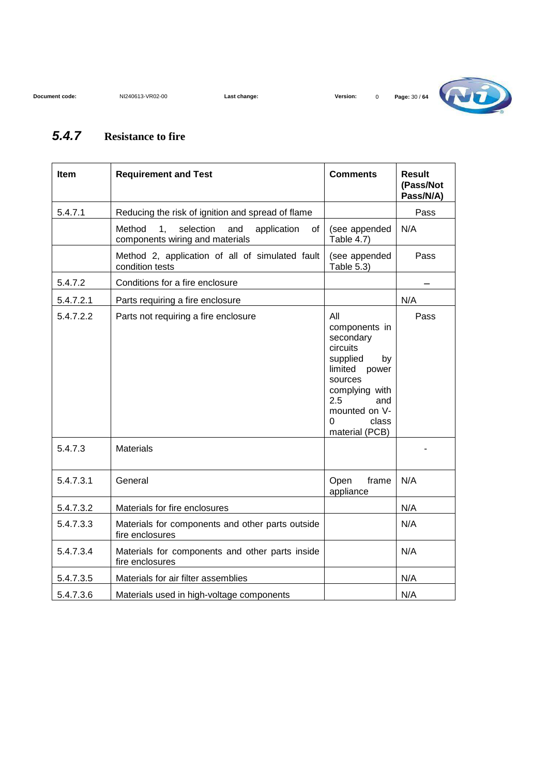

#### **5.4.7 Resistance to fire**

| Item      | <b>Requirement and Test</b>                                                                          | <b>Comments</b>                                                                                                                                                              | <b>Result</b><br>(Pass/Not<br>Pass/N/A) |
|-----------|------------------------------------------------------------------------------------------------------|------------------------------------------------------------------------------------------------------------------------------------------------------------------------------|-----------------------------------------|
| 5.4.7.1   | Reducing the risk of ignition and spread of flame                                                    |                                                                                                                                                                              | Pass                                    |
|           | Method<br>selection<br>1 <sub>1</sub><br>and<br>application<br>of<br>components wiring and materials | (see appended<br>Table 4.7)                                                                                                                                                  | N/A                                     |
|           | Method 2, application of all of simulated fault<br>condition tests                                   | (see appended<br>Table 5.3)                                                                                                                                                  | Pass                                    |
| 5.4.7.2   | Conditions for a fire enclosure                                                                      |                                                                                                                                                                              |                                         |
| 5.4.7.2.1 | Parts requiring a fire enclosure                                                                     |                                                                                                                                                                              | N/A                                     |
| 5.4.7.2.2 | Parts not requiring a fire enclosure                                                                 | All<br>components in<br>secondary<br>circuits<br>supplied<br>by<br>limited power<br>sources<br>complying with<br>2.5<br>and<br>mounted on V-<br>class<br>0<br>material (PCB) | Pass                                    |
| 5.4.7.3   | <b>Materials</b>                                                                                     |                                                                                                                                                                              |                                         |
| 5.4.7.3.1 | General                                                                                              | Open<br>frame<br>appliance                                                                                                                                                   | N/A                                     |
| 5.4.7.3.2 | Materials for fire enclosures                                                                        |                                                                                                                                                                              | N/A                                     |
| 5.4.7.3.3 | Materials for components and other parts outside<br>fire enclosures                                  |                                                                                                                                                                              | N/A                                     |
| 5.4.7.3.4 | Materials for components and other parts inside<br>fire enclosures                                   |                                                                                                                                                                              | N/A                                     |
| 5.4.7.3.5 | Materials for air filter assemblies                                                                  |                                                                                                                                                                              | N/A                                     |
| 5.4.7.3.6 | Materials used in high-voltage components                                                            |                                                                                                                                                                              | N/A                                     |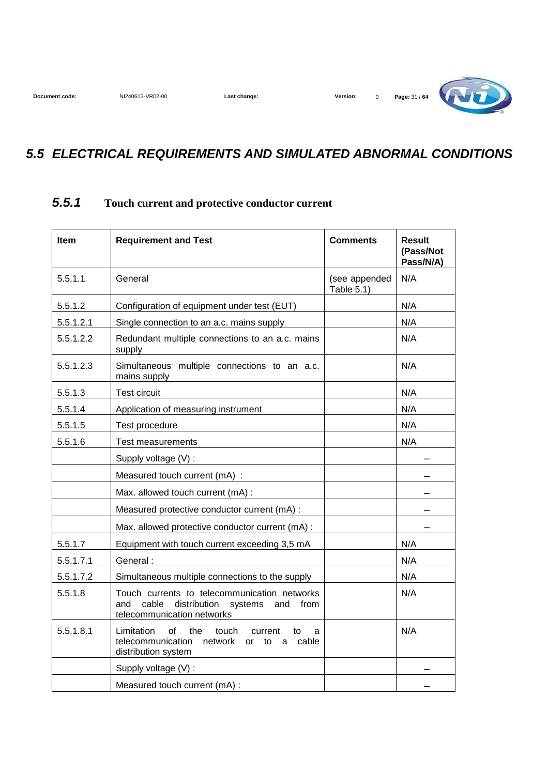

#### **5.5 ELECTRICAL REQUIREMENTS AND SIMULATED ABNORMAL CONDITIONS**

#### **5.5.1 Touch current and protective conductor current**

| Item      | <b>Requirement and Test</b>                                                                                                          | <b>Comments</b>             | <b>Result</b><br>(Pass/Not<br>Pass/N/A) |
|-----------|--------------------------------------------------------------------------------------------------------------------------------------|-----------------------------|-----------------------------------------|
| 5.5.1.1   | General                                                                                                                              | (see appended<br>Table 5.1) | N/A                                     |
| 5.5.1.2   | Configuration of equipment under test (EUT)                                                                                          |                             | N/A                                     |
| 5.5.1.2.1 | Single connection to an a.c. mains supply                                                                                            |                             | N/A                                     |
| 5.5.1.2.2 | Redundant multiple connections to an a.c. mains<br>supply                                                                            |                             | N/A                                     |
| 5.5.1.2.3 | Simultaneous multiple connections to an a.c.<br>mains supply                                                                         |                             | N/A                                     |
| 5.5.1.3   | <b>Test circuit</b>                                                                                                                  |                             | N/A                                     |
| 5.5.1.4   | Application of measuring instrument                                                                                                  |                             | N/A                                     |
| 5.5.1.5   | Test procedure                                                                                                                       |                             | N/A                                     |
| 5.5.1.6   | Test measurements                                                                                                                    |                             | N/A                                     |
|           | Supply voltage (V) :                                                                                                                 |                             |                                         |
|           | Measured touch current (mA) :                                                                                                        |                             |                                         |
|           | Max. allowed touch current (mA) :                                                                                                    |                             |                                         |
|           | Measured protective conductor current (mA) :                                                                                         |                             |                                         |
|           | Max. allowed protective conductor current (mA) :                                                                                     |                             |                                         |
| 5.5.1.7   | Equipment with touch current exceeding 3,5 mA                                                                                        |                             | N/A                                     |
| 5.5.1.7.1 | General:                                                                                                                             |                             | N/A                                     |
| 5.5.1.7.2 | Simultaneous multiple connections to the supply                                                                                      |                             | N/A                                     |
| 5.5.1.8   | Touch currents to telecommunication networks<br>cable<br>distribution systems<br>and<br>and<br>from<br>telecommunication networks    |                             | N/A                                     |
| 5.5.1.8.1 | the<br>Limitation<br>of<br>touch<br>current<br>to<br>a<br>telecommunication network<br>cable<br>or<br>to<br>a<br>distribution system |                             | N/A                                     |
|           | Supply voltage (V) :                                                                                                                 |                             |                                         |
|           | Measured touch current (mA) :                                                                                                        |                             |                                         |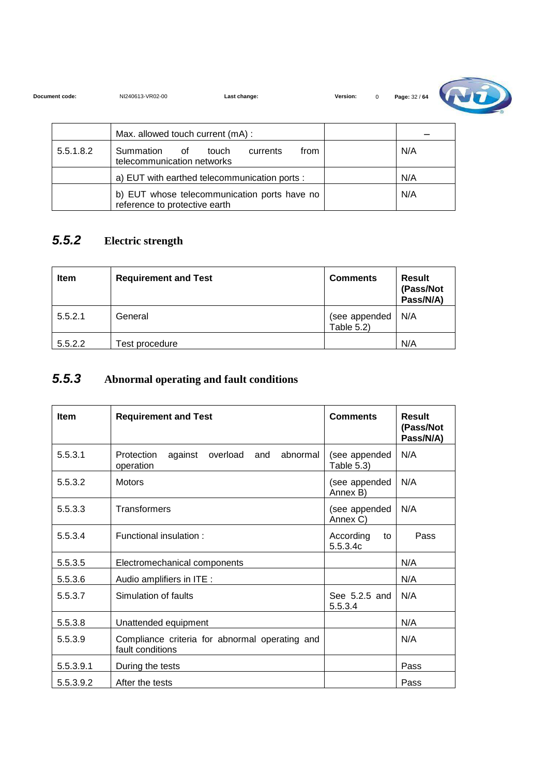| Document code: | NI240613-VR02-00 | Last change: | Version: |  |
|----------------|------------------|--------------|----------|--|
|                |                  |              |          |  |



|           | Max. allowed touch current (mA):                                              |     |
|-----------|-------------------------------------------------------------------------------|-----|
| 5.5.1.8.2 | Summation<br>touch<br>from<br>of of<br>currents<br>telecommunication networks | N/A |
|           | a) EUT with earthed telecommunication ports :                                 | N/A |
|           | b) EUT whose telecommunication ports have no<br>reference to protective earth | N/A |

#### **5.5.2 Electric strength**

| <b>Item</b> | <b>Requirement and Test</b> | <b>Comments</b>                | Result<br>(Pass/Not<br>Pass/N/A) |
|-------------|-----------------------------|--------------------------------|----------------------------------|
| 5.5.2.1     | General                     | (see appended<br>Table $5.2$ ) | N/A                              |
| 5.5.2.2     | Test procedure              |                                | N/A                              |

#### **5.5.3 Abnormal operating and fault conditions**

| <b>Item</b> | <b>Requirement and Test</b>                                        | <b>Comments</b>             | Result<br>(Pass/Not<br>Pass/N/A) |
|-------------|--------------------------------------------------------------------|-----------------------------|----------------------------------|
| 5.5.3.1     | abnormal<br>Protection<br>against<br>overload<br>and<br>operation  | (see appended<br>Table 5.3) | N/A                              |
| 5.5.3.2     | <b>Motors</b>                                                      | (see appended<br>Annex B)   | N/A                              |
| 5.5.3.3     | Transformers                                                       | (see appended<br>Annex C)   | N/A                              |
| 5.5.3.4     | Functional insulation:                                             | According<br>to<br>5.5.3.4c | Pass                             |
| 5.5.3.5     | Electromechanical components                                       |                             | N/A                              |
| 5.5.3.6     | Audio amplifiers in ITE :                                          |                             | N/A                              |
| 5.5.3.7     | Simulation of faults                                               | See 5.2.5 and<br>5.5.3.4    | N/A                              |
| 5.5.3.8     | Unattended equipment                                               |                             | N/A                              |
| 5.5.3.9     | Compliance criteria for abnormal operating and<br>fault conditions |                             | N/A                              |
| 5.5.3.9.1   | During the tests                                                   |                             | Pass                             |
| 5.5.3.9.2   | After the tests                                                    |                             | Pass                             |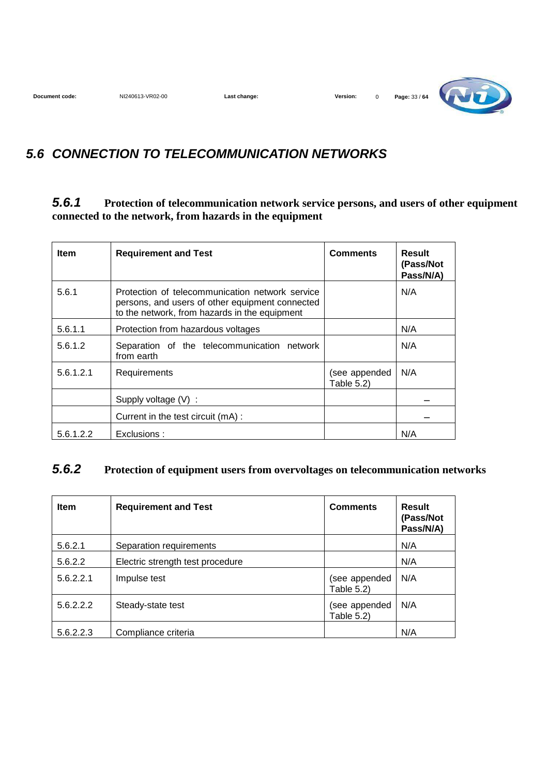**Document code:** NI240613-VR02-00 **Last change: Version:** 0 **Page:** 33 / **64** 

#### **5.6 CONNECTION TO TELECOMMUNICATION NETWORKS**

#### **5.6.1 Protection of telecommunication network service persons, and users of other equipment connected to the network, from hazards in the equipment**

| <b>Item</b> | <b>Requirement and Test</b>                                                                                                                         | <b>Comments</b>             | Result<br>(Pass/Not<br>Pass/N/A) |
|-------------|-----------------------------------------------------------------------------------------------------------------------------------------------------|-----------------------------|----------------------------------|
| 5.6.1       | Protection of telecommunication network service<br>persons, and users of other equipment connected<br>to the network, from hazards in the equipment |                             | N/A                              |
| 5.6.1.1     | Protection from hazardous voltages                                                                                                                  |                             | N/A                              |
| 5.6.1.2     | Separation of the telecommunication network<br>from earth                                                                                           |                             | N/A                              |
| 5.6.1.2.1   | Requirements                                                                                                                                        | (see appended<br>Table 5.2) | N/A                              |
|             | Supply voltage $(V)$ :                                                                                                                              |                             |                                  |
|             | Current in the test circuit (mA):                                                                                                                   |                             |                                  |
| 5.6.1.2.2   | Exclusions:                                                                                                                                         |                             | N/A                              |

#### **5.6.2 Protection of equipment users from overvoltages on telecommunication networks**

| <b>Item</b> | <b>Requirement and Test</b>      | <b>Comments</b>             | Result<br>(Pass/Not<br>Pass/N/A) |
|-------------|----------------------------------|-----------------------------|----------------------------------|
| 5.6.2.1     | Separation requirements          |                             | N/A                              |
| 5.6.2.2     | Electric strength test procedure |                             | N/A                              |
| 5.6.2.2.1   | Impulse test                     | (see appended<br>Table 5.2) | N/A                              |
| 5.6.2.2.2   | Steady-state test                | (see appended<br>Table 5.2) | N/A                              |
| 5.6.2.2.3   | Compliance criteria              |                             | N/A                              |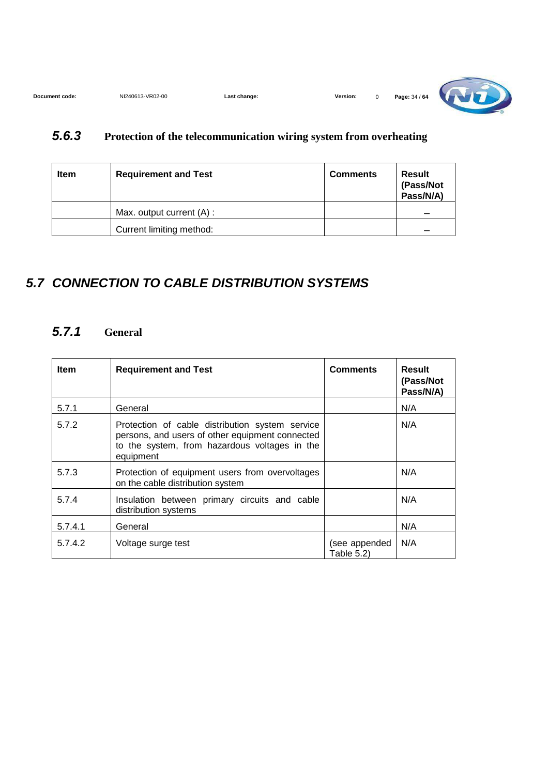| NI240613-VR02-00<br>Document code:<br>∟ast change: | Version: |  | Page: 34 / 64 | <b>THEFT</b> |
|----------------------------------------------------|----------|--|---------------|--------------|
|----------------------------------------------------|----------|--|---------------|--------------|

#### **5.6.3 Protection of the telecommunication wiring system from overheating**

| <b>Item</b> | <b>Requirement and Test</b> | <b>Comments</b> | Result<br>(Pass/Not<br>Pass/N/A) |
|-------------|-----------------------------|-----------------|----------------------------------|
|             | Max. output current (A) :   |                 |                                  |
|             | Current limiting method:    |                 |                                  |

#### **5.7 CONNECTION TO CABLE DISTRIBUTION SYSTEMS**

#### **5.7.1 General**

| <b>Item</b> | <b>Requirement and Test</b>                                                                                                                                      | <b>Comments</b>             | Result<br>(Pass/Not<br>Pass/N/A) |
|-------------|------------------------------------------------------------------------------------------------------------------------------------------------------------------|-----------------------------|----------------------------------|
| 5.7.1       | General                                                                                                                                                          |                             | N/A                              |
| 5.7.2       | Protection of cable distribution system service<br>persons, and users of other equipment connected<br>to the system, from hazardous voltages in the<br>equipment |                             | N/A                              |
| 5.7.3       | Protection of equipment users from overvoltages<br>on the cable distribution system                                                                              |                             | N/A                              |
| 5.7.4       | Insulation between primary circuits and cable<br>distribution systems                                                                                            |                             | N/A                              |
| 5.7.4.1     | General                                                                                                                                                          |                             | N/A                              |
| 5.7.4.2     | Voltage surge test                                                                                                                                               | (see appended<br>Table 5.2) | N/A                              |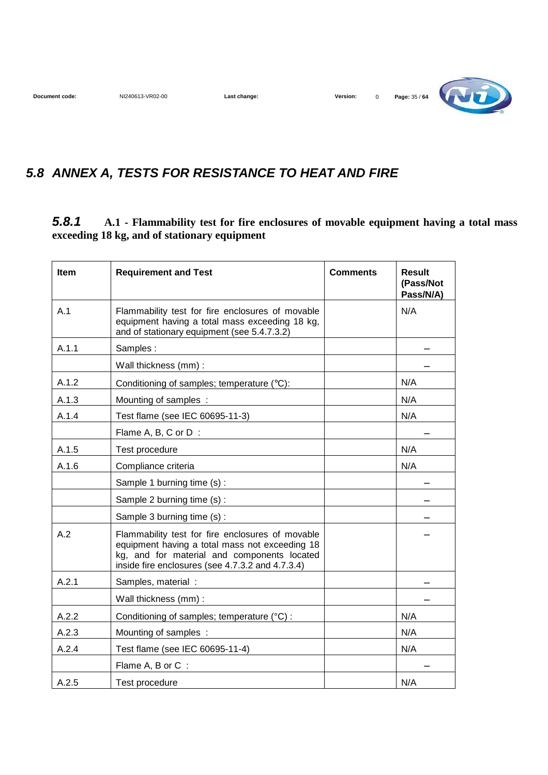**Document code:** NI240613-VR02-00 **Last change: Version:** 0 **Page:** 35 / **64 Constant Code:** 1 **NI240613-VR02-00** 

## **5.8 ANNEX A, TESTS FOR RESISTANCE TO HEAT AND FIRE**

#### **5.8.1 A.1 - Flammability test for fire enclosures of movable equipment having a total mass exceeding 18 kg, and of stationary equipment**

| <b>Item</b> | <b>Requirement and Test</b>                                                                                                                                                                           | <b>Comments</b> | <b>Result</b><br>(Pass/Not<br>Pass/N/A) |
|-------------|-------------------------------------------------------------------------------------------------------------------------------------------------------------------------------------------------------|-----------------|-----------------------------------------|
| A.1         | Flammability test for fire enclosures of movable<br>equipment having a total mass exceeding 18 kg,<br>and of stationary equipment (see 5.4.7.3.2)                                                     |                 | N/A                                     |
| A.1.1       | Samples:                                                                                                                                                                                              |                 |                                         |
|             | Wall thickness (mm):                                                                                                                                                                                  |                 |                                         |
| A.1.2       | Conditioning of samples; temperature (°C):                                                                                                                                                            |                 | N/A                                     |
| A.1.3       | Mounting of samples :                                                                                                                                                                                 |                 | N/A                                     |
| A.1.4       | Test flame (see IEC 60695-11-3)                                                                                                                                                                       |                 | N/A                                     |
|             | Flame A, B, C or D:                                                                                                                                                                                   |                 |                                         |
| A.1.5       | Test procedure                                                                                                                                                                                        |                 | N/A                                     |
| A.1.6       | Compliance criteria                                                                                                                                                                                   |                 | N/A                                     |
|             | Sample 1 burning time (s) :                                                                                                                                                                           |                 |                                         |
|             | Sample 2 burning time (s) :                                                                                                                                                                           |                 |                                         |
|             | Sample 3 burning time (s) :                                                                                                                                                                           |                 |                                         |
| A.2         | Flammability test for fire enclosures of movable<br>equipment having a total mass not exceeding 18<br>kg, and for material and components located<br>inside fire enclosures (see 4.7.3.2 and 4.7.3.4) |                 |                                         |
| A.2.1       | Samples, material :                                                                                                                                                                                   |                 |                                         |
|             | Wall thickness (mm):                                                                                                                                                                                  |                 |                                         |
| A.2.2       | Conditioning of samples; temperature (°C) :                                                                                                                                                           |                 | N/A                                     |
| A.2.3       | Mounting of samples :                                                                                                                                                                                 |                 | N/A                                     |
| A.2.4       | Test flame (see IEC 60695-11-4)                                                                                                                                                                       |                 | N/A                                     |
|             | Flame A, B or C:                                                                                                                                                                                      |                 |                                         |
| A.2.5       | Test procedure                                                                                                                                                                                        |                 | N/A                                     |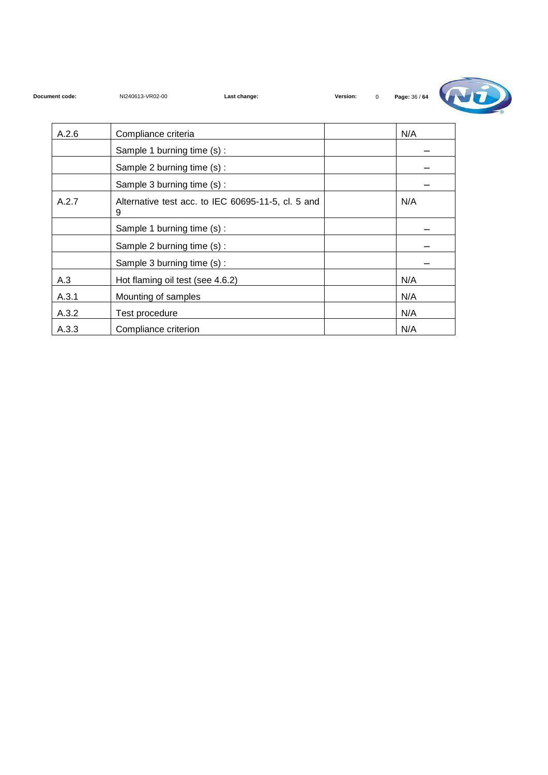

| A.2.6 | Compliance criteria                                     | N/A |
|-------|---------------------------------------------------------|-----|
|       | Sample 1 burning time (s):                              |     |
|       | Sample 2 burning time (s):                              |     |
|       | Sample 3 burning time (s):                              |     |
| A.2.7 | Alternative test acc. to IEC 60695-11-5, cl. 5 and<br>9 | N/A |
|       | Sample 1 burning time (s) :                             |     |
|       | Sample 2 burning time (s) :                             |     |
|       | Sample 3 burning time (s) :                             |     |
| A.3   | Hot flaming oil test (see 4.6.2)                        | N/A |
| A.3.1 | Mounting of samples                                     | N/A |
| A.3.2 | Test procedure                                          | N/A |
| A.3.3 | Compliance criterion                                    | N/A |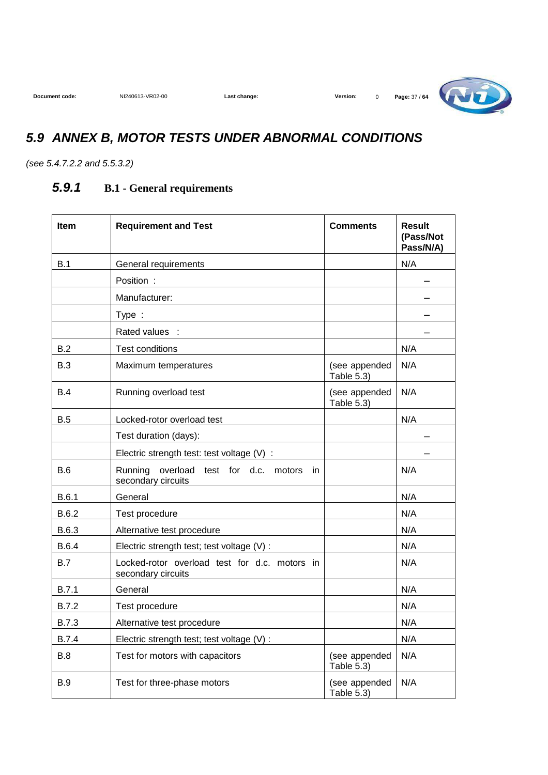

### **5.9 ANNEX B, MOTOR TESTS UNDER ABNORMAL CONDITIONS**

(see 5.4.7.2.2 and 5.5.3.2)

#### **5.9.1 B.1 - General requirements**

| <b>Item</b>  | <b>Requirement and Test</b>                                            | <b>Comments</b>             | <b>Result</b><br>(Pass/Not<br>Pass/N/A) |
|--------------|------------------------------------------------------------------------|-----------------------------|-----------------------------------------|
| B.1          | General requirements                                                   |                             | N/A                                     |
|              | Position:                                                              |                             |                                         |
|              | Manufacturer:                                                          |                             |                                         |
|              | Type:                                                                  |                             |                                         |
|              | Rated values :                                                         |                             |                                         |
| B.2          | <b>Test conditions</b>                                                 |                             | N/A                                     |
| B.3          | Maximum temperatures                                                   | (see appended<br>Table 5.3) | N/A                                     |
| <b>B.4</b>   | Running overload test                                                  | (see appended<br>Table 5.3) | N/A                                     |
| B.5          | Locked-rotor overload test                                             |                             | N/A                                     |
|              | Test duration (days):                                                  |                             |                                         |
|              | Electric strength test: test voltage (V) :                             |                             |                                         |
| <b>B.6</b>   | Running<br>overload test for d.c. motors<br>- in<br>secondary circuits |                             | N/A                                     |
| B.6.1        | General                                                                |                             | N/A                                     |
| B.6.2        | Test procedure                                                         |                             | N/A                                     |
| B.6.3        | Alternative test procedure                                             |                             | N/A                                     |
| <b>B.6.4</b> | Electric strength test; test voltage (V) :                             |                             | N/A                                     |
| B.7          | Locked-rotor overload test for d.c. motors in<br>secondary circuits    |                             | N/A                                     |
| <b>B.7.1</b> | General                                                                |                             | N/A                                     |
| <b>B.7.2</b> | Test procedure                                                         |                             | N/A                                     |
| <b>B.7.3</b> | Alternative test procedure                                             |                             | N/A                                     |
| <b>B.7.4</b> | Electric strength test; test voltage (V) :                             |                             | N/A                                     |
| B.8          | Test for motors with capacitors                                        | (see appended<br>Table 5.3) | N/A                                     |
| <b>B.9</b>   | Test for three-phase motors                                            | (see appended<br>Table 5.3) | N/A                                     |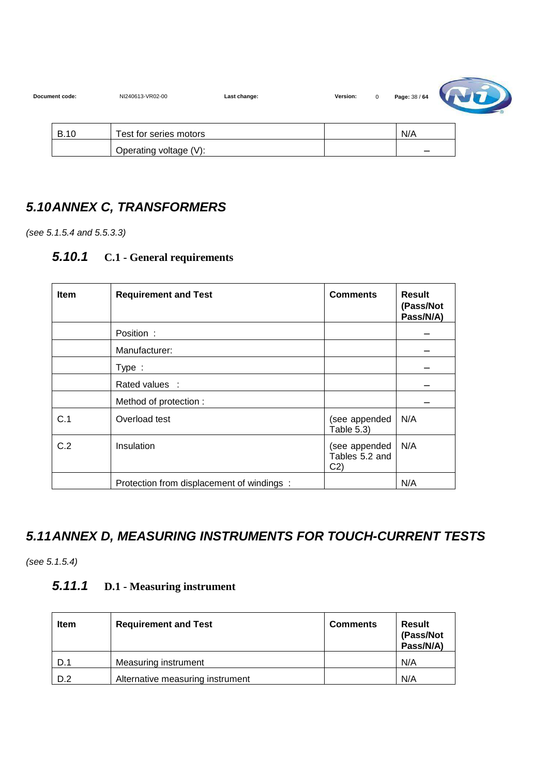| Document code: | NI240613-VR02-00       | Last change: | Version: | $\mathbf 0$ | Page: 38 / 64 |  |
|----------------|------------------------|--------------|----------|-------------|---------------|--|
| <b>B.10</b>    | Test for series motors |              |          |             | N/A           |  |
|                | Operating voltage (V): |              |          |             | -             |  |

#### **5.10 ANNEX C, TRANSFORMERS**

(see 5.1.5.4 and 5.5.3.3)

#### **5.10.1 C.1 - General requirements**

| <b>Item</b> | <b>Requirement and Test</b>               | <b>Comments</b>                                   | <b>Result</b><br>(Pass/Not<br>Pass/N/A) |
|-------------|-------------------------------------------|---------------------------------------------------|-----------------------------------------|
|             | Position:                                 |                                                   |                                         |
|             | Manufacturer:                             |                                                   |                                         |
|             | Type:                                     |                                                   |                                         |
|             | Rated values :                            |                                                   |                                         |
|             | Method of protection:                     |                                                   |                                         |
| C.1         | Overload test                             | (see appended<br>Table 5.3)                       | N/A                                     |
| C.2         | Insulation                                | (see appended<br>Tables 5.2 and<br>C <sub>2</sub> | N/A                                     |
|             | Protection from displacement of windings: |                                                   | N/A                                     |

### **5.11 ANNEX D, MEASURING INSTRUMENTS FOR TOUCH-CURRENT TESTS**

(see 5.1.5.4)

#### **5.11.1 D.1 - Measuring instrument**

| Item | <b>Requirement and Test</b>      | <b>Comments</b> | <b>Result</b><br>(Pass/Not<br>Pass/N/A) |
|------|----------------------------------|-----------------|-----------------------------------------|
| D.1  | Measuring instrument             |                 | N/A                                     |
| D.2  | Alternative measuring instrument |                 | N/A                                     |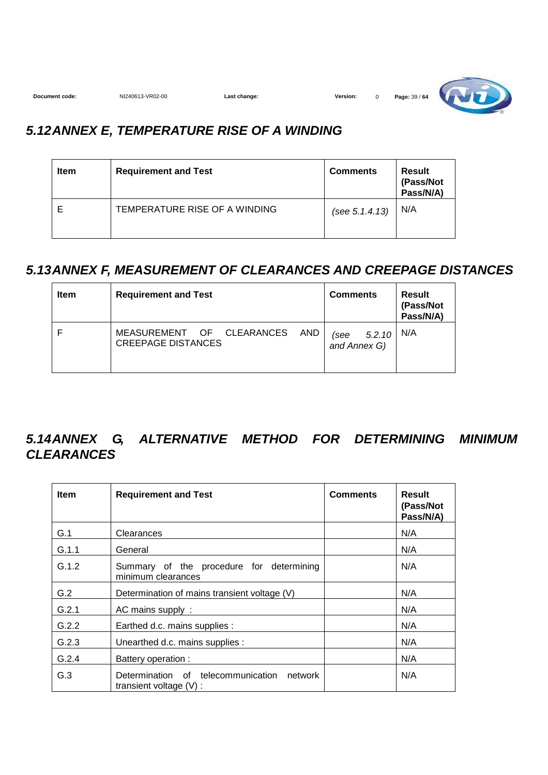

### **5.12 ANNEX E, TEMPERATURE RISE OF A WINDING**

| <b>Item</b> | <b>Requirement and Test</b>   | <b>Comments</b> | Result<br>(Pass/Not<br>Pass/N/A) |
|-------------|-------------------------------|-----------------|----------------------------------|
|             | TEMPERATURE RISE OF A WINDING | (see 5.1.4.13)  | N/A                              |

#### **5.13 ANNEX F, MEASUREMENT OF CLEARANCES AND CREEPAGE DISTANCES**

| Item | <b>Requirement and Test</b>                                   | <b>Comments</b>                | Result<br>(Pass/Not<br>Pass/N/A) |
|------|---------------------------------------------------------------|--------------------------------|----------------------------------|
|      | MEASUREMENT OF CLEARANCES<br>AND<br><b>CREEPAGE DISTANCES</b> | 5.2.10<br>(see<br>and Annex G) | N/A                              |

### **5.14 ANNEX G, ALTERNATIVE METHOD FOR DETERMINING MINIMUM CLEARANCES**

| <b>Item</b> | <b>Requirement and Test</b>                                             | <b>Comments</b> | Result<br>(Pass/Not<br>Pass/N/A) |
|-------------|-------------------------------------------------------------------------|-----------------|----------------------------------|
| G.1         | Clearances                                                              |                 | N/A                              |
| G.1.1       | General                                                                 |                 | N/A                              |
| G.1.2       | Summary of the procedure for determining<br>minimum clearances          |                 | N/A                              |
| G.2         | Determination of mains transient voltage (V)                            |                 | N/A                              |
| G.2.1       | AC mains supply:                                                        |                 | N/A                              |
| G.2.2       | Earthed d.c. mains supplies :                                           |                 | N/A                              |
| G.2.3       | Unearthed d.c. mains supplies :                                         |                 | N/A                              |
| G.2.4       | Battery operation :                                                     |                 | N/A                              |
| G.3         | Determination of telecommunication network<br>transient voltage $(V)$ : |                 | N/A                              |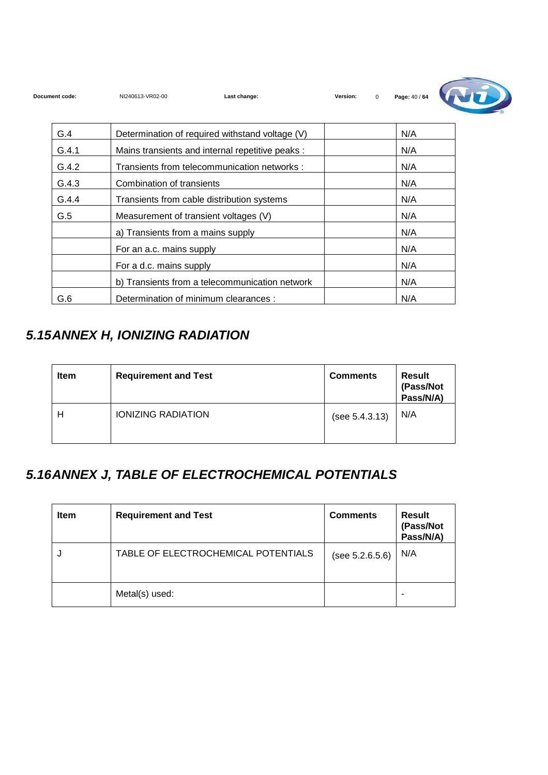| Document code: | NI240613-VR02-00<br>Last change:                 | Version:<br>$\Omega$ | Page: 40 / 64 |  |
|----------------|--------------------------------------------------|----------------------|---------------|--|
| G.4            | Determination of required withstand voltage (V)  |                      | N/A           |  |
| G.4.1          | Mains transients and internal repetitive peaks : |                      | N/A           |  |
| G.4.2          | Transients from telecommunication networks :     |                      | N/A           |  |
| G.4.3          | Combination of transients                        |                      | N/A           |  |
| G.4.4          | Transients from cable distribution systems       |                      | N/A           |  |
| G.5            | Measurement of transient voltages (V)            |                      | N/A           |  |
|                | a) Transients from a mains supply                |                      | N/A           |  |
|                | For an a.c. mains supply                         |                      | N/A           |  |
|                | For a d.c. mains supply                          |                      | N/A           |  |
|                | b) Transients from a telecommunication network   |                      | N/A           |  |
| G.6            | Determination of minimum clearances :            |                      | N/A           |  |

## **5.15 ANNEX H, IONIZING RADIATION**

| <b>Item</b> | <b>Requirement and Test</b> | <b>Comments</b> | <b>Result</b><br>(Pass/Not<br>Pass/N/A) |
|-------------|-----------------------------|-----------------|-----------------------------------------|
| Н           | <b>IONIZING RADIATION</b>   | (see 5.4.3.13)  | N/A                                     |

## **5.16 ANNEX J, TABLE OF ELECTROCHEMICAL POTENTIALS**

| <b>Item</b> | <b>Requirement and Test</b>         | <b>Comments</b> | <b>Result</b><br>(Pass/Not<br>Pass/N/A) |
|-------------|-------------------------------------|-----------------|-----------------------------------------|
| J           | TABLE OF ELECTROCHEMICAL POTENTIALS | (see 5.2.6.5.6) | N/A                                     |
|             | Metal(s) used:                      |                 |                                         |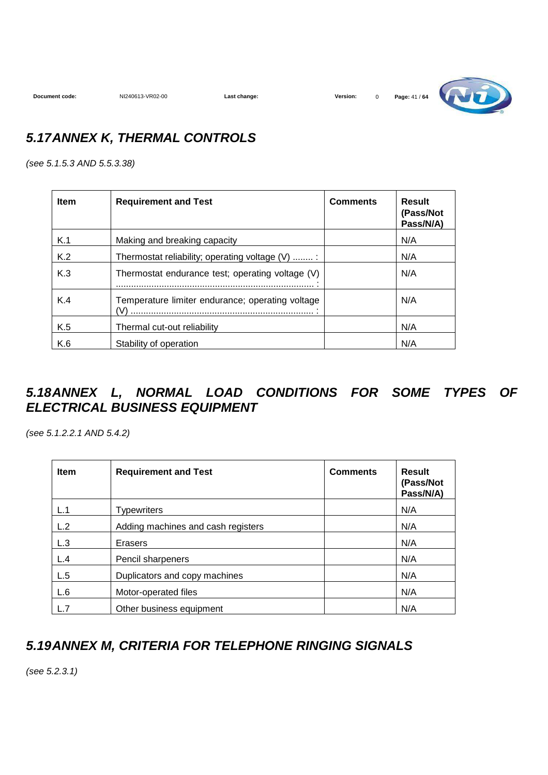**Document code:** NI240613-VR02-00 **Last change: Version:** 0 **Page:** 41 / **64**



### **5.17 ANNEX K, THERMAL CONTROLS**

(see 5.1.5.3 AND 5.5.3.38)

| <b>Item</b> | <b>Requirement and Test</b>                      | <b>Comments</b> | Result<br>(Pass/Not<br>Pass/N/A) |
|-------------|--------------------------------------------------|-----------------|----------------------------------|
| K.1         | Making and breaking capacity                     |                 | N/A                              |
| K.2         | Thermostat reliability; operating voltage (V) :  |                 | N/A                              |
| K.3         | Thermostat endurance test; operating voltage (V) |                 | N/A                              |
| K.4         | Temperature limiter endurance; operating voltage |                 | N/A                              |
| K.5         | Thermal cut-out reliability                      |                 | N/A                              |
| K.6         | Stability of operation                           |                 | N/A                              |

#### **5.18 ANNEX L, NORMAL LOAD CONDITIONS FOR SOME TYPES OF ELECTRICAL BUSINESS EQUIPMENT**

(see 5.1.2.2.1 AND 5.4.2)

| <b>Item</b> | <b>Requirement and Test</b>        | <b>Comments</b> | Result<br>(Pass/Not<br>Pass/N/A) |
|-------------|------------------------------------|-----------------|----------------------------------|
| L.1         | <b>Typewriters</b>                 |                 | N/A                              |
| L.2         | Adding machines and cash registers |                 | N/A                              |
| L.3         | Erasers                            |                 | N/A                              |
| L.4         | Pencil sharpeners                  |                 | N/A                              |
| L.5         | Duplicators and copy machines      |                 | N/A                              |
| L.6         | Motor-operated files               |                 | N/A                              |
| L.7         | Other business equipment           |                 | N/A                              |

### **5.19 ANNEX M, CRITERIA FOR TELEPHONE RINGING SIGNALS**

(see 5.2.3.1)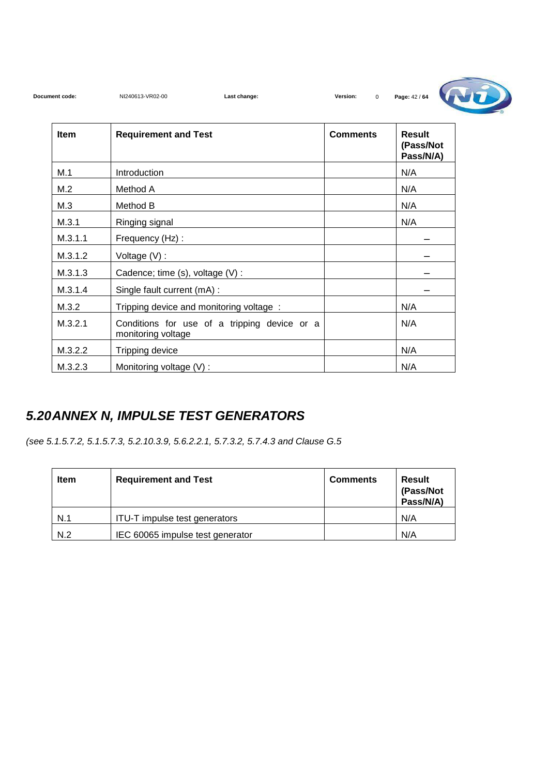| Document code: | NI240613-VR02-00<br>Last change:                                   | Version:<br>$\mathbf 0$ | Page: 42 / 64                           |
|----------------|--------------------------------------------------------------------|-------------------------|-----------------------------------------|
| Item           | <b>Requirement and Test</b>                                        | <b>Comments</b>         | <b>Result</b><br>(Pass/Not<br>Pass/N/A) |
| M.1            | Introduction                                                       |                         | N/A                                     |
| M.2            | Method A                                                           |                         | N/A                                     |
| M.3            | Method B                                                           |                         | N/A                                     |
| M.3.1          | Ringing signal                                                     |                         | N/A                                     |
| M.3.1.1        | Frequency (Hz):                                                    |                         |                                         |
| M.3.1.2        | Voltage $(V)$ :                                                    |                         |                                         |
| M.3.1.3        | Cadence; time (s), voltage (V) :                                   |                         |                                         |
| M.3.1.4        | Single fault current (mA) :                                        |                         |                                         |
| M.3.2          | Tripping device and monitoring voltage:                            |                         | N/A                                     |
| M.3.2.1        | Conditions for use of a tripping device or a<br>monitoring voltage |                         | N/A                                     |
| M.3.2.2        | Tripping device                                                    |                         | N/A                                     |
| M.3.2.3        | Monitoring voltage (V):                                            |                         | N/A                                     |

### **5.20 ANNEX N, IMPULSE TEST GENERATORS**

(see 5.1.5.7.2, 5.1.5.7.3, 5.2.10.3.9, 5.6.2.2.1, 5.7.3.2, 5.7.4.3 and Clause G.5

| Item | <b>Requirement and Test</b>      | <b>Comments</b> | Result<br>(Pass/Not<br>Pass/N/A) |
|------|----------------------------------|-----------------|----------------------------------|
| N.1  | ITU-T impulse test generators    |                 | N/A                              |
| N.2  | IEC 60065 impulse test generator |                 | N/A                              |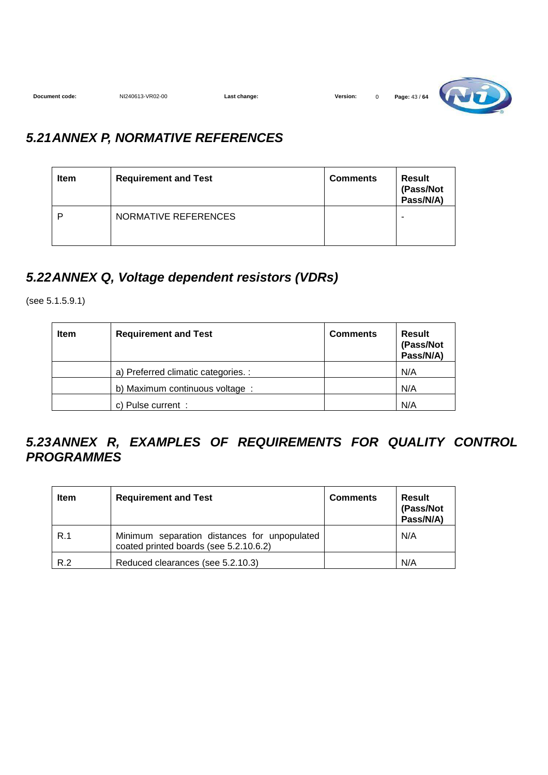| Document code:<br>. | NI240613-VR02-00 | change:<br>∟as'<br>. | Version: |  | 43/64<br>Page:<br>. |  |
|---------------------|------------------|----------------------|----------|--|---------------------|--|
|---------------------|------------------|----------------------|----------|--|---------------------|--|

### **5.21 ANNEX P, NORMATIVE REFERENCES**

| <b>Item</b> | <b>Requirement and Test</b> | <b>Comments</b> | Result<br>(Pass/Not<br>Pass/N/A) |
|-------------|-----------------------------|-----------------|----------------------------------|
| D           | NORMATIVE REFERENCES        |                 | -                                |

#### **5.22 ANNEX Q, Voltage dependent resistors (VDRs)**

(see 5.1.5.9.1)

| Item | <b>Requirement and Test</b>        | <b>Comments</b> | <b>Result</b><br>(Pass/Not<br>Pass/N/A) |
|------|------------------------------------|-----------------|-----------------------------------------|
|      | a) Preferred climatic categories.: |                 | N/A                                     |
|      | b) Maximum continuous voltage :    |                 | N/A                                     |
|      | c) Pulse current :                 |                 | N/A                                     |

#### **5.23 ANNEX R, EXAMPLES OF REQUIREMENTS FOR QUALITY CONTROL PROGRAMMES**

| Item | <b>Requirement and Test</b>                                                            | <b>Comments</b> | Result<br>(Pass/Not<br>Pass/N/A) |
|------|----------------------------------------------------------------------------------------|-----------------|----------------------------------|
| R.1  | Minimum separation distances for unpopulated<br>coated printed boards (see 5.2.10.6.2) |                 | N/A                              |
| R.2  | Reduced clearances (see 5.2.10.3)                                                      |                 | N/A                              |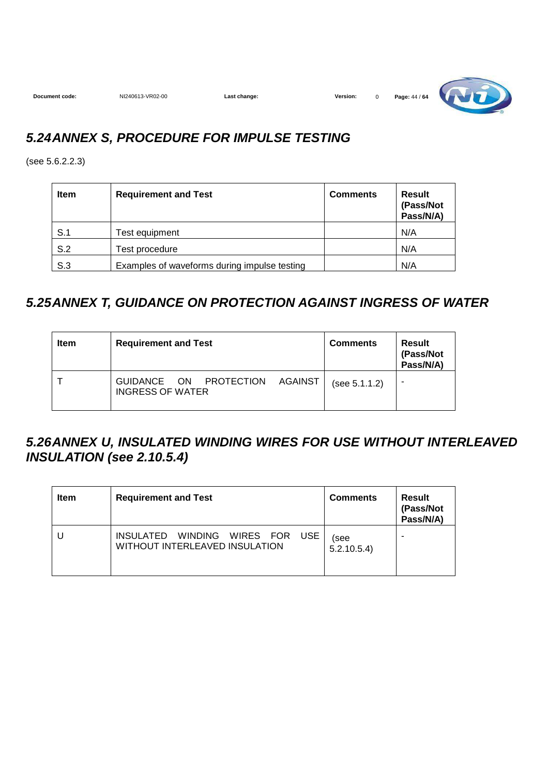| Document code: | NI240613-VR02-00 | Last change: | <b>Version:</b> | Page: 44 / 64 |
|----------------|------------------|--------------|-----------------|---------------|
|                |                  |              |                 |               |

### **5.24 ANNEX S, PROCEDURE FOR IMPULSE TESTING**

(see 5.6.2.2.3)

| <b>Item</b> | <b>Requirement and Test</b>                  | <b>Comments</b> | Result<br>(Pass/Not<br>Pass/N/A) |
|-------------|----------------------------------------------|-----------------|----------------------------------|
| S.1         | Test equipment                               |                 | N/A                              |
| S.2         | Test procedure                               |                 | N/A                              |
| S.3         | Examples of waveforms during impulse testing |                 | N/A                              |

## **5.25 ANNEX T, GUIDANCE ON PROTECTION AGAINST INGRESS OF WATER**

| <b>Item</b> | <b>Requirement and Test</b>                                               | <b>Comments</b> | Result<br>(Pass/Not<br>Pass/N/A) |
|-------------|---------------------------------------------------------------------------|-----------------|----------------------------------|
|             | PROTECTION<br>AGAINST<br><b>ON</b><br>GUIDANCE<br><b>INGRESS OF WATER</b> | (see 5.1.1.2)   |                                  |

#### **5.26 ANNEX U, INSULATED WINDING WIRES FOR USE WITHOUT INTERLEAVED INSULATION (see 2.10.5.4)**

| <b>Item</b> | <b>Requirement and Test</b>                                                    | <b>Comments</b>    | Result<br>(Pass/Not<br>Pass/N/A) |
|-------------|--------------------------------------------------------------------------------|--------------------|----------------------------------|
| U           | INSULATED WINDING<br>WIRES FOR<br><b>USE</b><br>WITHOUT INTERLEAVED INSULATION | (see<br>5.2.10.5.4 |                                  |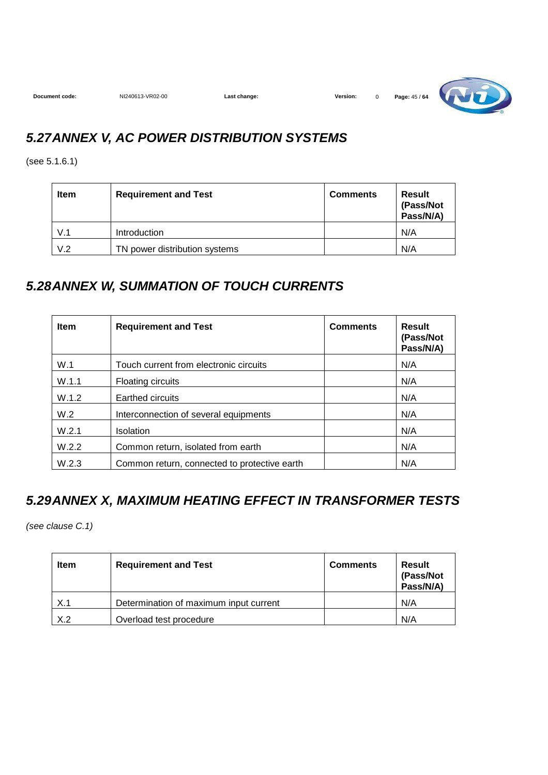

#### **5.27 ANNEX V, AC POWER DISTRIBUTION SYSTEMS**

(see 5.1.6.1)

| <b>Item</b> | <b>Requirement and Test</b>   | <b>Comments</b> | <b>Result</b><br>(Pass/Not<br>Pass/N/A) |
|-------------|-------------------------------|-----------------|-----------------------------------------|
| V.1         | Introduction                  |                 | N/A                                     |
| V.2         | TN power distribution systems |                 | N/A                                     |

#### **5.28 ANNEX W, SUMMATION OF TOUCH CURRENTS**

| <b>Item</b> | <b>Requirement and Test</b>                  | <b>Comments</b> | Result<br>(Pass/Not<br>Pass/N/A) |
|-------------|----------------------------------------------|-----------------|----------------------------------|
| W.1         | Touch current from electronic circuits       |                 | N/A                              |
| W.1.1       | <b>Floating circuits</b>                     |                 | N/A                              |
| W.1.2       | Earthed circuits                             |                 | N/A                              |
| W.2         | Interconnection of several equipments        |                 | N/A                              |
| W.2.1       | Isolation                                    |                 | N/A                              |
| W.2.2       | Common return, isolated from earth           |                 | N/A                              |
| W.2.3       | Common return, connected to protective earth |                 | N/A                              |

## **5.29 ANNEX X, MAXIMUM HEATING EFFECT IN TRANSFORMER TESTS**

(see clause C.1)

| <b>Item</b> | <b>Requirement and Test</b>            | <b>Comments</b> | Result<br>(Pass/Not<br>Pass/N/A) |
|-------------|----------------------------------------|-----------------|----------------------------------|
| X.1         | Determination of maximum input current |                 | N/A                              |
| X.2         | Overload test procedure                |                 | N/A                              |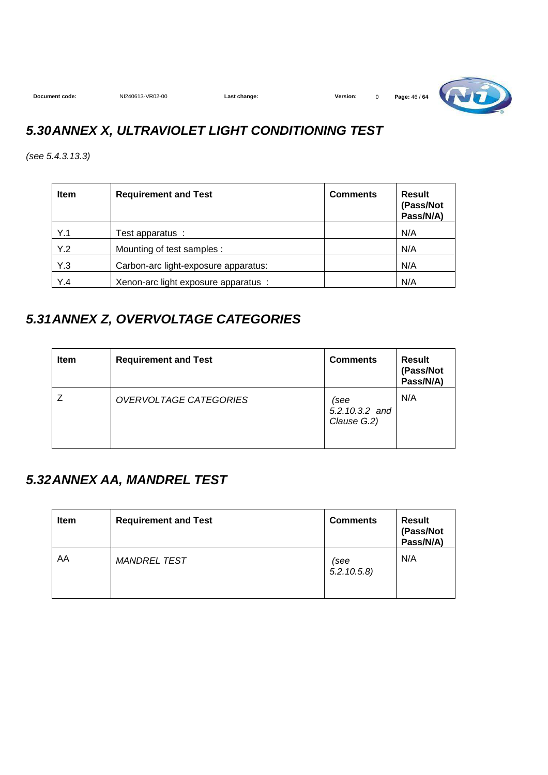

## **5.30 ANNEX X, ULTRAVIOLET LIGHT CONDITIONING TEST**

(see 5.4.3.13.3)

| <b>Item</b> | <b>Requirement and Test</b>          | <b>Comments</b> | Result<br>(Pass/Not<br>Pass/N/A) |
|-------------|--------------------------------------|-----------------|----------------------------------|
| Y.1         | Test apparatus :                     |                 | N/A                              |
| Y.2         | Mounting of test samples :           |                 | N/A                              |
| Y.3         | Carbon-arc light-exposure apparatus: |                 | N/A                              |
| Y.4         | Xenon-arc light exposure apparatus : |                 | N/A                              |

#### **5.31 ANNEX Z, OVERVOLTAGE CATEGORIES**

| <b>Item</b> | <b>Requirement and Test</b> | <b>Comments</b>                       | <b>Result</b><br>(Pass/Not<br>Pass/N/A) |
|-------------|-----------------------------|---------------------------------------|-----------------------------------------|
|             | OVERVOLTAGE CATEGORIES      | (see<br>5.2.10.3.2 and<br>Clause G.2) | N/A                                     |

#### **5.32 ANNEX AA, MANDREL TEST**

| <b>Item</b> | <b>Requirement and Test</b> | <b>Comments</b>    | Result<br>(Pass/Not<br>Pass/N/A) |
|-------------|-----------------------------|--------------------|----------------------------------|
| AA          | <b>MANDREL TEST</b>         | (see<br>5.2.10.5.8 | N/A                              |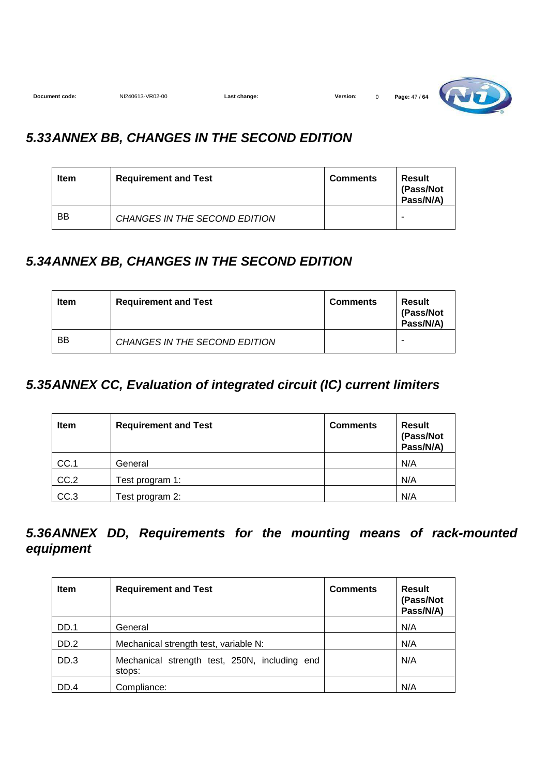| Document code: | NI240613-VR02-00 | Last change: | Version: |  | Page: 47 / 64 | w<br>$\sqrt{2}$<br>- - - |
|----------------|------------------|--------------|----------|--|---------------|--------------------------|
|----------------|------------------|--------------|----------|--|---------------|--------------------------|

<u>and the set of the set of the set of the set of the set of the set of the set of the set of the set of the set of the set of the set of the set of the set of the set of the set of the set of the set of the set of the set </u>

### **5.33 ANNEX BB, CHANGES IN THE SECOND EDITION**

| <b>Item</b> | <b>Requirement and Test</b>   | <b>Comments</b> | Result<br>(Pass/Not<br>Pass/N/A) |
|-------------|-------------------------------|-----------------|----------------------------------|
| <b>BB</b>   | CHANGES IN THE SECOND EDITION |                 |                                  |

#### **5.34 ANNEX BB, CHANGES IN THE SECOND EDITION**

| <b>Item</b> | <b>Requirement and Test</b>   |  | Result<br>(Pass/Not<br>Pass/N/A) |
|-------------|-------------------------------|--|----------------------------------|
| BB          | CHANGES IN THE SECOND EDITION |  | -                                |

### **5.35 ANNEX CC, Evaluation of integrated circuit (IC) current limiters**

| <b>Item</b> | <b>Requirement and Test</b> | <b>Comments</b> | <b>Result</b><br>(Pass/Not<br>Pass/N/A) |
|-------------|-----------------------------|-----------------|-----------------------------------------|
| CC.1        | General                     |                 | N/A                                     |
| CC.2        | Test program 1:             |                 | N/A                                     |
| CC.3        | Test program 2:             |                 | N/A                                     |

#### **5.36 ANNEX DD, Requirements for the mounting means of rack-mounted equipment**

| <b>Item</b> | <b>Requirement and Test</b>                             | <b>Comments</b> | <b>Result</b><br>(Pass/Not<br>Pass/N/A) |
|-------------|---------------------------------------------------------|-----------------|-----------------------------------------|
| DD.1        | General                                                 |                 | N/A                                     |
| DD.2        | Mechanical strength test, variable N:                   |                 | N/A                                     |
| DD.3        | Mechanical strength test, 250N, including end<br>stops: |                 | N/A                                     |
| DD.4        | Compliance:                                             |                 | N/A                                     |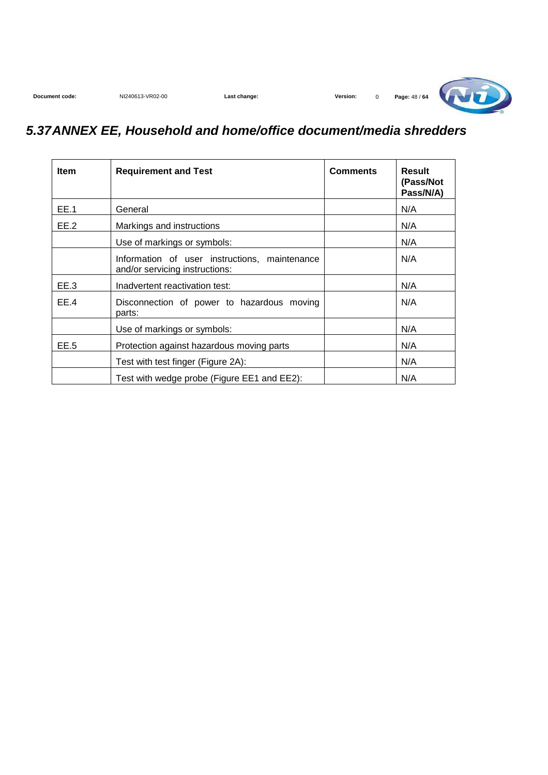## **5.37 ANNEX EE, Household and home/office document/media shredders**

| <b>Item</b> | <b>Requirement and Test</b>                                                     | <b>Comments</b> | Result<br>(Pass/Not<br>Pass/N/A) |
|-------------|---------------------------------------------------------------------------------|-----------------|----------------------------------|
| EE.1        | General                                                                         |                 | N/A                              |
| EE.2        | Markings and instructions                                                       |                 | N/A                              |
|             | Use of markings or symbols:                                                     |                 | N/A                              |
|             | Information of user instructions, maintenance<br>and/or servicing instructions: |                 | N/A                              |
| EE.3        | Inadvertent reactivation test:                                                  |                 | N/A                              |
| EE.4        | Disconnection of power to hazardous moving<br>parts:                            |                 | N/A                              |
|             | Use of markings or symbols:                                                     |                 | N/A                              |
| EE.5        | Protection against hazardous moving parts                                       |                 | N/A                              |
|             | Test with test finger (Figure 2A):                                              |                 | N/A                              |
|             | Test with wedge probe (Figure EE1 and EE2):                                     |                 | N/A                              |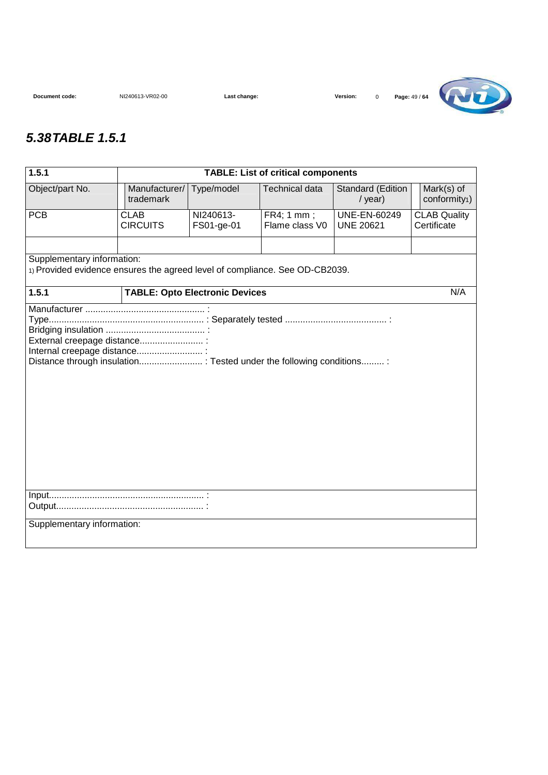

#### **5.38 TABLE 1.5.1**

| 1.5.1                                                                                                     | <b>TABLE: List of critical components</b> |                         |                              |                                         |                                         |  |  |
|-----------------------------------------------------------------------------------------------------------|-------------------------------------------|-------------------------|------------------------------|-----------------------------------------|-----------------------------------------|--|--|
| Object/part No.                                                                                           | Manufacturer/<br>trademark                | Type/model              | <b>Technical data</b>        | Standard (Edition<br>$/$ year)          | Mark(s) of<br>conformity <sub>1</sub> ) |  |  |
| <b>PCB</b>                                                                                                | <b>CLAB</b><br><b>CIRCUITS</b>            | NI240613-<br>FS01-ge-01 | FR4; 1 mm;<br>Flame class V0 | <b>UNE-EN-60249</b><br><b>UNE 20621</b> | <b>CLAB Quality</b><br>Certificate      |  |  |
| Supplementary information:<br>1) Provided evidence ensures the agreed level of compliance. See OD-CB2039. |                                           |                         |                              |                                         |                                         |  |  |
| 1.5.1                                                                                                     |                                           |                         |                              |                                         | N/A                                     |  |  |
| <b>TABLE: Opto Electronic Devices</b><br>External creepage distance :<br>Internal creepage distance :     |                                           |                         |                              |                                         |                                         |  |  |
|                                                                                                           |                                           |                         |                              |                                         |                                         |  |  |
| Supplementary information:                                                                                |                                           |                         |                              |                                         |                                         |  |  |
|                                                                                                           |                                           |                         |                              |                                         |                                         |  |  |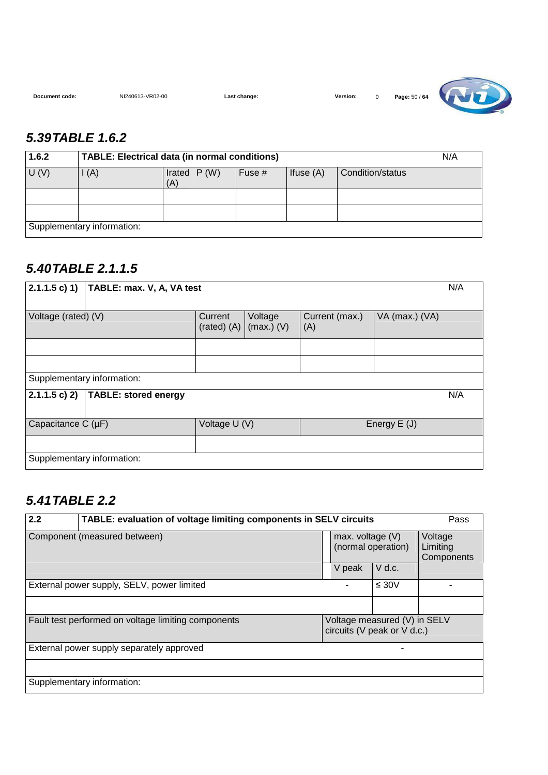**Document code:** NI240613-VR02-00 **Last change: Version:** 0 **Page:** 50 / **64**

![](_page_49_Picture_4.jpeg)

### **5.39 TABLE 1.6.2**

| 1.6.2 | TABLE: Electrical data (in normal conditions) |                      |        |             |                  |  |
|-------|-----------------------------------------------|----------------------|--------|-------------|------------------|--|
| U(V)  | I(A)                                          | Irated $P(W)$<br>(A) | Fuse # | Ifuse $(A)$ | Condition/status |  |
|       |                                               |                      |        |             |                  |  |
|       |                                               |                      |        |             |                  |  |
|       | Supplementary information:                    |                      |        |             |                  |  |

### **5.40 TABLE 2.1.1.5**

| 2.1.1.5 c) 1)<br>TABLE: max. V, A, VA test             |                            |                         |                       |                |  |  |
|--------------------------------------------------------|----------------------------|-------------------------|-----------------------|----------------|--|--|
| Voltage (rated) (V)                                    | Current<br>$(rated)$ $(A)$ | Voltage<br>$(max.)$ (V) | Current (max.)<br>(A) | VA (max.) (VA) |  |  |
|                                                        |                            |                         |                       |                |  |  |
|                                                        |                            |                         |                       |                |  |  |
| Supplementary information:                             |                            |                         |                       |                |  |  |
| N/A<br>$2.1.1.5 c$ ) 2)<br><b>TABLE: stored energy</b> |                            |                         |                       |                |  |  |
| Capacitance $C(\mu F)$                                 | Voltage U (V)              |                         |                       | Energy $E(J)$  |  |  |
|                                                        |                            |                         |                       |                |  |  |
| Supplementary information:                             |                            |                         |                       |                |  |  |

### **5.41 TABLE 2.2**

| 2.2                                                 | TABLE: evaluation of voltage limiting components in SELV circuits |  |                                          |                                                             |                                   |  |
|-----------------------------------------------------|-------------------------------------------------------------------|--|------------------------------------------|-------------------------------------------------------------|-----------------------------------|--|
| Component (measured between)                        |                                                                   |  | max. voltage $(V)$<br>(normal operation) |                                                             | Voltage<br>Limiting<br>Components |  |
|                                                     |                                                                   |  | V peak                                   | $V$ d.c.                                                    |                                   |  |
|                                                     | External power supply, SELV, power limited                        |  |                                          | $\leq 30V$                                                  |                                   |  |
|                                                     |                                                                   |  |                                          |                                                             |                                   |  |
| Fault test performed on voltage limiting components |                                                                   |  |                                          | Voltage measured (V) in SELV<br>circuits (V peak or V d.c.) |                                   |  |
|                                                     | External power supply separately approved                         |  |                                          |                                                             |                                   |  |
|                                                     |                                                                   |  |                                          |                                                             |                                   |  |
|                                                     | Supplementary information:                                        |  |                                          |                                                             |                                   |  |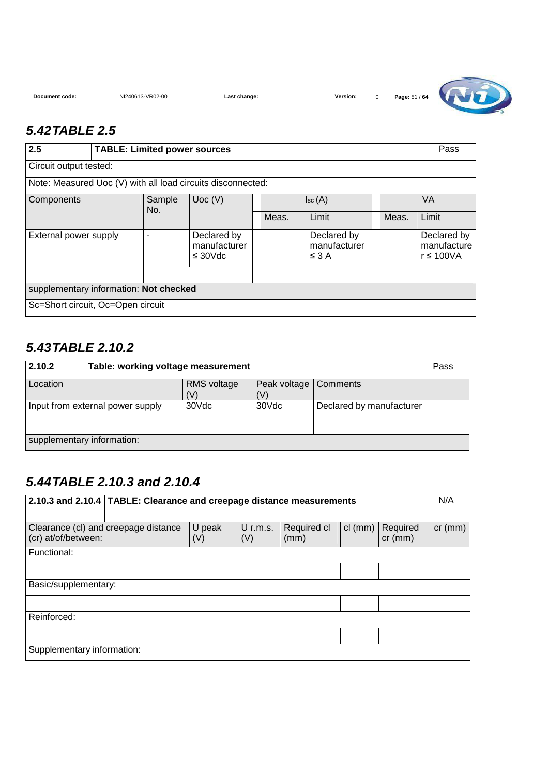![](_page_50_Picture_4.jpeg)

#### **5.42 TABLE 2.5**

| 2.5                                    | <b>TABLE: Limited power sources</b> |                         |                                                             |                   |                                           |       | Pass                                    |
|----------------------------------------|-------------------------------------|-------------------------|-------------------------------------------------------------|-------------------|-------------------------------------------|-------|-----------------------------------------|
| Circuit output tested:                 |                                     |                         |                                                             |                   |                                           |       |                                         |
|                                        |                                     |                         | Note: Measured Uoc (V) with all load circuits disconnected: |                   |                                           |       |                                         |
| Components                             |                                     | Sample<br>Uoc(V)<br>No. |                                                             | $\mathsf{Isc}(A)$ |                                           | VA    |                                         |
|                                        |                                     |                         |                                                             | Meas.             | Limit                                     | Meas. | Limit                                   |
| External power supply                  |                                     | ٠                       | Declared by<br>manufacturer<br>$\leq 30 \text{Vdc}$         |                   | Declared by<br>manufacturer<br>$\leq$ 3 A |       | Declared by<br>manufacture<br>r ≤ 100VA |
|                                        |                                     |                         |                                                             |                   |                                           |       |                                         |
| supplementary information: Not checked |                                     |                         |                                                             |                   |                                           |       |                                         |
| Sc=Short circuit, Oc=Open circuit      |                                     |                         |                                                             |                   |                                           |       |                                         |

#### **5.43 TABLE 2.10.2**

| 2.10.2                           | Pass<br>Table: working voltage measurement |                    |                                |                          |  |  |
|----------------------------------|--------------------------------------------|--------------------|--------------------------------|--------------------------|--|--|
| Location                         |                                            | RMS voltage<br>(V) | Peak voltage   Comments<br>(V) |                          |  |  |
| Input from external power supply |                                            | 30Vdc              | 30Vdc                          | Declared by manufacturer |  |  |
|                                  |                                            |                    |                                |                          |  |  |
| supplementary information:       |                                            |                    |                                |                          |  |  |

## **5.44 TABLE 2.10.3 and 2.10.4**

| 2.10.3 and 2.10.4   TABLE: Clearance and creepage distance measurements |               |                   |                     |           |                       | N/A       |  |
|-------------------------------------------------------------------------|---------------|-------------------|---------------------|-----------|-----------------------|-----------|--|
|                                                                         |               |                   |                     |           |                       |           |  |
| Clearance (cl) and creepage distance<br>(cr) at/of/between:             | U peak<br>(V) | $U$ r.m.s.<br>(V) | Required cl<br>(mm) | $cl$ (mm) | Required<br>$cr$ (mm) | $cr$ (mm) |  |
| Functional:                                                             |               |                   |                     |           |                       |           |  |
|                                                                         |               |                   |                     |           |                       |           |  |
| Basic/supplementary:                                                    |               |                   |                     |           |                       |           |  |
|                                                                         |               |                   |                     |           |                       |           |  |
| Reinforced:                                                             |               |                   |                     |           |                       |           |  |
|                                                                         |               |                   |                     |           |                       |           |  |
| Supplementary information:                                              |               |                   |                     |           |                       |           |  |
|                                                                         |               |                   |                     |           |                       |           |  |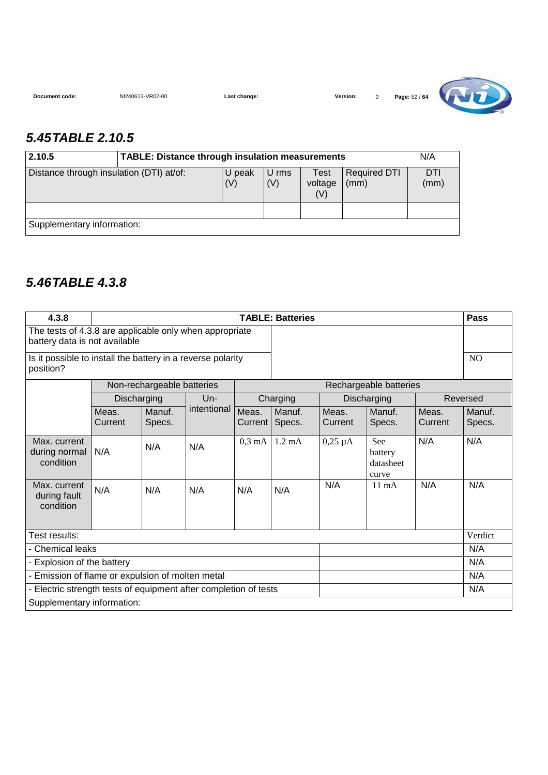| Document code: | NI240613-VR02-00 |
|----------------|------------------|

**Last change: NI240613-Version:** 0 **Page:**  $52 / 64$ 

![](_page_51_Picture_3.jpeg)

#### **5.45 TABLE 2.10.5**

| 2.10.5                                                    | <b>TABLE: Distance through insulation measurements</b> |              |                        |                             |             |  |  |  |
|-----------------------------------------------------------|--------------------------------------------------------|--------------|------------------------|-----------------------------|-------------|--|--|--|
| Distance through insulation (DTI) at/of:<br>U peak<br>(V) |                                                        | U rms<br>(V) | Test<br>voltage<br>(V) | <b>Required DTI</b><br>(mm) | DTI<br>(mm) |  |  |  |
|                                                           |                                                        |              |                        |                             |             |  |  |  |
| Supplementary information:                                |                                                        |              |                        |                             |             |  |  |  |

### **5.46 TABLE 4.3.8**

| 4.3.8                                                                                    |                            | <b>TABLE: Batteries</b>    |             |                         |                  |                  |                                      | <b>Pass</b>      |                  |
|------------------------------------------------------------------------------------------|----------------------------|----------------------------|-------------|-------------------------|------------------|------------------|--------------------------------------|------------------|------------------|
| The tests of 4.3.8 are applicable only when appropriate<br>battery data is not available |                            |                            |             |                         |                  |                  |                                      |                  |                  |
| Is it possible to install the battery in a reverse polarity<br>position?                 |                            |                            |             |                         |                  |                  |                                      | N <sub>O</sub>   |                  |
|                                                                                          |                            | Non-rechargeable batteries |             |                         |                  |                  | Rechargeable batteries               |                  |                  |
|                                                                                          | Discharging                |                            | $Un-$       |                         | Charging         |                  | Discharging                          |                  | Reversed         |
|                                                                                          | Meas.<br>Current           | Manuf.<br>Specs.           | intentional | Meas.<br>Current I      | Manuf.<br>Specs. | Meas.<br>Current | Manuf.<br>Specs.                     | Meas.<br>Current | Manuf.<br>Specs. |
| Max. current<br>during normal<br>condition                                               | N/A                        | N/A                        | N/A         | $0,3 \text{ mA}$ 1.2 mA |                  | $0,25 \mu A$     | See<br>battery<br>datasheet<br>curve | N/A              | N/A              |
| Max. current<br>during fault<br>condition                                                | N/A                        | N/A                        | N/A         | N/A                     | N/A              | N/A              | $11 \text{ mA}$                      | N/A              | N/A              |
| Test results:                                                                            |                            |                            |             |                         |                  |                  |                                      |                  | Verdict          |
| - Chemical leaks                                                                         |                            |                            |             |                         |                  |                  |                                      |                  | N/A              |
|                                                                                          | - Explosion of the battery |                            |             |                         |                  |                  | N/A                                  |                  |                  |
| - Emission of flame or expulsion of molten metal                                         |                            |                            |             |                         | N/A              |                  |                                      |                  |                  |
| - Electric strength tests of equipment after completion of tests                         |                            |                            |             |                         |                  |                  |                                      |                  | N/A              |
| Supplementary information:                                                               |                            |                            |             |                         |                  |                  |                                      |                  |                  |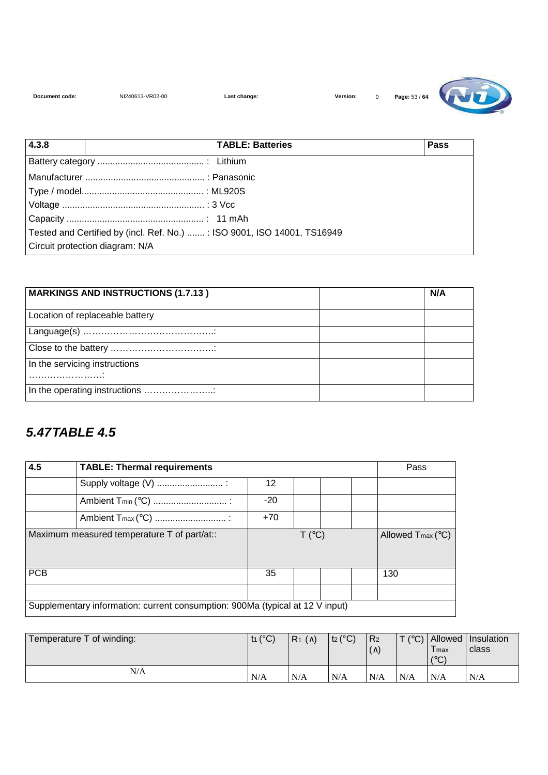![](_page_52_Picture_4.jpeg)

| 4.3.8                           | <b>Pass</b>                                                             |  |
|---------------------------------|-------------------------------------------------------------------------|--|
|                                 |                                                                         |  |
|                                 |                                                                         |  |
|                                 |                                                                         |  |
|                                 |                                                                         |  |
|                                 |                                                                         |  |
|                                 | Tested and Certified by (incl. Ref. No.) : ISO 9001, ISO 14001, TS16949 |  |
| Circuit protection diagram: N/A |                                                                         |  |

| <b>MARKINGS AND INSTRUCTIONS (1.7.13)</b> | N/A |
|-------------------------------------------|-----|
| Location of replaceable battery           |     |
|                                           |     |
|                                           |     |
| In the servicing instructions             |     |
| In the operating instructions             |     |

### **5.47 TABLE 4.5**

| 4.5                                         | <b>TABLE: Thermal requirements</b>                                            | Pass  |        |  |  |                               |  |  |
|---------------------------------------------|-------------------------------------------------------------------------------|-------|--------|--|--|-------------------------------|--|--|
|                                             |                                                                               | 12    |        |  |  |                               |  |  |
|                                             |                                                                               | $-20$ |        |  |  |                               |  |  |
|                                             |                                                                               | $+70$ |        |  |  |                               |  |  |
| Maximum measured temperature T of part/at:: |                                                                               |       | T (°C) |  |  | Allowed $T_{\text{max}}$ (°C) |  |  |
| <b>PCB</b>                                  |                                                                               | 35    |        |  |  | 130                           |  |  |
|                                             |                                                                               |       |        |  |  |                               |  |  |
|                                             | Supplementary information: current consumption: 900Ma (typical at 12 V input) |       |        |  |  |                               |  |  |

| Temperature T of winding: | t <sub>1</sub> ( $^{\circ}$ C) | $R_1(\wedge)$ | $t_2$ (°C) | R <sub>2</sub><br>$(\wedge)$ |     | I max<br>$10^{\circ}$ | $T$ (°C) Allowed Insulation<br>class |
|---------------------------|--------------------------------|---------------|------------|------------------------------|-----|-----------------------|--------------------------------------|
| N/A                       | N/A                            | N/A           | N/A        | N/A                          | N/A | N/A                   | N/A                                  |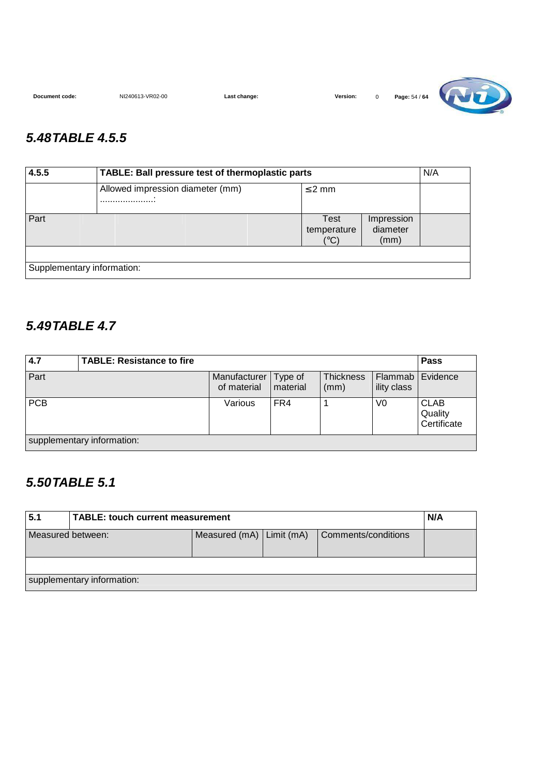**Document code:** NI240613-VR02-00 **Last change: Version:** 0 **Page: 54 / 64 Contract of the USA of Allen Contract of Allen Contract of Allen Contract of Allen Contract of Allen Contract of Allen Contract of Allen Contra** 

### **5.48 TABLE 4.5.5**

| 4.5.5<br>TABLE: Ball pressure test of thermoplastic parts |                                  |                             |                                |  |
|-----------------------------------------------------------|----------------------------------|-----------------------------|--------------------------------|--|
|                                                           | Allowed impression diameter (mm) | $\leq$ 2 mm                 |                                |  |
| Part                                                      |                                  | Test<br>temperature<br>(°C) | Impression<br>diameter<br>(mm) |  |
| Supplementary information:                                |                                  |                             |                                |  |

#### **5.49 TABLE 4.7**

| 4.7        | <b>TABLE: Resistance to fire</b> |                                       |                   |                          |                                   | Pass                                  |
|------------|----------------------------------|---------------------------------------|-------------------|--------------------------|-----------------------------------|---------------------------------------|
| Part       |                                  | Manufacturer   Type of<br>of material | <b>I</b> material | <b>Thickness</b><br>(mm) | Flammab   Evidence<br>ility class |                                       |
| <b>PCB</b> |                                  | Various                               | FR4               |                          | V0                                | <b>CLAB</b><br>Quality<br>Certificate |
|            | supplementary information:       |                                       |                   |                          |                                   |                                       |

### **5.50 TABLE 5.1**

| 5.1                                                                      | TABLE: touch current measurement |  |  |  |  |  |  |
|--------------------------------------------------------------------------|----------------------------------|--|--|--|--|--|--|
| Measured $(mA)$ Limit $(mA)$<br>Comments/conditions<br>Measured between: |                                  |  |  |  |  |  |  |
|                                                                          |                                  |  |  |  |  |  |  |
|                                                                          | supplementary information:       |  |  |  |  |  |  |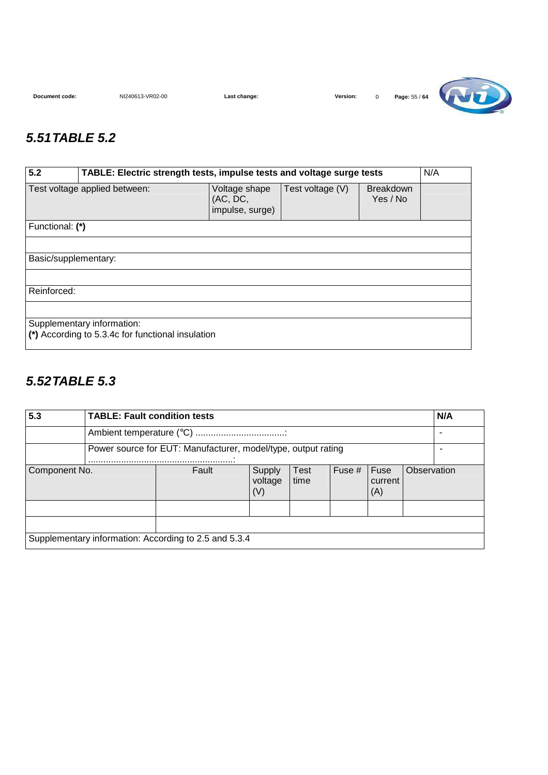![](_page_54_Picture_4.jpeg)

#### **5.51 TABLE 5.2**

| 5.2                                                                                                                               | N/A<br>TABLE: Electric strength tests, impulse tests and voltage surge tests |  |  |  |  |  |  |  |
|-----------------------------------------------------------------------------------------------------------------------------------|------------------------------------------------------------------------------|--|--|--|--|--|--|--|
| Test voltage applied between:<br>Test voltage (V)<br><b>Breakdown</b><br>Voltage shape<br>Yes / No<br>(AC, DC,<br>impulse, surge) |                                                                              |  |  |  |  |  |  |  |
| Functional: (*)                                                                                                                   |                                                                              |  |  |  |  |  |  |  |
|                                                                                                                                   |                                                                              |  |  |  |  |  |  |  |
| Basic/supplementary:                                                                                                              |                                                                              |  |  |  |  |  |  |  |
|                                                                                                                                   |                                                                              |  |  |  |  |  |  |  |
| Reinforced:                                                                                                                       |                                                                              |  |  |  |  |  |  |  |
|                                                                                                                                   |                                                                              |  |  |  |  |  |  |  |
| Supplementary information:<br>(*) According to 5.3.4c for functional insulation                                                   |                                                                              |  |  |  |  |  |  |  |

### **5.52 TABLE 5.3**

| 5.3                                                   | <b>TABLE: Fault condition tests</b> |                                                               |                          |                     |        |                        |             | N/A |
|-------------------------------------------------------|-------------------------------------|---------------------------------------------------------------|--------------------------|---------------------|--------|------------------------|-------------|-----|
|                                                       |                                     |                                                               |                          |                     |        |                        |             |     |
|                                                       |                                     | Power source for EUT: Manufacturer, model/type, output rating |                          |                     |        |                        |             |     |
| Component No.                                         |                                     | Fault                                                         | Supply<br>voltage<br>(V) | <b>Test</b><br>time | Fuse # | Fuse<br>current<br>(A) | Observation |     |
|                                                       |                                     |                                                               |                          |                     |        |                        |             |     |
|                                                       |                                     |                                                               |                          |                     |        |                        |             |     |
| Supplementary information: According to 2.5 and 5.3.4 |                                     |                                                               |                          |                     |        |                        |             |     |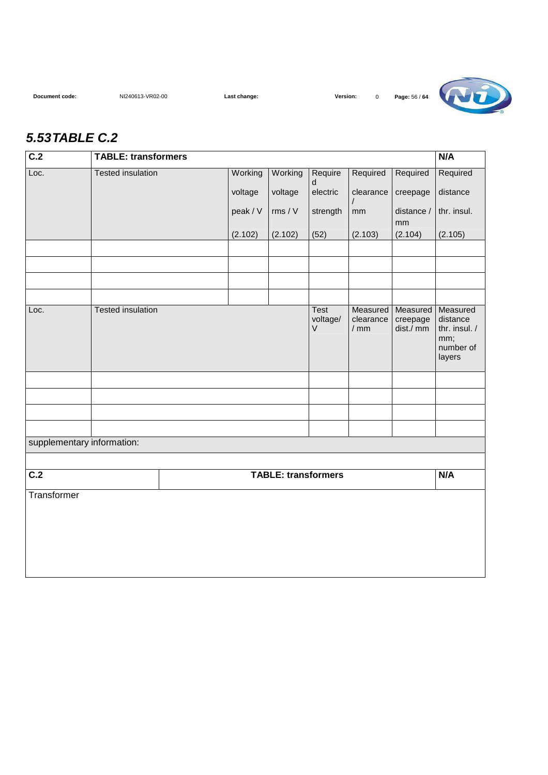![](_page_55_Picture_4.jpeg)

#### **5.53 TABLE C.2**

| C.2                        | <b>TABLE: transformers</b> |          |                            |                    |                     |                       | N/A                                                     |
|----------------------------|----------------------------|----------|----------------------------|--------------------|---------------------|-----------------------|---------------------------------------------------------|
| Loc.                       | <b>Tested insulation</b>   | Working  | Working                    | Require<br>d       | Required            | Required              | Required                                                |
|                            |                            | voltage  | voltage                    | electric           | clearance           | creepage              | distance                                                |
|                            |                            | peak / V | rms / V                    | strength           | mm                  | distance /            | thr. insul.                                             |
|                            |                            | (2.102)  | (2.102)                    | (52)               | (2.103)             | mm<br>(2.104)         | (2.105)                                                 |
|                            |                            |          |                            |                    |                     |                       |                                                         |
|                            |                            |          |                            |                    |                     |                       |                                                         |
|                            |                            |          |                            |                    |                     |                       |                                                         |
| Loc.                       | <b>Tested insulation</b>   |          |                            | <b>Test</b>        | Measured            | Measured              | Measured                                                |
|                            |                            |          |                            | voltage/<br>$\vee$ | clearance<br>$/$ mm | creepage<br>dist./ mm | distance<br>thr. insul. /<br>mm;<br>number of<br>layers |
|                            |                            |          |                            |                    |                     |                       |                                                         |
|                            |                            |          |                            |                    |                     |                       |                                                         |
|                            |                            |          |                            |                    |                     |                       |                                                         |
|                            |                            |          |                            |                    |                     |                       |                                                         |
| supplementary information: |                            |          |                            |                    |                     |                       |                                                         |
| $\overline{C.2}$           |                            |          | <b>TABLE: transformers</b> |                    |                     |                       | N/A                                                     |
| Transformer                |                            |          |                            |                    |                     |                       |                                                         |
|                            |                            |          |                            |                    |                     |                       |                                                         |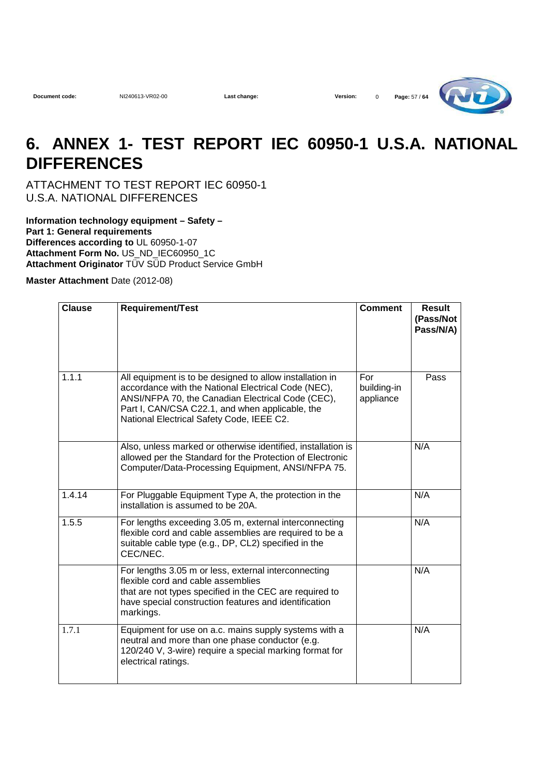**Document code:** NI240613-VR02-00 **Last change: Version:** 0 **Page:** 57 / **64**

![](_page_56_Picture_4.jpeg)

## **6. ANNEX 1- TEST REPORT IEC 60950-1 U.S.A. NATIONAL DIFFERENCES**

ATTACHMENT TO TEST REPORT IEC 60950-1 U.S.A. NATIONAL DIFFERENCES

**Information technology equipment – Safety – Part 1: General requirements Differences according to** UL 60950-1-07 Attachment Form No. US\_ND\_IEC60950\_1C **Attachment Originator** TÜV SÜD Product Service GmbH

**Master Attachment** Date (2012-08)

| <b>Clause</b> | <b>Requirement/Test</b>                                                                                                                                                                                                                                              | <b>Comment</b>                  | <b>Result</b><br>(Pass/Not<br>Pass/N/A) |
|---------------|----------------------------------------------------------------------------------------------------------------------------------------------------------------------------------------------------------------------------------------------------------------------|---------------------------------|-----------------------------------------|
| 1.1.1         | All equipment is to be designed to allow installation in<br>accordance with the National Electrical Code (NEC),<br>ANSI/NFPA 70, the Canadian Electrical Code (CEC),<br>Part I, CAN/CSA C22.1, and when applicable, the<br>National Electrical Safety Code, IEEE C2. | For<br>building-in<br>appliance | Pass                                    |
|               | Also, unless marked or otherwise identified, installation is<br>allowed per the Standard for the Protection of Electronic<br>Computer/Data-Processing Equipment, ANSI/NFPA 75.                                                                                       |                                 | N/A                                     |
| 1.4.14        | For Pluggable Equipment Type A, the protection in the<br>installation is assumed to be 20A.                                                                                                                                                                          |                                 | N/A                                     |
| 1.5.5         | For lengths exceeding 3.05 m, external interconnecting<br>flexible cord and cable assemblies are required to be a<br>suitable cable type (e.g., DP, CL2) specified in the<br>CEC/NEC.                                                                                |                                 | N/A                                     |
|               | For lengths 3.05 m or less, external interconnecting<br>flexible cord and cable assemblies<br>that are not types specified in the CEC are required to<br>have special construction features and identification<br>markings.                                          |                                 | N/A                                     |
| 1.7.1         | Equipment for use on a.c. mains supply systems with a<br>neutral and more than one phase conductor (e.g.<br>120/240 V, 3-wire) require a special marking format for<br>electrical ratings.                                                                           |                                 | N/A                                     |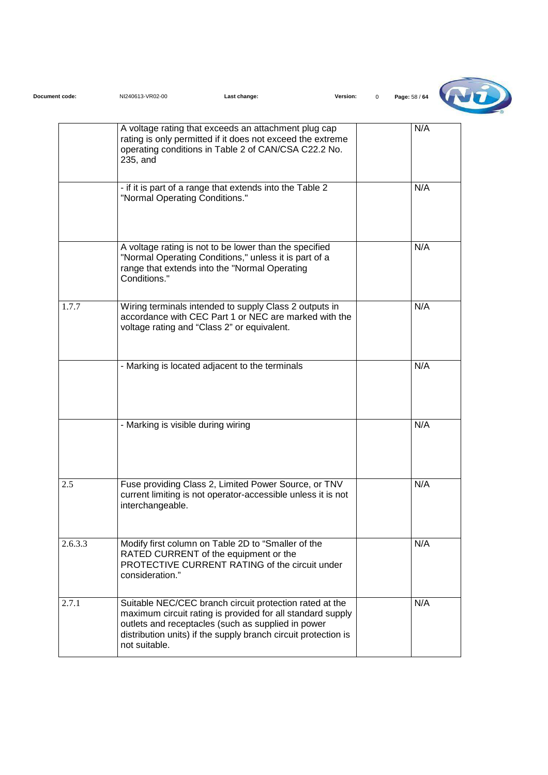| Document code: | NI240613-VR02-00                   | Last change:                                                                                                                                                                                                                                  | Version: | Page: 58 / 64 |
|----------------|------------------------------------|-----------------------------------------------------------------------------------------------------------------------------------------------------------------------------------------------------------------------------------------------|----------|---------------|
|                | 235, and                           | A voltage rating that exceeds an attachment plug cap<br>rating is only permitted if it does not exceed the extreme<br>operating conditions in Table 2 of CAN/CSA C22.2 No.                                                                    |          | N/A           |
|                | "Normal Operating Conditions."     | - if it is part of a range that extends into the Table 2                                                                                                                                                                                      |          | N/A           |
|                | Conditions."                       | A voltage rating is not to be lower than the specified<br>"Normal Operating Conditions," unless it is part of a<br>range that extends into the "Normal Operating                                                                              |          | N/A           |
| 1.7.7          |                                    | Wiring terminals intended to supply Class 2 outputs in<br>accordance with CEC Part 1 or NEC are marked with the<br>voltage rating and "Class 2" or equivalent.                                                                                |          | N/A           |
|                |                                    | - Marking is located adjacent to the terminals                                                                                                                                                                                                |          | N/A           |
|                | - Marking is visible during wiring |                                                                                                                                                                                                                                               |          | N/A           |
| 2.5            | interchangeable.                   | Fuse providing Class 2, Limited Power Source, or TNV<br>current limiting is not operator-accessible unless it is not                                                                                                                          |          | N/A           |
| 2.6.3.3        | consideration."                    | Modify first column on Table 2D to "Smaller of the<br>RATED CURRENT of the equipment or the<br>PROTECTIVE CURRENT RATING of the circuit under                                                                                                 |          | N/A           |
| 2.7.1          | not suitable.                      | Suitable NEC/CEC branch circuit protection rated at the<br>maximum circuit rating is provided for all standard supply<br>outlets and receptacles (such as supplied in power<br>distribution units) if the supply branch circuit protection is |          | N/A           |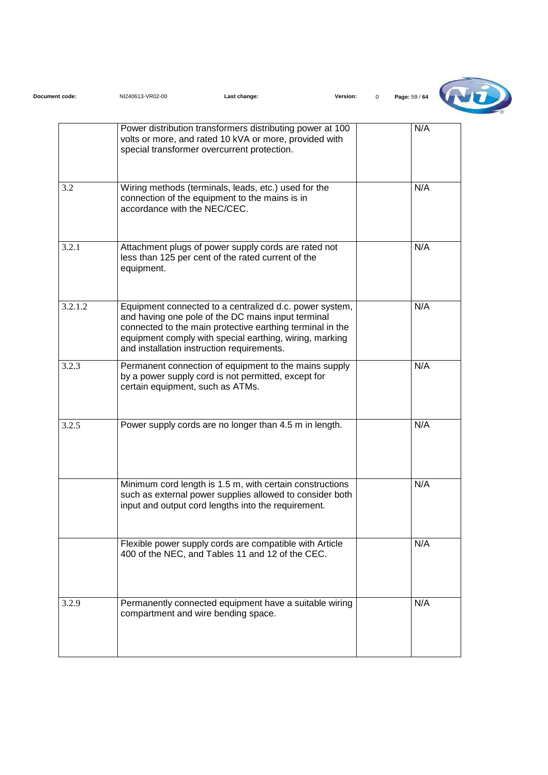| Document code: | NI240613-VR02-00                    | Last change:                                                                                                                                                                                                                                                                        | Version:<br>$\mathbf 0$ | Page: 59 / 64 |
|----------------|-------------------------------------|-------------------------------------------------------------------------------------------------------------------------------------------------------------------------------------------------------------------------------------------------------------------------------------|-------------------------|---------------|
|                |                                     | Power distribution transformers distributing power at 100<br>volts or more, and rated 10 kVA or more, provided with<br>special transformer overcurrent protection.                                                                                                                  |                         | N/A           |
| 3.2            | accordance with the NEC/CEC.        | Wiring methods (terminals, leads, etc.) used for the<br>connection of the equipment to the mains is in                                                                                                                                                                              |                         | N/A           |
| 3.2.1          | equipment.                          | Attachment plugs of power supply cords are rated not<br>less than 125 per cent of the rated current of the                                                                                                                                                                          |                         | N/A           |
| 3.2.1.2        |                                     | Equipment connected to a centralized d.c. power system,<br>and having one pole of the DC mains input terminal<br>connected to the main protective earthing terminal in the<br>equipment comply with special earthing, wiring, marking<br>and installation instruction requirements. |                         | N/A           |
| 3.2.3          | certain equipment, such as ATMs.    | Permanent connection of equipment to the mains supply<br>by a power supply cord is not permitted, except for                                                                                                                                                                        |                         | N/A           |
| 3.2.5          |                                     | Power supply cords are no longer than 4.5 m in length.                                                                                                                                                                                                                              |                         | N/A           |
|                |                                     | Minimum cord length is 1.5 m, with certain constructions<br>such as external power supplies allowed to consider both<br>input and output cord lengths into the requirement.                                                                                                         |                         | N/A           |
|                |                                     | Flexible power supply cords are compatible with Article<br>400 of the NEC, and Tables 11 and 12 of the CEC.                                                                                                                                                                         |                         | N/A           |
| 3.2.9          | compartment and wire bending space. | Permanently connected equipment have a suitable wiring                                                                                                                                                                                                                              |                         | N/A           |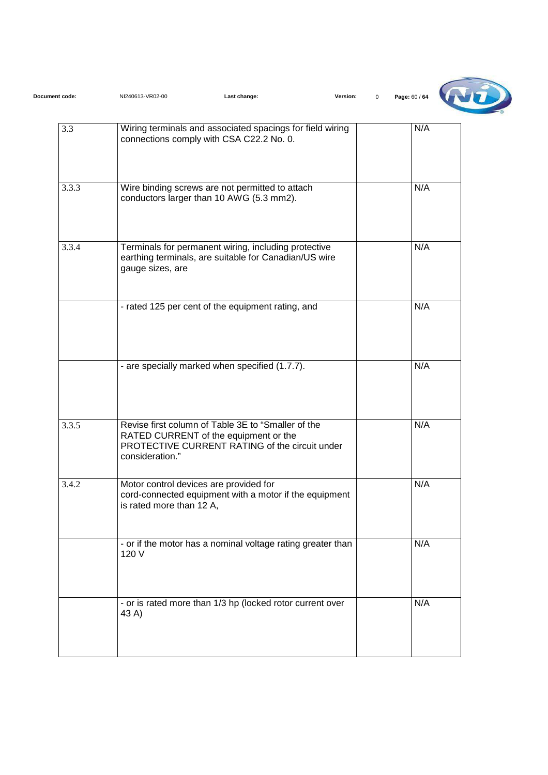| Document code: | NI240613-VR02-00         | Last change:                                                                                                                                  | Version:<br>$\mathbf 0$ | Page: 60 / 64 |
|----------------|--------------------------|-----------------------------------------------------------------------------------------------------------------------------------------------|-------------------------|---------------|
| 3.3            |                          | Wiring terminals and associated spacings for field wiring<br>connections comply with CSA C22.2 No. 0.                                         |                         | N/A           |
| 3.3.3          |                          | Wire binding screws are not permitted to attach<br>conductors larger than 10 AWG (5.3 mm2).                                                   |                         | N/A           |
| 3.3.4          | gauge sizes, are         | Terminals for permanent wiring, including protective<br>earthing terminals, are suitable for Canadian/US wire                                 |                         | N/A           |
|                |                          | - rated 125 per cent of the equipment rating, and                                                                                             |                         | N/A           |
|                |                          | - are specially marked when specified (1.7.7).                                                                                                |                         | N/A           |
| 3.3.5          | consideration."          | Revise first column of Table 3E to "Smaller of the<br>RATED CURRENT of the equipment or the<br>PROTECTIVE CURRENT RATING of the circuit under |                         | N/A           |
| 3.4.2          | is rated more than 12 A, | Motor control devices are provided for<br>cord-connected equipment with a motor if the equipment                                              |                         | N/A           |
|                | 120 V                    | - or if the motor has a nominal voltage rating greater than                                                                                   |                         | N/A           |
|                | 43 A)                    | - or is rated more than 1/3 hp (locked rotor current over                                                                                     |                         | N/A           |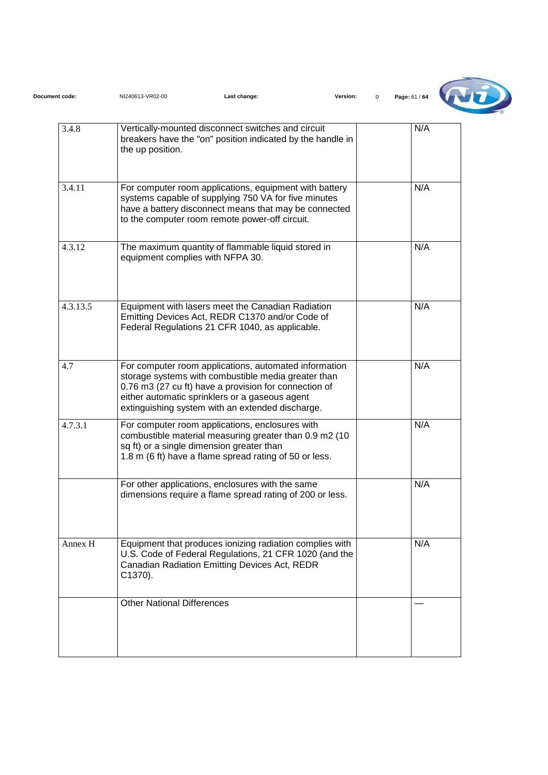| Document code: | NI240613-VR02-00                  | Last change:                                                                                                                                                                                                                                                                | Version:<br>$\Omega$ | Page: 61 / 64 |
|----------------|-----------------------------------|-----------------------------------------------------------------------------------------------------------------------------------------------------------------------------------------------------------------------------------------------------------------------------|----------------------|---------------|
| 3.4.8          | the up position.                  | Vertically-mounted disconnect switches and circuit<br>breakers have the "on" position indicated by the handle in                                                                                                                                                            |                      | N/A           |
| 3.4.11         |                                   | For computer room applications, equipment with battery<br>systems capable of supplying 750 VA for five minutes<br>have a battery disconnect means that may be connected<br>to the computer room remote power-off circuit.                                                   |                      | N/A           |
| 4.3.12         | equipment complies with NFPA 30.  | The maximum quantity of flammable liquid stored in                                                                                                                                                                                                                          |                      | N/A           |
| 4.3.13.5       |                                   | Equipment with lasers meet the Canadian Radiation<br>Emitting Devices Act, REDR C1370 and/or Code of<br>Federal Regulations 21 CFR 1040, as applicable.                                                                                                                     |                      | N/A           |
| 4.7            |                                   | For computer room applications, automated information<br>storage systems with combustible media greater than<br>0.76 m3 (27 cu ft) have a provision for connection of<br>either automatic sprinklers or a gaseous agent<br>extinguishing system with an extended discharge. |                      | N/A           |
| 4.7.3.1        |                                   | For computer room applications, enclosures with<br>combustible material measuring greater than 0.9 m2 (10<br>sq ft) or a single dimension greater than<br>1.8 m (6 ft) have a flame spread rating of 50 or less.                                                            |                      | N/A           |
|                |                                   | For other applications, enclosures with the same<br>dimensions require a flame spread rating of 200 or less.                                                                                                                                                                |                      | N/A           |
| Annex H        | C1370).                           | Equipment that produces ionizing radiation complies with<br>U.S. Code of Federal Regulations, 21 CFR 1020 (and the<br>Canadian Radiation Emitting Devices Act, REDR                                                                                                         |                      | N/A           |
|                | <b>Other National Differences</b> |                                                                                                                                                                                                                                                                             |                      |               |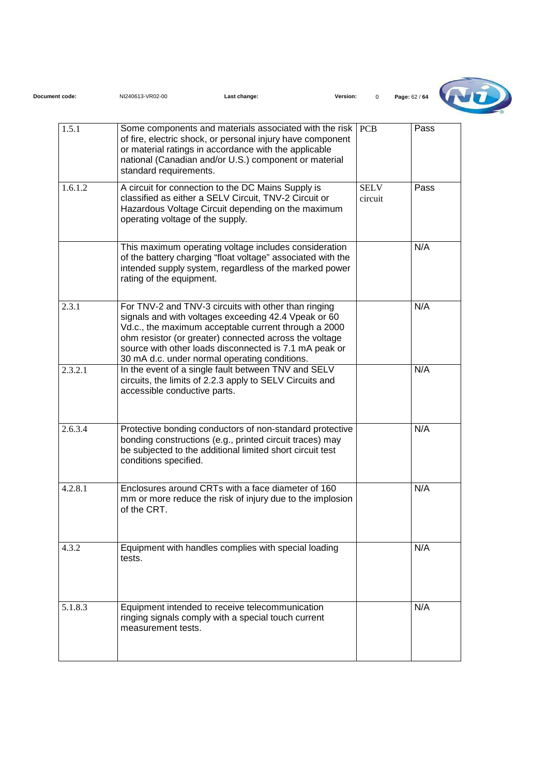| Document code: | NI240613-VR02-00                 | Last change:                                                                                                                                                                                                                                                                                                                              | Version:   |                        | Page: 62 / 64 |
|----------------|----------------------------------|-------------------------------------------------------------------------------------------------------------------------------------------------------------------------------------------------------------------------------------------------------------------------------------------------------------------------------------------|------------|------------------------|---------------|
| 1.5.1          | standard requirements.           | Some components and materials associated with the risk<br>of fire, electric shock, or personal injury have component<br>or material ratings in accordance with the applicable<br>national (Canadian and/or U.S.) component or material                                                                                                    | <b>PCB</b> |                        | Pass          |
| 1.6.1.2        | operating voltage of the supply. | A circuit for connection to the DC Mains Supply is<br>classified as either a SELV Circuit, TNV-2 Circuit or<br>Hazardous Voltage Circuit depending on the maximum                                                                                                                                                                         |            | <b>SELV</b><br>circuit | Pass          |
|                | rating of the equipment.         | This maximum operating voltage includes consideration<br>of the battery charging "float voltage" associated with the<br>intended supply system, regardless of the marked power                                                                                                                                                            |            |                        | N/A           |
| 2.3.1          |                                  | For TNV-2 and TNV-3 circuits with other than ringing<br>signals and with voltages exceeding 42.4 Vpeak or 60<br>Vd.c., the maximum acceptable current through a 2000<br>ohm resistor (or greater) connected across the voltage<br>source with other loads disconnected is 7.1 mA peak or<br>30 mA d.c. under normal operating conditions. |            |                        | N/A           |
| 2.3.2.1        | accessible conductive parts.     | In the event of a single fault between TNV and SELV<br>circuits, the limits of 2.2.3 apply to SELV Circuits and                                                                                                                                                                                                                           |            |                        | N/A           |
| 2.6.3.4        | conditions specified.            | Protective bonding conductors of non-standard protective<br>bonding constructions (e.g., printed circuit traces) may<br>be subjected to the additional limited short circuit test                                                                                                                                                         |            |                        | N/A           |
| 4.2.8.1        | of the CRT.                      | Enclosures around CRTs with a face diameter of 160<br>mm or more reduce the risk of injury due to the implosion                                                                                                                                                                                                                           |            |                        | N/A           |
| 4.3.2          | tests.                           | Equipment with handles complies with special loading                                                                                                                                                                                                                                                                                      |            |                        | N/A           |
| 5.1.8.3        | measurement tests.               | Equipment intended to receive telecommunication<br>ringing signals comply with a special touch current                                                                                                                                                                                                                                    |            |                        | N/A           |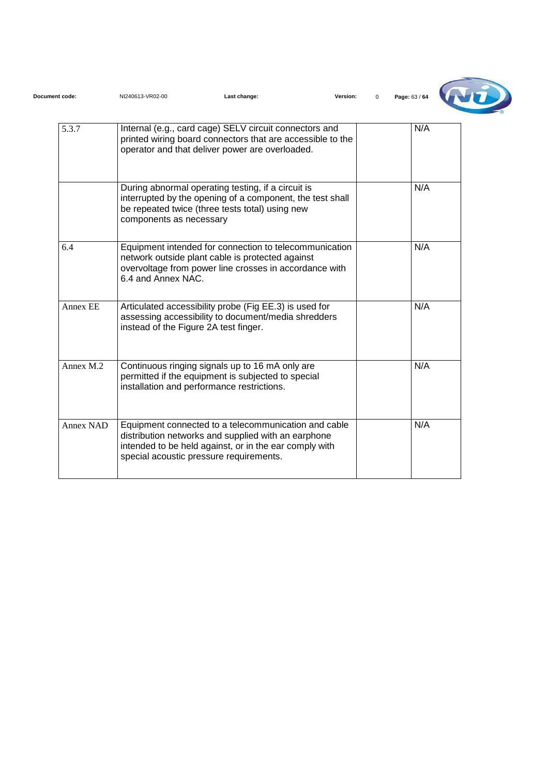| Document code: | NI240613-VR02-00                      | Last change:                                                                                                                                                                                                     | Version:<br>$\Omega$ | Page: 63 / 64 |
|----------------|---------------------------------------|------------------------------------------------------------------------------------------------------------------------------------------------------------------------------------------------------------------|----------------------|---------------|
| 5.3.7          |                                       | Internal (e.g., card cage) SELV circuit connectors and<br>printed wiring board connectors that are accessible to the<br>operator and that deliver power are overloaded.                                          |                      | N/A           |
|                | components as necessary               | During abnormal operating testing, if a circuit is<br>interrupted by the opening of a component, the test shall<br>be repeated twice (three tests total) using new                                               |                      | N/A           |
| 6.4            | 6.4 and Annex NAC.                    | Equipment intended for connection to telecommunication<br>network outside plant cable is protected against<br>overvoltage from power line crosses in accordance with                                             |                      | N/A           |
| Annex EE       | instead of the Figure 2A test finger. | Articulated accessibility probe (Fig EE.3) is used for<br>assessing accessibility to document/media shredders                                                                                                    |                      | N/A           |
| Annex M.2      |                                       | Continuous ringing signals up to 16 mA only are<br>permitted if the equipment is subjected to special<br>installation and performance restrictions.                                                              |                      | N/A           |
| Annex NAD      |                                       | Equipment connected to a telecommunication and cable<br>distribution networks and supplied with an earphone<br>intended to be held against, or in the ear comply with<br>special acoustic pressure requirements. |                      | N/A           |